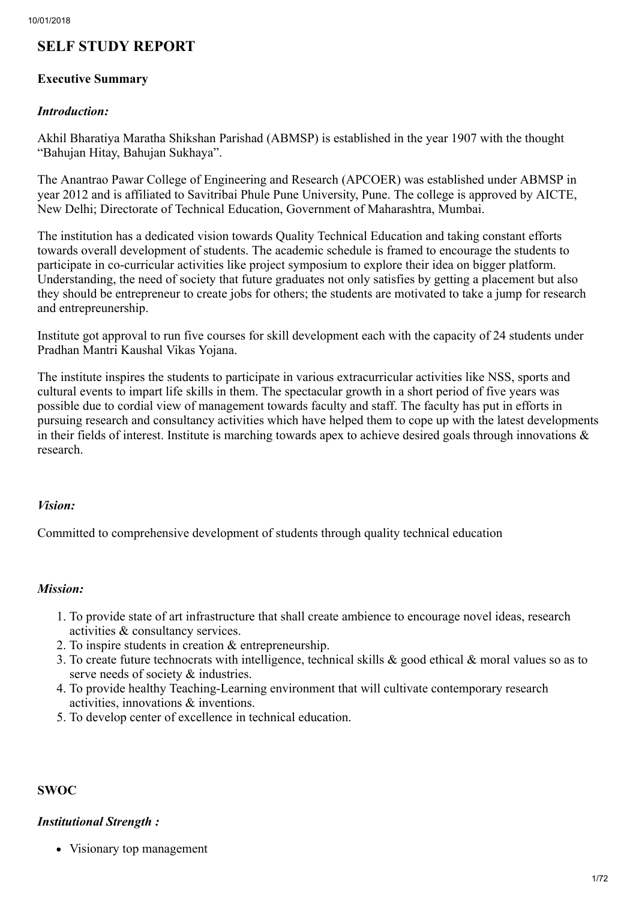# SELF STUDY REPORT

## Executive Summary

#### *Introduction:*

Akhil Bharatiya Maratha Shikshan Parishad (ABMSP) is established in the year 1907 with the thought "Bahujan Hitay, Bahujan Sukhaya".

The Anantrao Pawar College of Engineering and Research (APCOER) was established under ABMSP in year 2012 and is affiliated to Savitribai Phule Pune University, Pune. The college is approved by AICTE, New Delhi; Directorate of Technical Education, Government of Maharashtra, Mumbai.

The institution has a dedicated vision towards Quality Technical Education and taking constant efforts towards overall development of students. The academic schedule is framed to encourage the students to participate in co-curricular activities like project symposium to explore their idea on bigger platform. Understanding, the need of society that future graduates not only satisfies by getting a placement but also they should be entrepreneur to create jobs for others; the students are motivated to take a jump for research and entrepreunership.

Institute got approval to run five courses for skill development each with the capacity of 24 students under Pradhan Mantri Kaushal Vikas Yojana.

The institute inspires the students to participate in various extracurricular activities like NSS, sports and cultural events to impart life skills in them. The spectacular growth in a short period of five years was possible due to cordial view of management towards faculty and staff. The faculty has put in efforts in pursuing research and consultancy activities which have helped them to cope up with the latest developments in their fields of interest. Institute is marching towards apex to achieve desired goals through innovations & research.

#### *Vision:*

Committed to comprehensive development of students through quality technical education

#### *Mission:*

- 1. To provide state of art infrastructure that shall create ambience to encourage novel ideas, research activities & consultancy services.
- 2. To inspire students in creation & entrepreneurship.
- 3. To create future technocrats with intelligence, technical skills & good ethical & moral values so as to serve needs of society  $\&$  industries.
- 4. To provide healthy Teaching-Learning environment that will cultivate contemporary research activities, innovations & inventions.
- 5. To develop center of excellence in technical education.

# **SWOC**

#### *Institutional Strength :*

• Visionary top management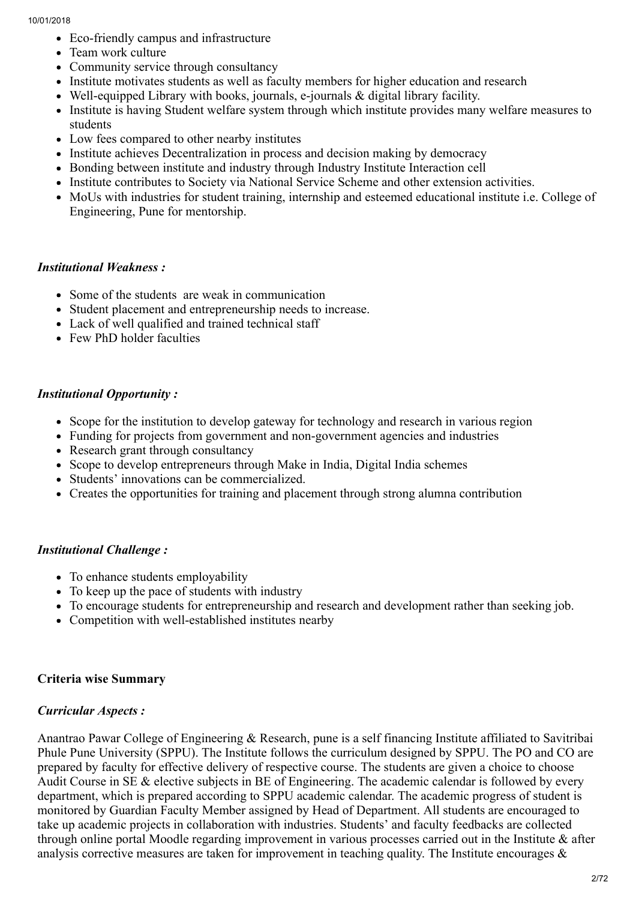- Eco-friendly campus and infrastructure
- Team work culture
- Community service through consultancy
- Institute motivates students as well as faculty members for higher education and research
- Well-equipped Library with books, journals, e-journals & digital library facility.
- Institute is having Student welfare system through which institute provides many welfare measures to students
- Low fees compared to other nearby institutes
- Institute achieves Decentralization in process and decision making by democracy
- Bonding between institute and industry through Industry Institute Interaction cell
- Institute contributes to Society via National Service Scheme and other extension activities.
- MoUs with industries for student training, internship and esteemed educational institute i.e. College of Engineering, Pune for mentorship.

# *Institutional Weakness :*

- Some of the students are weak in communication
- Student placement and entrepreneurship needs to increase.
- Lack of well qualified and trained technical staff
- Few PhD holder faculties

# *Institutional Opportunity :*

- Scope for the institution to develop gateway for technology and research in various region
- Funding for projects from government and non-government agencies and industries
- Research grant through consultancy
- Scope to develop entrepreneurs through Make in India, Digital India schemes
- Students' innovations can be commercialized.
- Creates the opportunities for training and placement through strong alumna contribution

# *Institutional Challenge :*

- To enhance students employability
- To keep up the pace of students with industry
- To encourage students for entrepreneurship and research and development rather than seeking job.
- Competition with well-established institutes nearby

# Criteria wise Summary

# *Curricular Aspects :*

Anantrao Pawar College of Engineering & Research, pune is a self financing Institute affiliated to Savitribai Phule Pune University (SPPU). The Institute follows the curriculum designed by SPPU. The PO and CO are prepared by faculty for effective delivery of respective course. The students are given a choice to choose Audit Course in SE & elective subjects in BE of Engineering. The academic calendar is followed by every department, which is prepared according to SPPU academic calendar. The academic progress of student is monitored by Guardian Faculty Member assigned by Head of Department. All students are encouraged to take up academic projects in collaboration with industries. Students' and faculty feedbacks are collected through online portal Moodle regarding improvement in various processes carried out in the Institute & after analysis corrective measures are taken for improvement in teaching quality. The Institute encourages  $\&$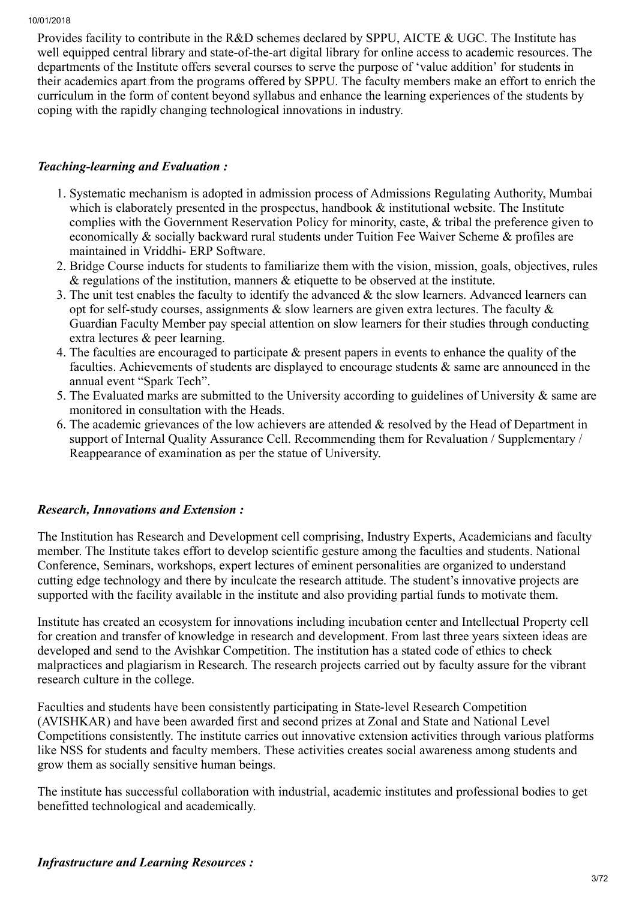Provides facility to contribute in the R&D schemes declared by SPPU, AICTE & UGC. The Institute has well equipped central library and state-of-the-art digital library for online access to academic resources. The departments of the Institute offers several courses to serve the purpose of 'value addition' for students in their academics apart from the programs offered by SPPU. The faculty members make an effort to enrich the curriculum in the form of content beyond syllabus and enhance the learning experiences of the students by coping with the rapidly changing technological innovations in industry.

## *Teaching-learning and Evaluation :*

- 1. Systematic mechanism is adopted in admission process of Admissions Regulating Authority, Mumbai which is elaborately presented in the prospectus, handbook  $\&$  institutional website. The Institute complies with the Government Reservation Policy for minority, caste, & tribal the preference given to economically & socially backward rural students under Tuition Fee Waiver Scheme & profiles are maintained in Vriddhi- ERP Software.
- 2. Bridge Course inducts for students to familiarize them with the vision, mission, goals, objectives, rules  $\&$  regulations of the institution, manners  $\&$  etiquette to be observed at the institute.
- 3. The unit test enables the faculty to identify the advanced & the slow learners. Advanced learners can opt for self-study courses, assignments  $\&$  slow learners are given extra lectures. The faculty  $\&$ Guardian Faculty Member pay special attention on slow learners for their studies through conducting extra lectures & peer learning.
- 4. The faculties are encouraged to participate & present papers in events to enhance the quality of the faculties. Achievements of students are displayed to encourage students  $\&$  same are announced in the annual event "Spark Tech".
- 5. The Evaluated marks are submitted to the University according to guidelines of University & same are monitored in consultation with the Heads.
- 6. The academic grievances of the low achievers are attended & resolved by the Head of Department in support of Internal Quality Assurance Cell. Recommending them for Revaluation / Supplementary / Reappearance of examination as per the statue of University.

#### *Research, Innovations and Extension :*

The Institution has Research and Development cell comprising, Industry Experts, Academicians and faculty member. The Institute takes effort to develop scientific gesture among the faculties and students. National Conference, Seminars, workshops, expert lectures of eminent personalities are organized to understand cutting edge technology and there by inculcate the research attitude. The student's innovative projects are supported with the facility available in the institute and also providing partial funds to motivate them.

Institute has created an ecosystem for innovations including incubation center and Intellectual Property cell for creation and transfer of knowledge in research and development. From last three years sixteen ideas are developed and send to the Avishkar Competition. The institution has a stated code of ethics to check malpractices and plagiarism in Research. The research projects carried out by faculty assure for the vibrant research culture in the college.

Faculties and students have been consistently participating in State-level Research Competition (AVISHKAR) and have been awarded first and second prizes at Zonal and State and National Level Competitions consistently. The institute carries out innovative extension activities through various platforms like NSS for students and faculty members. These activities creates social awareness among students and grow them as socially sensitive human beings.

The institute has successful collaboration with industrial, academic institutes and professional bodies to get benefitted technological and academically.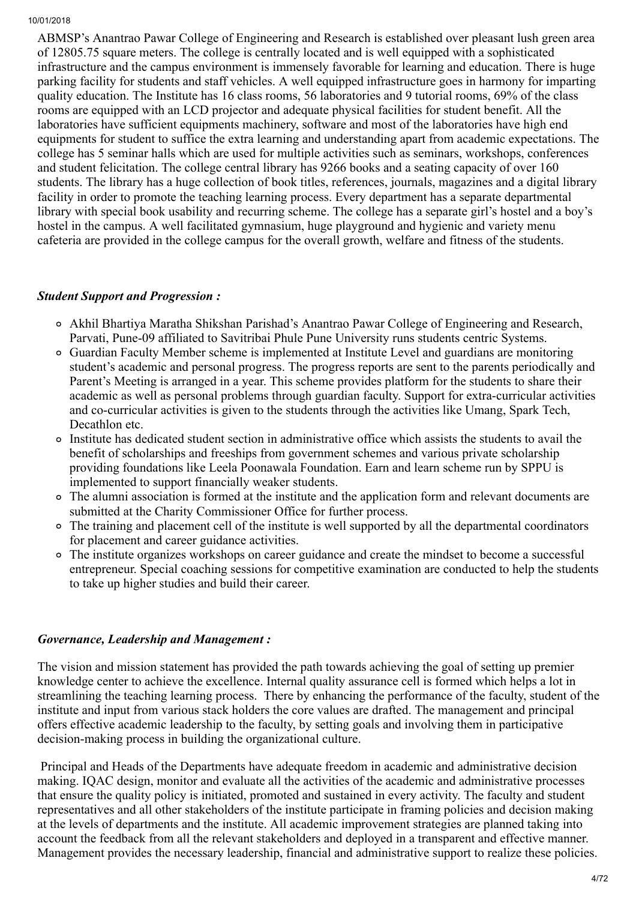ABMSP's Anantrao Pawar College of Engineering and Research is established over pleasant lush green area of 12805.75 square meters. The college is centrally located and is well equipped with a sophisticated infrastructure and the campus environment is immensely favorable for learning and education. There is huge parking facility for students and staff vehicles. A well equipped infrastructure goes in harmony for imparting quality education. The Institute has 16 class rooms, 56 laboratories and 9 tutorial rooms, 69% of the class rooms are equipped with an LCD projector and adequate physical facilities for student benefit. All the laboratories have sufficient equipments machinery, software and most of the laboratories have high end equipments for student to suffice the extra learning and understanding apart from academic expectations. The college has 5 seminar halls which are used for multiple activities such as seminars, workshops, conferences and student felicitation. The college central library has 9266 books and a seating capacity of over 160 students. The library has a huge collection of book titles, references, journals, magazines and a digital library facility in order to promote the teaching learning process. Every department has a separate departmental library with special book usability and recurring scheme. The college has a separate girl's hostel and a boy's hostel in the campus. A well facilitated gymnasium, huge playground and hygienic and variety menu cafeteria are provided in the college campus for the overall growth, welfare and fitness of the students.

# *Student Support and Progression :*

- Akhil Bhartiya Maratha Shikshan Parishad's Anantrao Pawar College of Engineering and Research, Parvati, Pune-09 affiliated to Savitribai Phule Pune University runs students centric Systems.
- Guardian Faculty Member scheme is implemented at Institute Level and guardians are monitoring student's academic and personal progress. The progress reports are sent to the parents periodically and Parent's Meeting is arranged in a year. This scheme provides platform for the students to share their academic as well as personal problems through guardian faculty. Support for extra-curricular activities and co-curricular activities is given to the students through the activities like Umang, Spark Tech, Decathlon etc.
- Institute has dedicated student section in administrative office which assists the students to avail the benefit of scholarships and freeships from government schemes and various private scholarship providing foundations like Leela Poonawala Foundation. Earn and learn scheme run by SPPU is implemented to support financially weaker students.
- The alumni association is formed at the institute and the application form and relevant documents are submitted at the Charity Commissioner Office for further process.
- The training and placement cell of the institute is well supported by all the departmental coordinators for placement and career guidance activities.
- The institute organizes workshops on career guidance and create the mindset to become a successful entrepreneur. Special coaching sessions for competitive examination are conducted to help the students to take up higher studies and build their career.

#### *Governance, Leadership and Management :*

The vision and mission statement has provided the path towards achieving the goal of setting up premier knowledge center to achieve the excellence. Internal quality assurance cell is formed which helps a lot in streamlining the teaching learning process. There by enhancing the performance of the faculty, student of the institute and input from various stack holders the core values are drafted. The management and principal offers effective academic leadership to the faculty, by setting goals and involving them in participative decision-making process in building the organizational culture.

 Principal and Heads of the Departments have adequate freedom in academic and administrative decision making. IQAC design, monitor and evaluate all the activities of the academic and administrative processes that ensure the quality policy is initiated, promoted and sustained in every activity. The faculty and student representatives and all other stakeholders of the institute participate in framing policies and decision making at the levels of departments and the institute. All academic improvement strategies are planned taking into account the feedback from all the relevant stakeholders and deployed in a transparent and effective manner. Management provides the necessary leadership, financial and administrative support to realize these policies.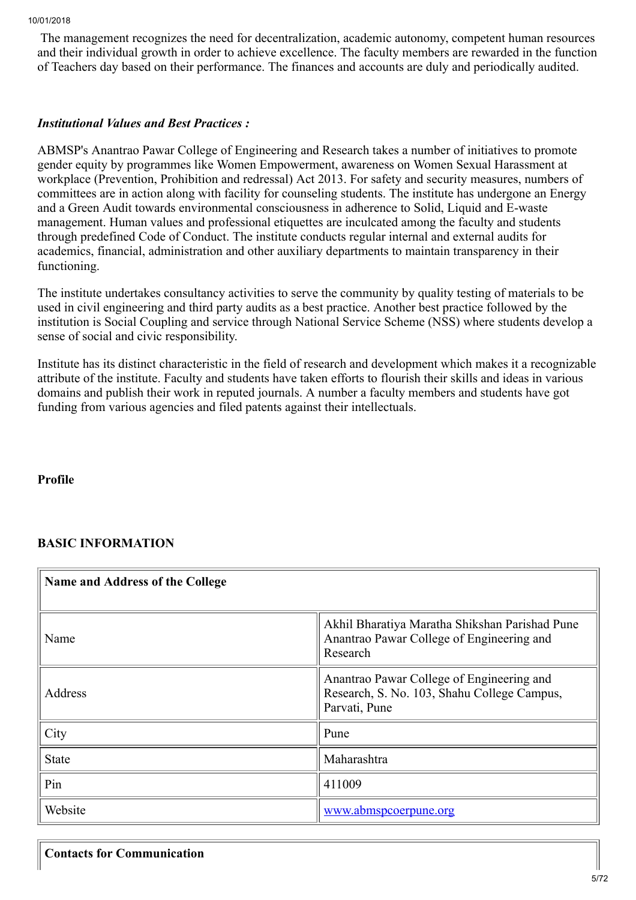The management recognizes the need for decentralization, academic autonomy, competent human resources and their individual growth in order to achieve excellence. The faculty members are rewarded in the function of Teachers day based on their performance. The finances and accounts are duly and periodically audited.

# *Institutional Values and Best Practices :*

ABMSP's Anantrao Pawar College of Engineering and Research takes a number of initiatives to promote gender equity by programmes like Women Empowerment, awareness on Women Sexual Harassment at workplace (Prevention, Prohibition and redressal) Act 2013. For safety and security measures, numbers of committees are in action along with facility for counseling students. The institute has undergone an Energy and a Green Audit towards environmental consciousness in adherence to Solid, Liquid and E-waste management. Human values and professional etiquettes are inculcated among the faculty and students through predefined Code of Conduct. The institute conducts regular internal and external audits for academics, financial, administration and other auxiliary departments to maintain transparency in their functioning.

The institute undertakes consultancy activities to serve the community by quality testing of materials to be used in civil engineering and third party audits as a best practice. Another best practice followed by the institution is Social Coupling and service through National Service Scheme (NSS) where students develop a sense of social and civic responsibility.

Institute has its distinct characteristic in the field of research and development which makes it a recognizable attribute of the institute. Faculty and students have taken efforts to flourish their skills and ideas in various domains and publish their work in reputed journals. A number a faculty members and students have got funding from various agencies and filed patents against their intellectuals.

Profile

# BASIC INFORMATION

| Name and Address of the College |                                                                                                           |  |  |  |  |  |  |  |
|---------------------------------|-----------------------------------------------------------------------------------------------------------|--|--|--|--|--|--|--|
| Name                            | Akhil Bharatiya Maratha Shikshan Parishad Pune<br>Anantrao Pawar College of Engineering and<br>Research   |  |  |  |  |  |  |  |
| Address                         | Anantrao Pawar College of Engineering and<br>Research, S. No. 103, Shahu College Campus,<br>Parvati, Pune |  |  |  |  |  |  |  |
| City                            | Pune                                                                                                      |  |  |  |  |  |  |  |
| <b>State</b>                    | Maharashtra                                                                                               |  |  |  |  |  |  |  |
| Pin                             | 411009                                                                                                    |  |  |  |  |  |  |  |
| Website                         | www.abmspcoerpune.org                                                                                     |  |  |  |  |  |  |  |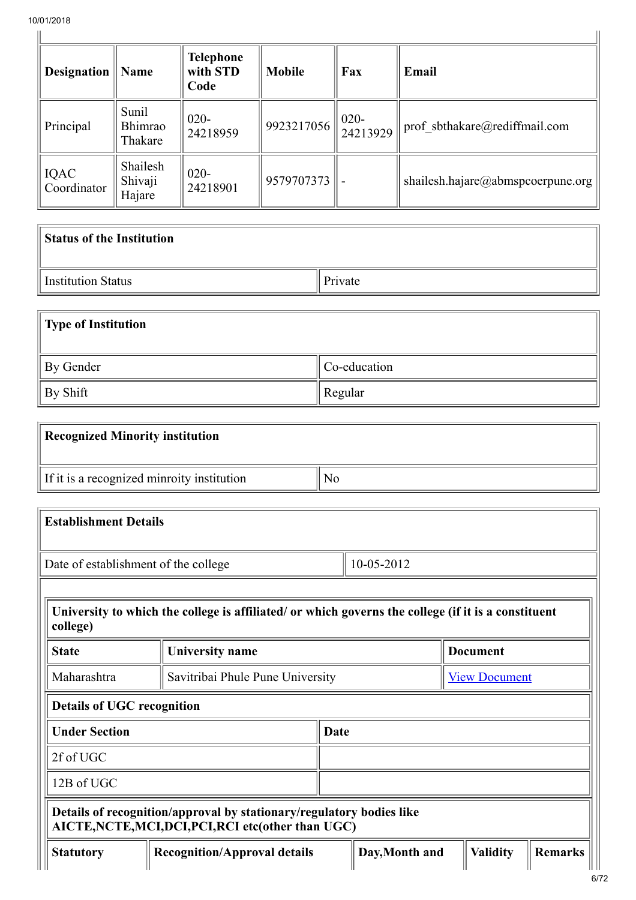| <b>Designation</b>         | Name                          | <b>Telephone</b><br>with STD<br>Code | <b>Mobile</b>                                | Fax | Email                             |
|----------------------------|-------------------------------|--------------------------------------|----------------------------------------------|-----|-----------------------------------|
| Principal                  | Sunil<br>Bhimrao<br>Thakare   | $020 -$<br>24218959                  | $\left  \frac{9923217056}{24213929} \right $ |     | prof sbthakare@rediffmail.com     |
| <b>IQAC</b><br>Coordinator | Shailesh<br>Shivaji<br>Hajare | $020 -$<br>24218901                  | 9579707373                                   |     | shailesh.hajare@abmspcoerpune.org |

| <b>Status of the Institution</b> |         |
|----------------------------------|---------|
| Institution Status               | Private |

| Type of Institution |              |
|---------------------|--------------|
| By Gender           | Co-education |
| By Shift            | Regular      |

| <b>Recognized Minority institution</b>     |    |
|--------------------------------------------|----|
| If it is a recognized minroity institution | N0 |

| <b>Establishment Details</b>                                                                                                |                                     |                                                     |                 |  |  |  |  |  |  |  |
|-----------------------------------------------------------------------------------------------------------------------------|-------------------------------------|-----------------------------------------------------|-----------------|--|--|--|--|--|--|--|
| 10-05-2012<br>Date of establishment of the college                                                                          |                                     |                                                     |                 |  |  |  |  |  |  |  |
|                                                                                                                             |                                     |                                                     |                 |  |  |  |  |  |  |  |
| University to which the college is affiliated/ or which governs the college (if it is a constituent<br>college)             |                                     |                                                     |                 |  |  |  |  |  |  |  |
| <b>State</b>                                                                                                                | <b>University name</b>              |                                                     | <b>Document</b> |  |  |  |  |  |  |  |
| Maharashtra                                                                                                                 |                                     | Savitribai Phule Pune University                    |                 |  |  |  |  |  |  |  |
| <b>Details of UGC recognition</b>                                                                                           |                                     |                                                     |                 |  |  |  |  |  |  |  |
| <b>Under Section</b>                                                                                                        |                                     | Date                                                |                 |  |  |  |  |  |  |  |
| 2f of UGC                                                                                                                   |                                     |                                                     |                 |  |  |  |  |  |  |  |
| 12B of UGC                                                                                                                  |                                     |                                                     |                 |  |  |  |  |  |  |  |
| Details of recognition/approval by stationary/regulatory bodies like<br>AICTE, NCTE, MCI, DCI, PCI, RCI etc(other than UGC) |                                     |                                                     |                 |  |  |  |  |  |  |  |
| <b>Statutory</b>                                                                                                            | <b>Recognition/Approval details</b> | Day, Month and<br><b>Validity</b><br><b>Remarks</b> |                 |  |  |  |  |  |  |  |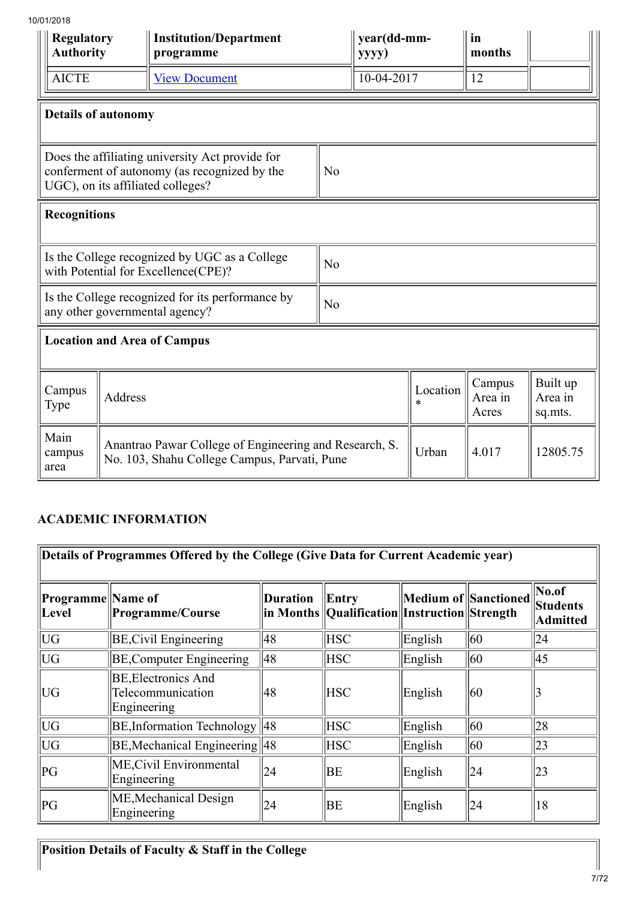| סו ט∠/ו טי<br><b>Regulatory</b><br><b>Authority</b>                                                                                                    |                | <b>Institution/Department</b><br>programme                                                             |                | year(dd-mm-<br>yyyy) |                            | in<br>months                   |          |  |  |
|--------------------------------------------------------------------------------------------------------------------------------------------------------|----------------|--------------------------------------------------------------------------------------------------------|----------------|----------------------|----------------------------|--------------------------------|----------|--|--|
| <b>AICTE</b>                                                                                                                                           |                | <b>View Document</b>                                                                                   |                | $10-04-2017$         |                            | $\overline{12}$                |          |  |  |
| <b>Details of autonomy</b>                                                                                                                             |                |                                                                                                        |                |                      |                            |                                |          |  |  |
| Does the affiliating university Act provide for<br>conferment of autonomy (as recognized by the<br>N <sub>o</sub><br>UGC), on its affiliated colleges? |                |                                                                                                        |                |                      |                            |                                |          |  |  |
| <b>Recognitions</b>                                                                                                                                    |                |                                                                                                        |                |                      |                            |                                |          |  |  |
|                                                                                                                                                        |                | Is the College recognized by UGC as a College<br>with Potential for Excellence(CPE)?                   | N <sub>o</sub> |                      |                            |                                |          |  |  |
|                                                                                                                                                        |                | Is the College recognized for its performance by<br>any other governmental agency?                     | N <sub>o</sub> |                      |                            |                                |          |  |  |
|                                                                                                                                                        |                | <b>Location and Area of Campus</b>                                                                     |                |                      |                            |                                |          |  |  |
| Campus<br>Type                                                                                                                                         | <b>Address</b> |                                                                                                        |                | Location<br>$\ast$   | Campus<br>Area in<br>Acres | Built up<br>Area in<br>sq.mts. |          |  |  |
| Main<br>campus<br>area                                                                                                                                 |                | Anantrao Pawar College of Engineering and Research, S.<br>No. 103, Shahu College Campus, Parvati, Pune |                |                      | Urban                      | 4.017                          | 12805.75 |  |  |

# ACADEMIC INFORMATION

| Details of Programmes Offered by the College (Give Data for Current Academic year) |                                                                |                 |                                                           |         |                      |                                       |  |  |  |  |
|------------------------------------------------------------------------------------|----------------------------------------------------------------|-----------------|-----------------------------------------------------------|---------|----------------------|---------------------------------------|--|--|--|--|
| Programme Name of<br>Level                                                         | Programme/Course                                               | <b>Duration</b> | Entry<br>in Months   Qualification  Instruction  Strength |         | Medium of Sanctioned | $\vert$ No.of<br>Students<br>Admitted |  |  |  |  |
| UG                                                                                 | <b>BE, Civil Engineering</b>                                   | 48              | <b>HSC</b>                                                | English | 60                   | 24                                    |  |  |  |  |
| UG                                                                                 | <b>BE, Computer Engineering</b>                                | 48              | <b>HSC</b>                                                | English | 60                   | 45                                    |  |  |  |  |
| UG                                                                                 | <b>BE, Electronics And</b><br>Telecommunication<br>Engineering | 48              | <b>HSC</b>                                                | English | 60                   |                                       |  |  |  |  |
| UG                                                                                 | <b>BE, Information Technology</b>                              | 48              | <b>HSC</b>                                                | English | 60                   | 28                                    |  |  |  |  |
| UG                                                                                 | BE, Mechanical Engineering 48                                  |                 | <b>HSC</b>                                                | English | $ 60\rangle$         | 23                                    |  |  |  |  |
| PG                                                                                 | ME, Civil Environmental<br>Engineering                         | 24              | BE                                                        | English | 24                   | $ 23\rangle$                          |  |  |  |  |
| PG                                                                                 | ME, Mechanical Design<br>Engineering                           | 24              | BE                                                        | English | 24                   | 18                                    |  |  |  |  |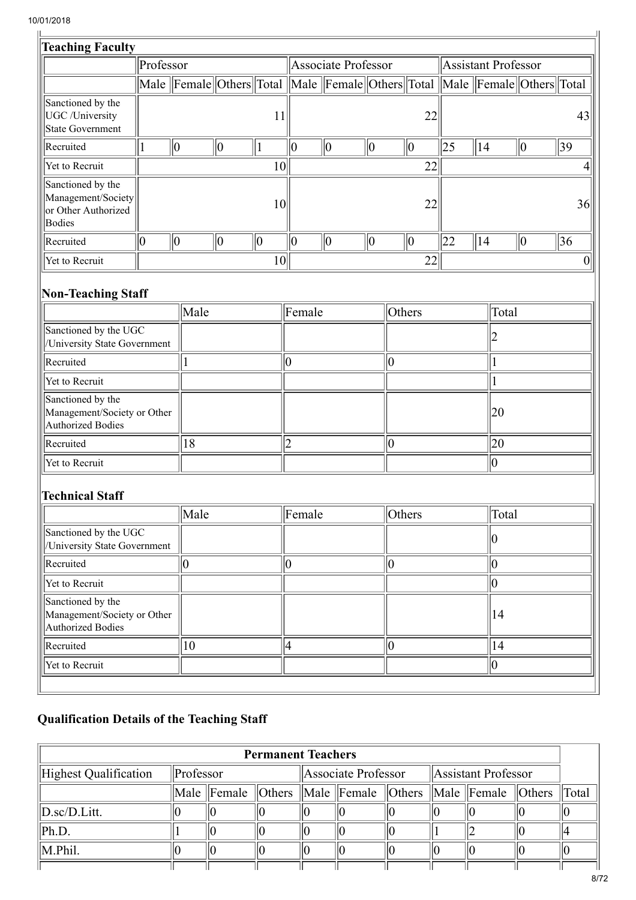| /01/2018                                                                        |           |             |             |    |                |                                                                            |             |                  |    |                            |    |       |             |    |
|---------------------------------------------------------------------------------|-----------|-------------|-------------|----|----------------|----------------------------------------------------------------------------|-------------|------------------|----|----------------------------|----|-------|-------------|----|
| <b>Teaching Faculty</b>                                                         |           |             |             |    |                |                                                                            |             |                  |    |                            |    |       |             |    |
|                                                                                 | Professor |             |             |    |                | <b>Associate Professor</b>                                                 |             |                  |    | <b>Assistant Professor</b> |    |       |             |    |
|                                                                                 |           |             |             |    |                | Male Female Others Total Male Female Others Total Male Female Others Total |             |                  |    |                            |    |       |             |    |
| Sanctioned by the<br><b>UGC</b> / <b>University</b><br><b>State Government</b>  |           |             |             | 11 |                |                                                                            |             |                  | 22 |                            |    |       |             | 43 |
| Recruited                                                                       | 1         | $ 0\rangle$ | $ 0\rangle$ | 1  | $ 0\rangle$    | $\vert 0 \vert$                                                            | $ 0\rangle$ | $\vert 0 \vert$  |    | $ 25\rangle$               | 14 |       | $ 0\rangle$ | 39 |
| Yet to Recruit                                                                  |           |             |             | 10 |                |                                                                            |             |                  | 22 |                            |    |       |             | 4  |
| Sanctioned by the<br>Management/Society<br>or Other Authorized<br><b>Bodies</b> |           |             |             | 10 |                |                                                                            |             |                  | 22 |                            |    |       |             | 36 |
| Recruited                                                                       | 0         | $ 0\rangle$ | $ 0\rangle$ | 0  | 0              | $\ 0\ $                                                                    | $ 0\rangle$ | $ 0\rangle$      |    | 22                         | 14 |       | $ 0\rangle$ | 36 |
| Yet to Recruit                                                                  |           |             |             | 10 |                |                                                                            |             |                  | 22 |                            |    |       |             | 0  |
| <b>Non-Teaching Staff</b>                                                       |           |             |             |    |                |                                                                            |             |                  |    |                            |    |       |             |    |
|                                                                                 |           | Male        |             |    | Female         |                                                                            |             | Others           |    |                            |    | Total |             |    |
| Sanctioned by the UGC<br>/University State Government                           |           |             |             |    |                |                                                                            |             |                  |    |                            |    |       |             |    |
| Recruited                                                                       |           |             |             |    | 0              |                                                                            |             | $\boldsymbol{0}$ |    |                            |    |       |             |    |
| Yet to Recruit                                                                  |           |             |             |    |                |                                                                            |             |                  |    |                            |    |       |             |    |
| Sanctioned by the<br>Management/Society or Other<br><b>Authorized Bodies</b>    |           |             |             |    |                |                                                                            |             |                  |    |                            |    | 20    |             |    |
| Recruited                                                                       |           | 18          |             |    | $\overline{2}$ |                                                                            |             | $\overline{0}$   |    |                            |    | 20    |             |    |
| Yet to Recruit                                                                  |           |             |             |    |                |                                                                            |             |                  |    |                            |    | 0     |             |    |
| <b>Technical Staff</b>                                                          |           |             |             |    |                |                                                                            |             |                  |    |                            |    |       |             |    |
|                                                                                 |           | Male        |             |    | Female         |                                                                            |             | Others           |    |                            |    | Total |             |    |
| Sanctioned by the UGC<br>/University State Government                           |           |             |             |    |                |                                                                            |             |                  |    |                            |    | 10    |             |    |
| Recruited                                                                       |           | $ 0\rangle$ |             |    | 0              |                                                                            |             | $\overline{0}$   |    |                            |    | 0     |             |    |
| Yet to Recruit                                                                  |           |             |             |    |                |                                                                            |             |                  |    |                            |    | 0     |             |    |
| Sanctioned by the<br>Management/Society or Other<br><b>Authorized Bodies</b>    |           |             |             |    |                |                                                                            |             |                  |    |                            |    | 14    |             |    |
| Recruited                                                                       |           | 10          |             |    | 4              |                                                                            |             | $\overline{0}$   |    |                            |    | 14    |             |    |
| Yet to Recruit                                                                  |           |             |             |    |                |                                                                            |             |                  |    |                            |    | 0     |             |    |

# Qualification Details of the Teaching Staff

| <b>Permanent Teachers</b>         |           |  |  |  |                     |  |  |                                                                        |  |       |
|-----------------------------------|-----------|--|--|--|---------------------|--|--|------------------------------------------------------------------------|--|-------|
| Highest Qualification             | Professor |  |  |  | Associate Professor |  |  | Assistant Professor                                                    |  |       |
|                                   |           |  |  |  |                     |  |  | Male Female   Others   Male   Female   Others   Male   Female   Others |  | Total |
| $\ D_{\text{.SC}}/D_{\text{.}}\ $ |           |  |  |  |                     |  |  |                                                                        |  |       |
| Ph.D.                             |           |  |  |  |                     |  |  |                                                                        |  |       |
| $\ $ M.Phil.                      |           |  |  |  |                     |  |  |                                                                        |  |       |
|                                   |           |  |  |  |                     |  |  |                                                                        |  |       |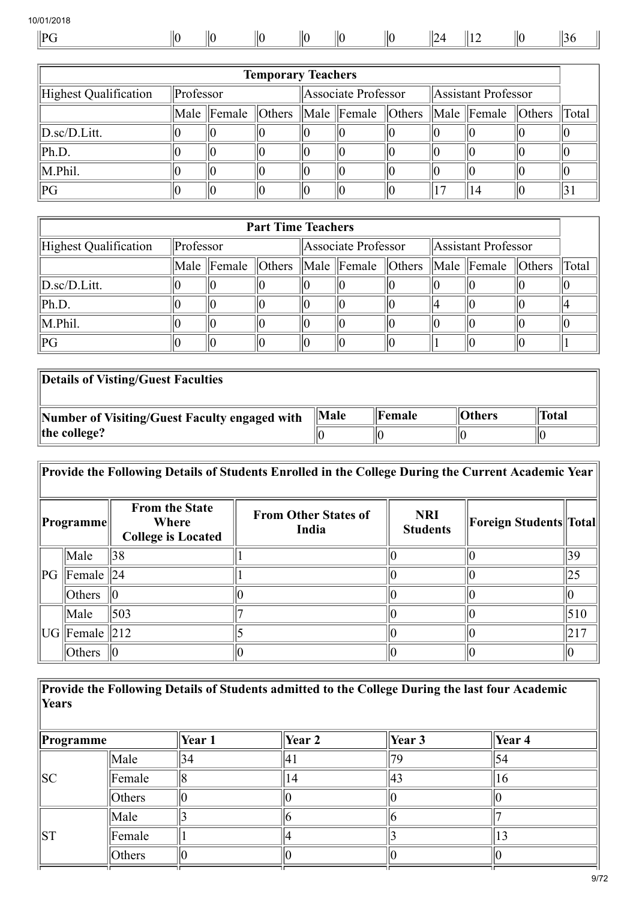| Ш |  |  | ۱ſ |  |  |
|---|--|--|----|--|--|
|   |  |  |    |  |  |

| <b>Temporary Teachers</b>          |           |  |  |  |                     |  |  |                                                                        |  |       |  |
|------------------------------------|-----------|--|--|--|---------------------|--|--|------------------------------------------------------------------------|--|-------|--|
| Highest Qualification              | Professor |  |  |  | Associate Professor |  |  | Assistant Professor                                                    |  |       |  |
|                                    |           |  |  |  |                     |  |  | Male Female   Others   Male   Female   Others   Male   Female   Others |  | Total |  |
| $\ D \text{.sc}/D \text{.Litt.}\ $ |           |  |  |  |                     |  |  |                                                                        |  |       |  |
| Ph.D.                              |           |  |  |  |                     |  |  |                                                                        |  |       |  |
| M.Phil.                            |           |  |  |  |                     |  |  |                                                                        |  |       |  |
| PG                                 |           |  |  |  |                     |  |  | 14                                                                     |  |       |  |

| <b>Part Time Teachers</b> |           |  |                     |  |                     |  |  |                                                                            |  |  |
|---------------------------|-----------|--|---------------------|--|---------------------|--|--|----------------------------------------------------------------------------|--|--|
| Highest Qualification     | Professor |  | Associate Professor |  | Assistant Professor |  |  |                                                                            |  |  |
|                           |           |  |                     |  |                     |  |  | Male Female   Others   Male Female   Others   Male Female   Others   Total |  |  |
| $\ D_{.}sc/D_{.}Litt.$    |           |  |                     |  |                     |  |  |                                                                            |  |  |
| Ph.D.                     |           |  |                     |  |                     |  |  |                                                                            |  |  |
| M.Phil.                   |           |  |                     |  |                     |  |  |                                                                            |  |  |
| PG                        |           |  |                     |  |                     |  |  |                                                                            |  |  |

| Details of Visting/Guest Faculties            |           |                 |               |              |
|-----------------------------------------------|-----------|-----------------|---------------|--------------|
| Number of Visiting/Guest Faculty engaged with | $\ $ Male | <b>  Female</b> | <b>Others</b> | <b>Total</b> |
| the college?                                  |           |                 |               |              |

|    | Provide the Following Details of Students Enrolled in the College During the Current Academic Year |                                                             |                                      |                               |                         |     |  |  |
|----|----------------------------------------------------------------------------------------------------|-------------------------------------------------------------|--------------------------------------|-------------------------------|-------------------------|-----|--|--|
|    | Programme                                                                                          | <b>From the State</b><br>Where<br><b>College is Located</b> | <b>From Other States of</b><br>India | <b>NRI</b><br><b>Students</b> | Foreign Students  Total |     |  |  |
|    | Male                                                                                               | 38                                                          |                                      |                               |                         | 39  |  |  |
| PG | Female   24                                                                                        |                                                             |                                      |                               |                         | 25  |  |  |
|    | Others                                                                                             |                                                             |                                      |                               |                         |     |  |  |
|    | Male                                                                                               | 503                                                         |                                      |                               |                         | 510 |  |  |
|    | UG   Female                                                                                        | $\parallel$ 212                                             |                                      |                               |                         | 217 |  |  |
|    | Others                                                                                             |                                                             |                                      |                               |                         |     |  |  |

Provide the Following Details of Students admitted to the College During the last four Academic Years

| <b>Programme</b> |        | Year 1 | Year 2 | Year 3 | Year 4 |
|------------------|--------|--------|--------|--------|--------|
|                  | Male   | 34     |        |        |        |
| SC               | Female |        | ↤      | 43     | O      |
|                  | Others |        |        |        |        |
|                  | Male   |        |        |        |        |
| ST               | Female |        |        |        |        |
|                  | Others |        |        |        |        |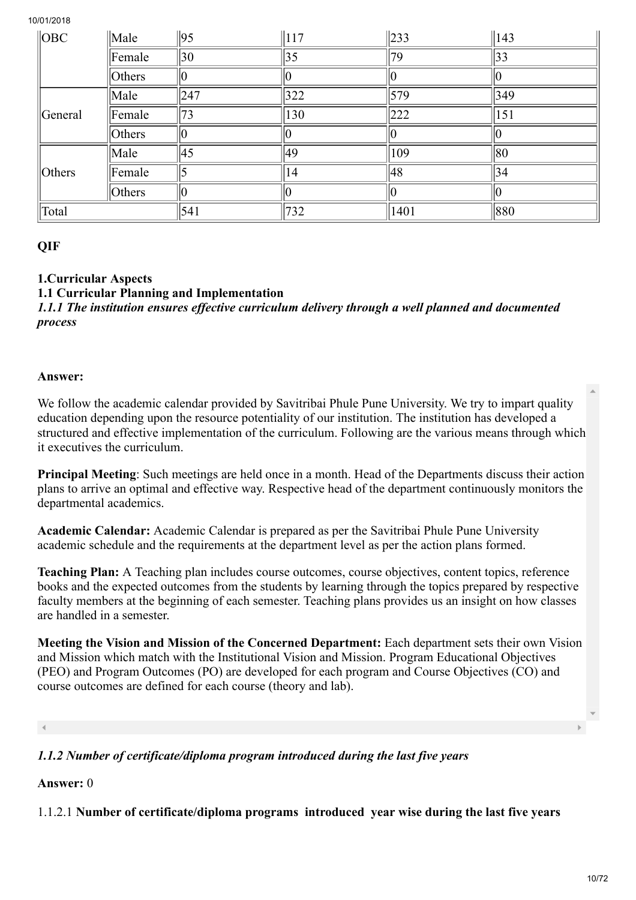| $\ $ OBC   | $\ $ Male | 95           | $\parallel$ 117 | $\ 233\ $ | $\parallel$ 143 |
|------------|-----------|--------------|-----------------|-----------|-----------------|
|            | Female    | $ 30\rangle$ | 35              | 79        | 33              |
|            | Others    |              |                 |           |                 |
|            | Male      | 247          | $322$           | 579       | 349             |
| General    | Female    | 73           | 130             | 222       | 151             |
|            | Others    |              |                 |           |                 |
|            | Male      | 45           | 49              | 109       | 80              |
| $ $ Others | Female    |              | 14              | 48        | 34              |
|            | Others    |              |                 |           |                 |
| Total      |           | 541          | 732             | 1401      | 880             |

# **QIF**

1.Curricular Aspects

1.1 Curricular Planning and Implementation

*1.1.1 The institution ensures effective curriculum delivery through a well planned and documented process*

#### Answer:

We follow the academic calendar provided by Savitribai Phule Pune University. We try to impart quality education depending upon the resource potentiality of our institution. The institution has developed a structured and effective implementation of the curriculum. Following are the various means through which it executives the curriculum.

Principal Meeting: Such meetings are held once in a month. Head of the Departments discuss their action plans to arrive an optimal and effective way. Respective head of the department continuously monitors the departmental academics.

Academic Calendar: Academic Calendar is prepared as per the Savitribai Phule Pune University academic schedule and the requirements at the department level as per the action plans formed.

Teaching Plan: A Teaching plan includes course outcomes, course objectives, content topics, reference books and the expected outcomes from the students by learning through the topics prepared by respective faculty members at the beginning of each semester. Teaching plans provides us an insight on how classes are handled in a semester.

Meeting the Vision and Mission of the Concerned Department: Each department sets their own Vision and Mission which match with the Institutional Vision and Mission. Program Educational Objectives (PEO) and Program Outcomes (PO) are developed for each program and Course Objectives (CO) and course outcomes are defined for each course (theory and lab).

# *1.1.2 Number of certificate/diploma program introduced during the last five years*

# Answer: 0

1.1.2.1 Number of certificate/diploma programs introduced year wise during the last five years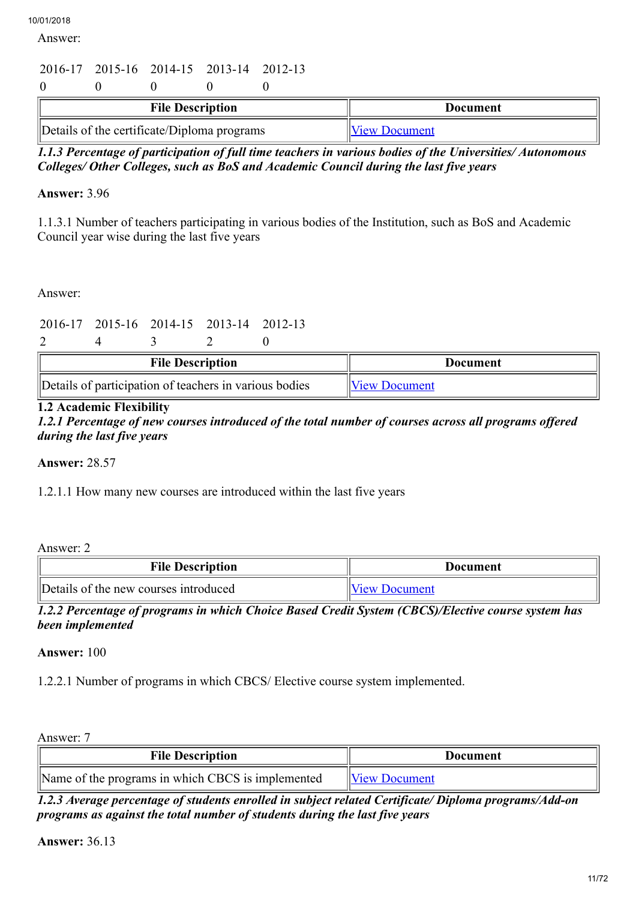Answer:

# 2016-17 2015-16 2014-15 2013-14 2012-13  $0 \qquad 0 \qquad 0 \qquad 0$

| <b>File Description</b>                     | Document                    |
|---------------------------------------------|-----------------------------|
| Details of the certificate/Diploma programs | <b>No. 11 Niew Document</b> |

*1.1.3 Percentage of participation of full time teachers in various bodies of the Universities/ Autonomous Colleges/ Other Colleges, such as BoS and Academic Council during the last five years*

# Answer: 3.96

1.1.3.1 Number of teachers participating in various bodies of the Institution, such as BoS and Academic Council year wise during the last five years

Answer:

2016-17 2015-16 2014-15 2013-14 2012-13

| $\rightarrow$ |  |
|---------------|--|
|---------------|--|

| <b>File Description</b>                                | Document                     |
|--------------------------------------------------------|------------------------------|
| Details of participation of teachers in various bodies | <i><b>IView Document</b></i> |

# 1.2 Academic Flexibility

*1.2.1 Percentage of new courses introduced of the total number of courses across all programs offered during the last five years*

Answer: 28.57

1.2.1.1 How many new courses are introduced within the last five years

Answer: 2

| <b>File Description</b>               | Document      |
|---------------------------------------|---------------|
| Details of the new courses introduced | View Document |

*1.2.2 Percentage of programs in which Choice Based Credit System (CBCS)/Elective course system has been implemented*

Answer: 100

1.2.2.1 Number of programs in which CBCS/ Elective course system implemented.

Answer: 7

| <b>File Description</b>                           | Document             |
|---------------------------------------------------|----------------------|
| Name of the programs in which CBCS is implemented | <b>View Document</b> |

*1.2.3 Average percentage of students enrolled in subject related Certificate/ Diploma programs/Add-on programs as against the total number of students during the last five years*

Answer: 36.13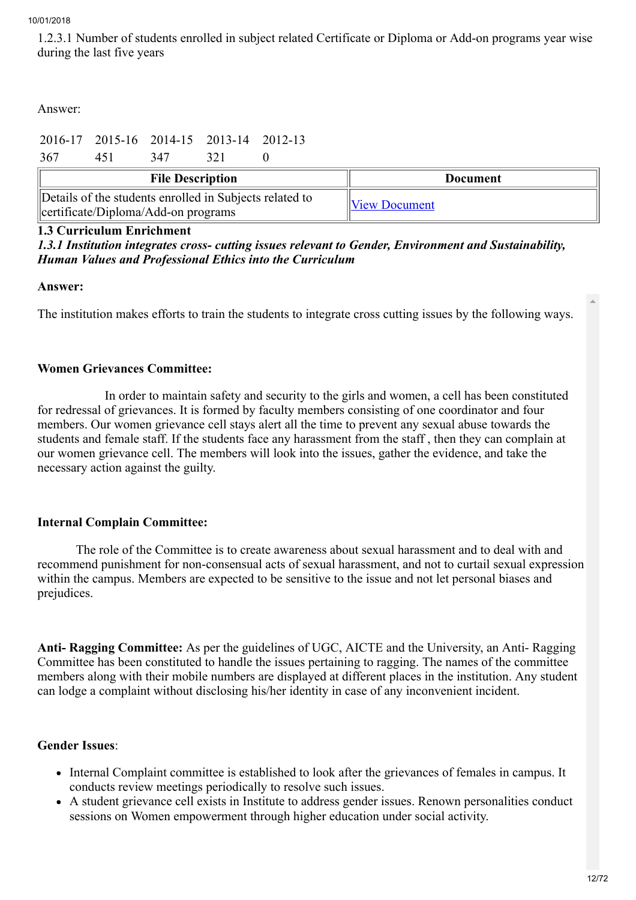1.2.3.1 Number of students enrolled in subject related Certificate or Diploma or Add-on programs year wise during the last five years

Answer:

|                         |     |     | 2016-17 2015-16 2014-15 2013-14 2012-13 |                 |  |  |
|-------------------------|-----|-----|-----------------------------------------|-----------------|--|--|
| 367                     | 451 | 347 | 321                                     |                 |  |  |
| <b>File Description</b> |     |     |                                         | <b>Document</b> |  |  |
|                         |     |     |                                         |                 |  |  |

# 1.3 Curriculum Enrichment

# *1.3.1 Institution integrates cross- cutting issues relevant to Gender, Environment and Sustainability, Human Values and Professional Ethics into the Curriculum*

# Answer:

The institution makes efforts to train the students to integrate cross cutting issues by the following ways.

# Women Grievances Committee:

 In order to maintain safety and security to the girls and women, a cell has been constituted for redressal of grievances. It is formed by faculty members consisting of one coordinator and four members. Our women grievance cell stays alert all the time to prevent any sexual abuse towards the students and female staff. If the students face any harassment from the staff , then they can complain at our women grievance cell. The members will look into the issues, gather the evidence, and take the necessary action against the guilty.

# Internal Complain Committee:

 The role of the Committee is to create awareness about sexual harassment and to deal with and recommend punishment for non-consensual acts of sexual harassment, and not to curtail sexual expression within the campus. Members are expected to be sensitive to the issue and not let personal biases and prejudices.

Anti- Ragging Committee: As per the guidelines of UGC, AICTE and the University, an Anti- Ragging Committee has been constituted to handle the issues pertaining to ragging. The names of the committee members along with their mobile numbers are displayed at different places in the institution. Any student can lodge a complaint without disclosing his/her identity in case of any inconvenient incident.

# Gender Issues:

- Internal Complaint committee is established to look after the grievances of females in campus. It conducts review meetings periodically to resolve such issues.
- A student grievance cell exists in Institute to address gender issues. Renown personalities conduct sessions on Women empowerment through higher education under social activity.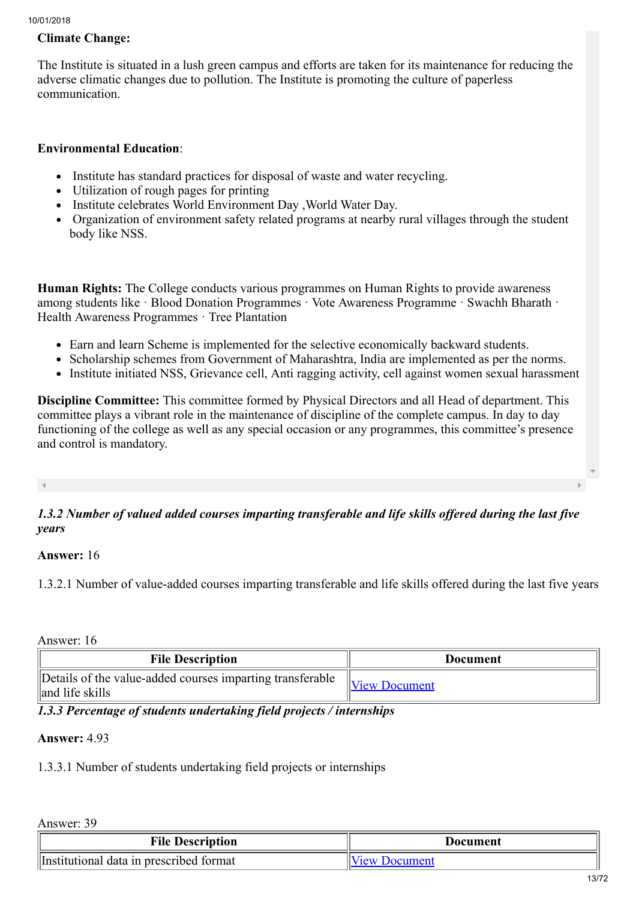# Climate Change:

The Institute is situated in a lush green campus and efforts are taken for its maintenance for reducing the adverse climatic changes due to pollution. The Institute is promoting the culture of paperless communication.

## Environmental Education:

- Institute has standard practices for disposal of waste and water recycling.  $\bullet$
- Utilization of rough pages for printing
- Institute celebrates World Environment Day , World Water Day.
- Organization of environment safety related programs at nearby rural villages through the student body like NSS.

Human Rights: The College conducts various programmes on Human Rights to provide awareness among students like · Blood Donation Programmes · Vote Awareness Programme · Swachh Bharath · Health Awareness Programmes · Tree Plantation

- Earn and learn Scheme is implemented for the selective economically backward students.
- Scholarship schemes from Government of Maharashtra, India are implemented as per the norms.
- Institute initiated NSS, Grievance cell, Anti ragging activity, cell against women sexual harassment

Discipline Committee: This committee formed by Physical Directors and all Head of department. This committee plays a vibrant role in the maintenance of discipline of the complete campus. In day to day functioning of the college as well as any special occasion or any programmes, this committee's presence and control is mandatory.

# *1.3.2 Number of valued added courses imparting transferable and life skills offered during the last five years*

#### Answer: 16

1.3.2.1 Number of value-added courses imparting transferable and life skills offered during the last five years

Answer: 16

| <b>File Description</b>                                                      | Document             |
|------------------------------------------------------------------------------|----------------------|
| Details of the value-added courses imparting transferable<br>and life skills | <b>View Document</b> |

*1.3.3 Percentage of students undertaking field projects / internships*

#### Answer: 4.93

1.3.3.1 Number of students undertaking field projects or internships

Answer: 39

| <b>File Description</b>                 | Document         |  |
|-----------------------------------------|------------------|--|
| Institutional data in prescribed format | Document<br>/1ΑW |  |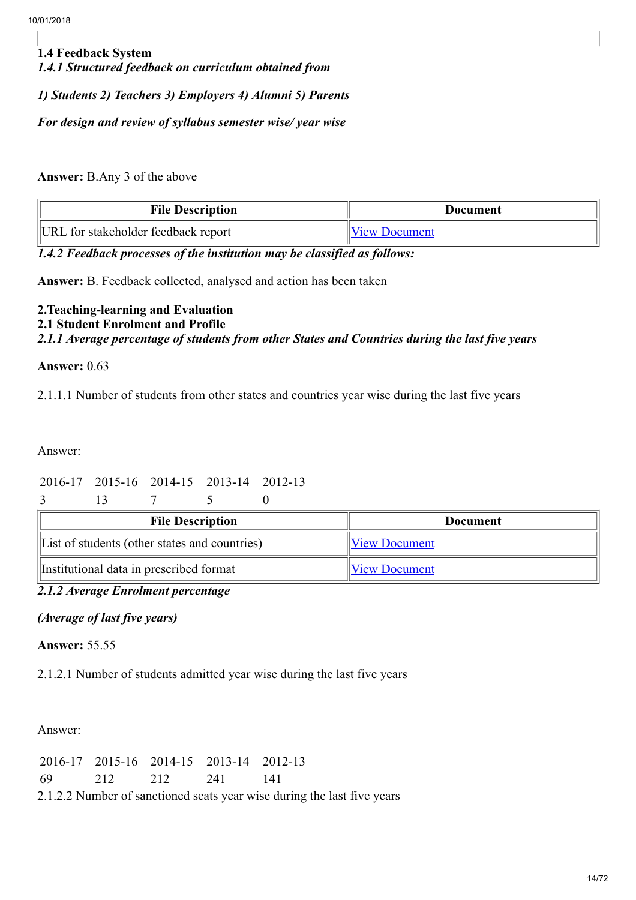1.4 Feedback System *1.4.1 Structured feedback on curriculum obtained from 1) Students 2) Teachers 3) Employers 4) Alumni 5) Parents*

*For design and review of syllabus semester wise/ year wise*

Answer: B.Any 3 of the above

| <b>File Description</b>             | Document             |  |  |
|-------------------------------------|----------------------|--|--|
| URL for stakeholder feedback report | <b>View Document</b> |  |  |

*1.4.2 Feedback processes of the institution may be classified as follows:*

Answer: B. Feedback collected, analysed and action has been taken

# 2.Teaching-learning and Evaluation 2.1 Student Enrolment and Profile *2.1.1 Average percentage of students from other States and Countries during the last five years*

#### Answer: 0.63

2.1.1.1 Number of students from other states and countries year wise during the last five years

Answer:

# 2016-17 2015-16 2014-15 2013-14 2012-13

3 13 7 5 0

| <b>File Description</b>                       | <b>Document</b>      |  |
|-----------------------------------------------|----------------------|--|
| List of students (other states and countries) | <b>View Document</b> |  |
| Institutional data in prescribed format       | <b>View Document</b> |  |

# *2.1.2 Average Enrolment percentage*

# *(Average of last five years)*

#### Answer: 55.55

2.1.2.1 Number of students admitted year wise during the last five years

Answer:

|  | 2016-17 2015-16 2014-15 2013-14 2012-13 |                                                                         |
|--|-----------------------------------------|-------------------------------------------------------------------------|
|  | 69 212 212 241 141                      |                                                                         |
|  |                                         | 2.1.2.2 Number of sanctioned seats year wise during the last five years |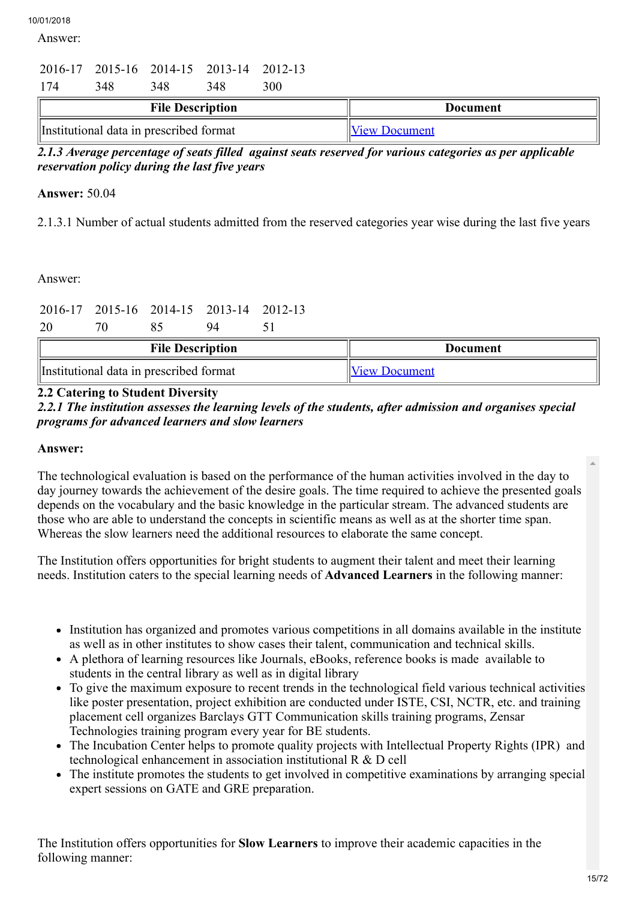Answer:

# 2016-17 2015-16 2014-15 2013-14 2012-13 174 348 348 348 300

| <b>File Description</b>                 | Document             |  |  |
|-----------------------------------------|----------------------|--|--|
| Institutional data in prescribed format | <b>View Document</b> |  |  |

*2.1.3 Average percentage of seats filled against seats reserved for various categories as per applicable reservation policy during the last five years*

# Answer: 50.04

2.1.3.1 Number of actual students admitted from the reserved categories year wise during the last five years

# Answer:

| 20                                      |  |  | 2016-17 2015-16 2014-15 2013-14 2012-13<br>94 |                      |                 |
|-----------------------------------------|--|--|-----------------------------------------------|----------------------|-----------------|
| <b>File Description</b>                 |  |  |                                               |                      | <b>Document</b> |
| Institutional data in prescribed format |  |  |                                               | <b>View Document</b> |                 |

# 2.2 Catering to Student Diversity

*2.2.1 The institution assesses the learning levels of the students, after admission and organises special programs for advanced learners and slow learners*

#### Answer:

The technological evaluation is based on the performance of the human activities involved in the day to day journey towards the achievement of the desire goals. The time required to achieve the presented goals depends on the vocabulary and the basic knowledge in the particular stream. The advanced students are those who are able to understand the concepts in scientific means as well as at the shorter time span. Whereas the slow learners need the additional resources to elaborate the same concept.

The Institution offers opportunities for bright students to augment their talent and meet their learning needs. Institution caters to the special learning needs of Advanced Learners in the following manner:

- Institution has organized and promotes various competitions in all domains available in the institute as well as in other institutes to show cases their talent, communication and technical skills.
- A plethora of learning resources like Journals, eBooks, reference books is made available to students in the central library as well as in digital library
- To give the maximum exposure to recent trends in the technological field various technical activities like poster presentation, project exhibition are conducted under ISTE, CSI, NCTR, etc. and training placement cell organizes Barclays GTT Communication skills training programs, Zensar Technologies training program every year for BE students.
- The Incubation Center helps to promote quality projects with Intellectual Property Rights (IPR) and technological enhancement in association institutional R & D cell
- The institute promotes the students to get involved in competitive examinations by arranging special expert sessions on GATE and GRE preparation.

The Institution offers opportunities for Slow Learners to improve their academic capacities in the following manner: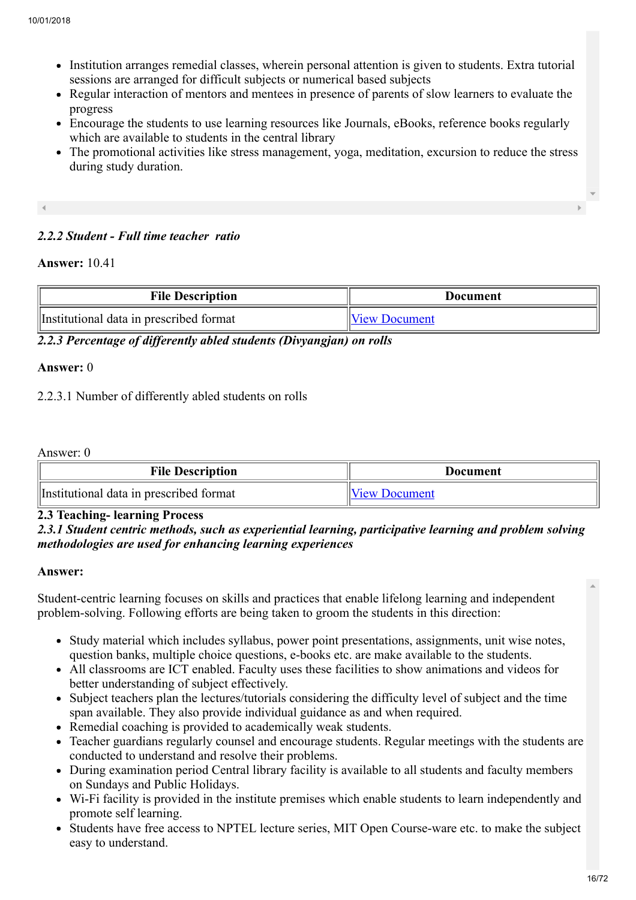- Institution arranges remedial classes, wherein personal attention is given to students. Extra tutorial sessions are arranged for difficult subjects or numerical based subjects
- Regular interaction of mentors and mentees in presence of parents of slow learners to evaluate the progress
- Encourage the students to use learning resources like Journals, eBooks, reference books regularly which are available to students in the central library
- The promotional activities like stress management, yoga, meditation, excursion to reduce the stress during study duration.

# *2.2.2 Student - Full time teacher ratio*

#### Answer: 10.41

| <b>File Description</b>                 | Document      |
|-----------------------------------------|---------------|
| Institutional data in prescribed format | View Document |

*2.2.3 Percentage of differently abled students (Divyangjan) on rolls*

#### Answer: 0

2.2.3.1 Number of differently abled students on rolls

Answer: 0

| <b>File Description</b>                 | Document             |  |  |
|-----------------------------------------|----------------------|--|--|
| Institutional data in prescribed format | <b>View Document</b> |  |  |

# 2.3 Teaching- learning Process

# *2.3.1 Student centric methods, such as experiential learning, participative learning and problem solving methodologies are used for enhancing learning experiences*

#### Answer:

Student-centric learning focuses on skills and practices that enable lifelong learning and independent problem-solving. Following efforts are being taken to groom the students in this direction:

- Study material which includes syllabus, power point presentations, assignments, unit wise notes, question banks, multiple choice questions, e-books etc. are make available to the students.
- All classrooms are ICT enabled. Faculty uses these facilities to show animations and videos for better understanding of subject effectively.
- Subject teachers plan the lectures/tutorials considering the difficulty level of subject and the time span available. They also provide individual guidance as and when required.
- Remedial coaching is provided to academically weak students.
- Teacher guardians regularly counsel and encourage students. Regular meetings with the students are conducted to understand and resolve their problems.
- During examination period Central library facility is available to all students and faculty members on Sundays and Public Holidays.
- Wi-Fi facility is provided in the institute premises which enable students to learn independently and promote self learning.
- Students have free access to NPTEL lecture series, MIT Open Course-ware etc. to make the subject easy to understand.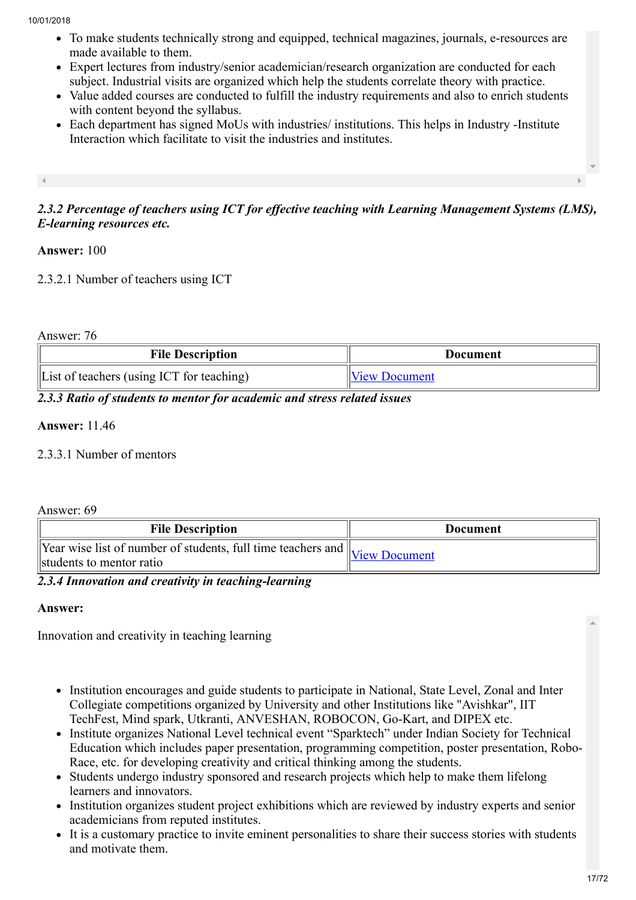- To make students technically strong and equipped, technical magazines, journals, e-resources are made available to them.
- Expert lectures from industry/senior academician/research organization are conducted for each subject. Industrial visits are organized which help the students correlate theory with practice.
- Value added courses are conducted to fulfill the industry requirements and also to enrich students with content beyond the syllabus.
- Each department has signed MoUs with industries/ institutions. This helps in Industry -Institute Interaction which facilitate to visit the industries and institutes.

*2.3.2 Percentage of teachers using ICT for effective teaching with Learning Management Systems (LMS), E-learning resources etc.*

# Answer: 100

2.3.2.1 Number of teachers using ICT

Answer: 76

| <b>File Description</b>                               | Document             |  |
|-------------------------------------------------------|----------------------|--|
| $\parallel$ List of teachers (using ICT for teaching) | <b>View Document</b> |  |

*2.3.3 Ratio of students to mentor for academic and stress related issues*

#### Answer: 11.46

2.3.3.1 Number of mentors

#### Answer: 69

| <b>File Description</b>                                                                                                                                                                                                                                                                                                                                                                                                                                       | <b>Document</b> |
|---------------------------------------------------------------------------------------------------------------------------------------------------------------------------------------------------------------------------------------------------------------------------------------------------------------------------------------------------------------------------------------------------------------------------------------------------------------|-----------------|
| $\sqrt{1$ $\sqrt{1 - \frac{1}{\sqrt{1 - \frac{1}{\sqrt{1 - \frac{1}{\sqrt{1 - \frac{1}{\sqrt{1 - \frac{1}{\sqrt{1 - \frac{1}{\sqrt{1 - \frac{1}{\sqrt{1 - \frac{1}{\sqrt{1 - \frac{1}{\sqrt{1 - \frac{1}{\sqrt{1 - \frac{1}{\sqrt{1 - \frac{1}{\sqrt{1 - \frac{1}{\sqrt{1 - \frac{1}{\sqrt{1 - \frac{1}{\sqrt{1 - \frac{1}{\sqrt{1 - \frac{1}{\sqrt{1 - \frac{1}{\sqrt{1 - \frac{1}{\sqrt{1 - \frac{1}{\sqrt{1 - \frac{1}{\sqrt{$<br>students to mentor ratio |                 |

*2.3.4 Innovation and creativity in teaching-learning*

#### Answer:

Innovation and creativity in teaching learning

- Institution encourages and guide students to participate in National, State Level, Zonal and Inter Collegiate competitions organized by University and other Institutions like "Avishkar", IIT TechFest, Mind spark, Utkranti, ANVESHAN, ROBOCON, Go-Kart, and DIPEX etc.
- Institute organizes National Level technical event "Sparktech" under Indian Society for Technical Education which includes paper presentation, programming competition, poster presentation, Robo-Race, etc. for developing creativity and critical thinking among the students.
- Students undergo industry sponsored and research projects which help to make them lifelong learners and innovators.
- Institution organizes student project exhibitions which are reviewed by industry experts and senior academicians from reputed institutes.
- It is a customary practice to invite eminent personalities to share their success stories with students and motivate them.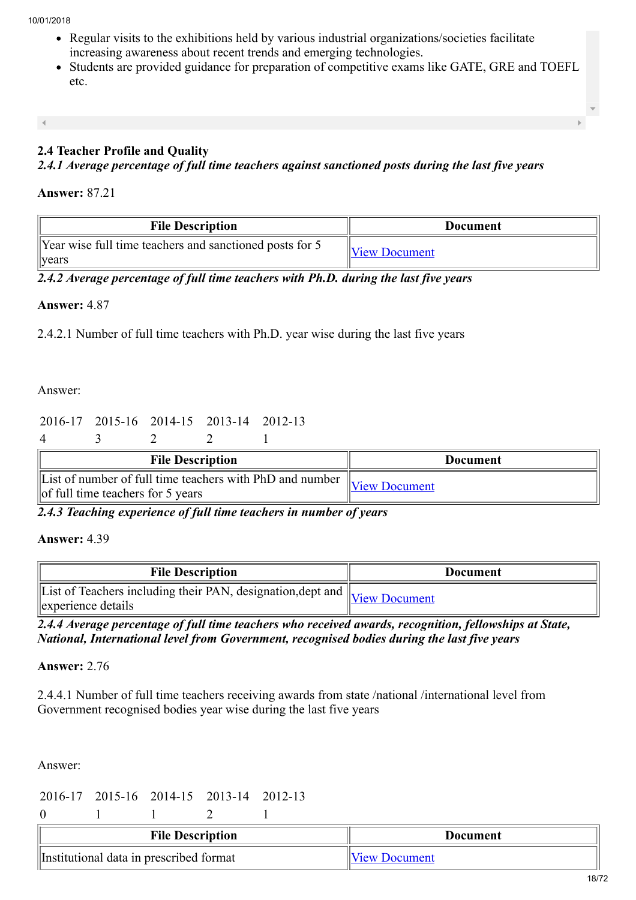- Regular visits to the exhibitions held by various industrial organizations/societies facilitate increasing awareness about recent trends and emerging technologies.
- Students are provided guidance for preparation of competitive exams like GATE, GRE and TOEFL etc.

# 2.4 Teacher Profile and Quality

*2.4.1 Average percentage of full time teachers against sanctioned posts during the last five years*

#### Answer: 87.21

| <b>File Description</b>                                                  | Document             |  |
|--------------------------------------------------------------------------|----------------------|--|
| Year wise full time teachers and sanctioned posts for 5<br>$\vert$ years | <b>View Document</b> |  |

*2.4.2 Average percentage of full time teachers with Ph.D. during the last five years*

# Answer: 4.87

2.4.2.1 Number of full time teachers with Ph.D. year wise during the last five years

Answer:

#### 2016-17 2015-16 2014-15 2013-14 2012-13

| <b>File Description</b> |                                                                                                                                               |  |  |  |  | <b>Document</b> |
|-------------------------|-----------------------------------------------------------------------------------------------------------------------------------------------|--|--|--|--|-----------------|
|                         | $\sqrt{$ Eist of number of full time teachers with PhD and number $\sqrt{$ View Document<br>$\left\  \right\ $ full time teachers for 5 years |  |  |  |  |                 |

*2.4.3 Teaching experience of full time teachers in number of years*

# Answer: 4.39

| <b>File Description</b>                                                                            | Document |
|----------------------------------------------------------------------------------------------------|----------|
| IList of Teachers including their PAN, designation, dept and View Document<br>s experience details |          |

*2.4.4 Average percentage of full time teachers who received awards, recognition, fellowships at State, National, International level from Government, recognised bodies during the last five years*

Answer: 2.76

2.4.4.1 Number of full time teachers receiving awards from state /national /international level from Government recognised bodies year wise during the last five years

Answer:

2016-17 2015-16 2014-15 2013-14 2012-13

0 1 1 2 1

| <b>File Description</b>                 | Document             |
|-----------------------------------------|----------------------|
| Institutional data in prescribed format | <b>View Document</b> |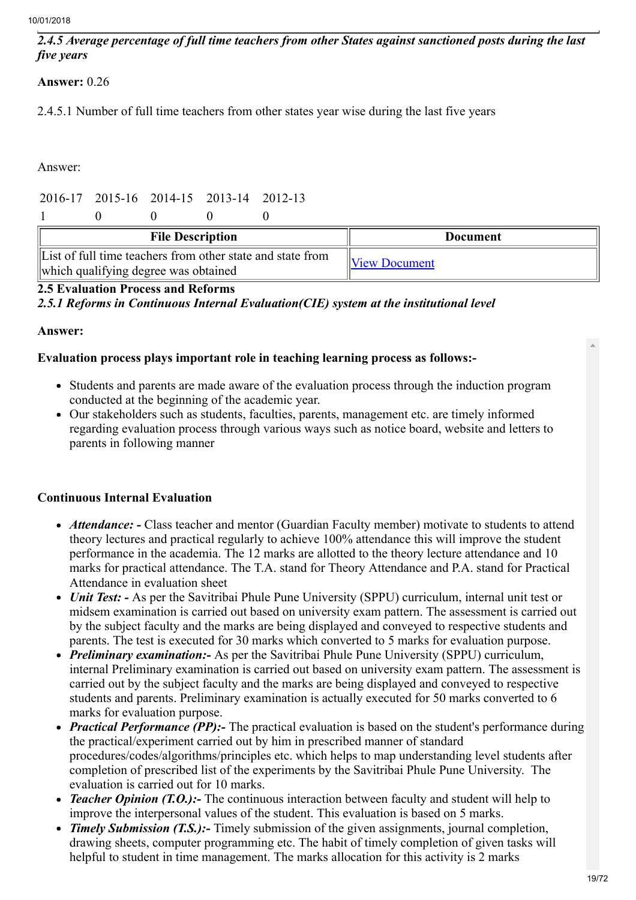## *2.4.5 Average percentage of full time teachers from other States against sanctioned posts during the last five years*

# Answer: 0.26

2.4.5.1 Number of full time teachers from other states year wise during the last five years

Answer:

# 2016-17 2015-16 2014-15 2013-14 2012-13

|                                                                                                    | <b>File Description</b> |  |                      | <b>Document</b> |  |
|----------------------------------------------------------------------------------------------------|-------------------------|--|----------------------|-----------------|--|
| List of full time teachers from other state and state from<br>which qualifying degree was obtained |                         |  | <b>View Document</b> |                 |  |

#### 2.5 Evaluation Process and Reforms

*2.5.1 Reforms in Continuous Internal Evaluation(CIE) system at the institutional level*

#### Answer:

#### Evaluation process plays important role in teaching learning process as follows:-

- Students and parents are made aware of the evaluation process through the induction program conducted at the beginning of the academic year.
- Our stakeholders such as students, faculties, parents, management etc. are timely informed regarding evaluation process through various ways such as notice board, website and letters to parents in following manner

# Continuous Internal Evaluation

- *Attendance: -* Class teacher and mentor (Guardian Faculty member) motivate to students to attend theory lectures and practical regularly to achieve 100% attendance this will improve the student performance in the academia. The 12 marks are allotted to the theory lecture attendance and 10 marks for practical attendance. The T.A. stand for Theory Attendance and P.A. stand for Practical Attendance in evaluation sheet
- *Unit Test:* As per the Savitribai Phule Pune University (SPPU) curriculum, internal unit test or midsem examination is carried out based on university exam pattern. The assessment is carried out by the subject faculty and the marks are being displayed and conveyed to respective students and parents. The test is executed for 30 marks which converted to 5 marks for evaluation purpose.
- *Preliminary examination:-* As per the Savitribai Phule Pune University (SPPU) curriculum, internal Preliminary examination is carried out based on university exam pattern. The assessment is carried out by the subject faculty and the marks are being displayed and conveyed to respective students and parents. Preliminary examination is actually executed for 50 marks converted to 6 marks for evaluation purpose.
- *Practical Performance (PP):* The practical evaluation is based on the student's performance during the practical/experiment carried out by him in prescribed manner of standard procedures/codes/algorithms/principles etc. which helps to map understanding level students after completion of prescribed list of the experiments by the Savitribai Phule Pune University. The evaluation is carried out for 10 marks.
- *Teacher Opinion (T.O.)*: The continuous interaction between faculty and student will help to improve the interpersonal values of the student. This evaluation is based on 5 marks.
- *Timely Submission (T.S.):-* Timely submission of the given assignments, journal completion, drawing sheets, computer programming etc. The habit of timely completion of given tasks will helpful to student in time management. The marks allocation for this activity is 2 marks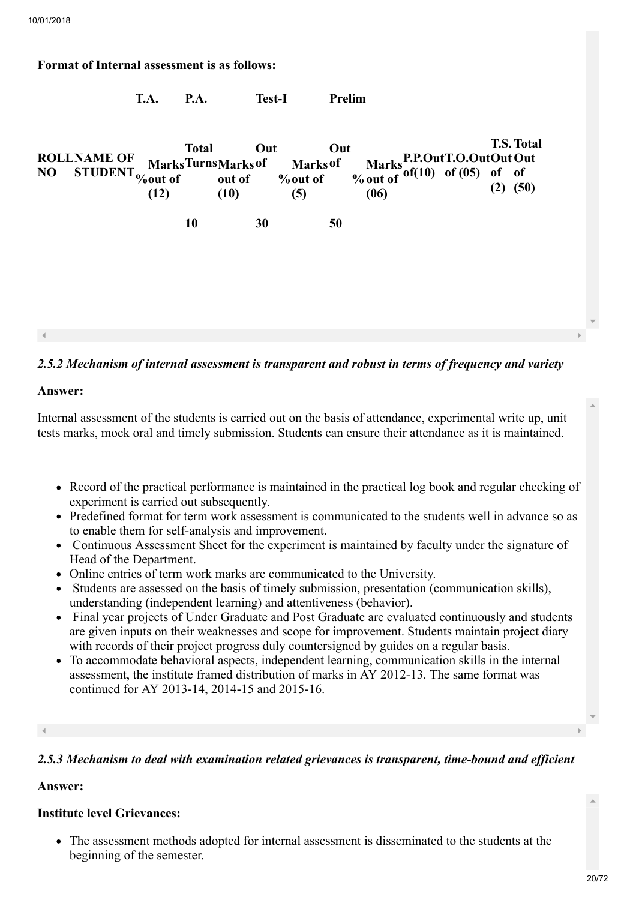## Format of Internal assessment is as follows:

| <b>ROLLNAME OF</b><br>N <sub>O</sub><br>STUDENT <sub>%out of</sub> | (12) | Total<br>Out<br>out of % out of<br>(10) | Out<br>MarksTurnsMarks of Marks of<br>(5) | Marks P.P.Out T.O.Out Out Out<br>% out of of(10) of (05) of of<br>(06) | <b>T.S. Total</b><br>$(2)$ $(50)$ |
|--------------------------------------------------------------------|------|-----------------------------------------|-------------------------------------------|------------------------------------------------------------------------|-----------------------------------|
|                                                                    | 10   | 30                                      | 50                                        |                                                                        |                                   |
|                                                                    |      |                                         |                                           |                                                                        |                                   |
|                                                                    |      |                                         |                                           |                                                                        |                                   |
|                                                                    |      |                                         |                                           |                                                                        |                                   |
|                                                                    |      |                                         |                                           |                                                                        |                                   |

T.A. P.A. Test-I Prelim

# *2.5.2 Mechanism of internal assessment is transparent and robust in terms of frequency and variety*

#### Answer:

Internal assessment of the students is carried out on the basis of attendance, experimental write up, unit tests marks, mock oral and timely submission. Students can ensure their attendance as it is maintained.

- Record of the practical performance is maintained in the practical log book and regular checking of experiment is carried out subsequently.
- Predefined format for term work assessment is communicated to the students well in advance so as to enable them for self-analysis and improvement.
- Continuous Assessment Sheet for the experiment is maintained by faculty under the signature of Head of the Department.
- Online entries of term work marks are communicated to the University.
- Students are assessed on the basis of timely submission, presentation (communication skills), understanding (independent learning) and attentiveness (behavior).
- Final year projects of Under Graduate and Post Graduate are evaluated continuously and students are given inputs on their weaknesses and scope for improvement. Students maintain project diary with records of their project progress duly countersigned by guides on a regular basis.
- To accommodate behavioral aspects, independent learning, communication skills in the internal assessment, the institute framed distribution of marks in AY 2012-13. The same format was continued for AY 2013-14, 2014-15 and 2015-16.

#### *2.5.3 Mechanism to deal with examination related grievances is transparent, time-bound and efficient*

#### Answer:

#### Institute level Grievances:

The assessment methods adopted for internal assessment is disseminated to the students at the beginning of the semester.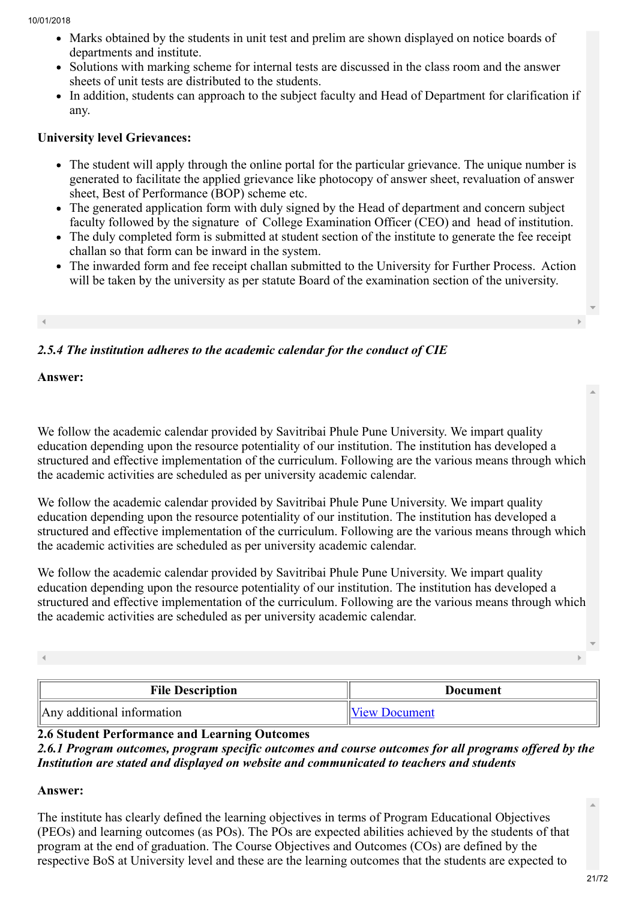- Marks obtained by the students in unit test and prelim are shown displayed on notice boards of departments and institute.
- Solutions with marking scheme for internal tests are discussed in the class room and the answer sheets of unit tests are distributed to the students.
- In addition, students can approach to the subject faculty and Head of Department for clarification if any.

# University level Grievances:

- The student will apply through the online portal for the particular grievance. The unique number is generated to facilitate the applied grievance like photocopy of answer sheet, revaluation of answer sheet, Best of Performance (BOP) scheme etc.
- The generated application form with duly signed by the Head of department and concern subject faculty followed by the signature of College Examination Officer (CEO) and head of institution.
- The duly completed form is submitted at student section of the institute to generate the fee receipt challan so that form can be inward in the system.
- The inwarded form and fee receipt challan submitted to the University for Further Process. Action will be taken by the university as per statute Board of the examination section of the university.

# *2.5.4 The institution adheres to the academic calendar for the conduct of CIE*

Answer:

We follow the academic calendar provided by Savitribai Phule Pune University. We impart quality education depending upon the resource potentiality of our institution. The institution has developed a structured and effective implementation of the curriculum. Following are the various means through which the academic activities are scheduled as per university academic calendar.

We follow the academic calendar provided by Savitribai Phule Pune University. We impart quality education depending upon the resource potentiality of our institution. The institution has developed a structured and effective implementation of the curriculum. Following are the various means through which the academic activities are scheduled as per university academic calendar.

We follow the academic calendar provided by Savitribai Phule Pune University. We impart quality education depending upon the resource potentiality of our institution. The institution has developed a structured and effective implementation of the curriculum. Following are the various means through which the academic activities are scheduled as per university academic calendar.

| <b>File Description</b>    | <b>Document</b>      |
|----------------------------|----------------------|
| Any additional information | <b>View Document</b> |

# 2.6 Student Performance and Learning Outcomes

# *2.6.1 Program outcomes, program specific outcomes and course outcomes for all programs offered by the Institution are stated and displayed on website and communicated to teachers and students*

# Answer:

The institute has clearly defined the learning objectives in terms of Program Educational Objectives (PEOs) and learning outcomes (as POs). The POs are expected abilities achieved by the students of that program at the end of graduation. The Course Objectives and Outcomes (COs) are defined by the respective BoS at University level and these are the learning outcomes that the students are expected to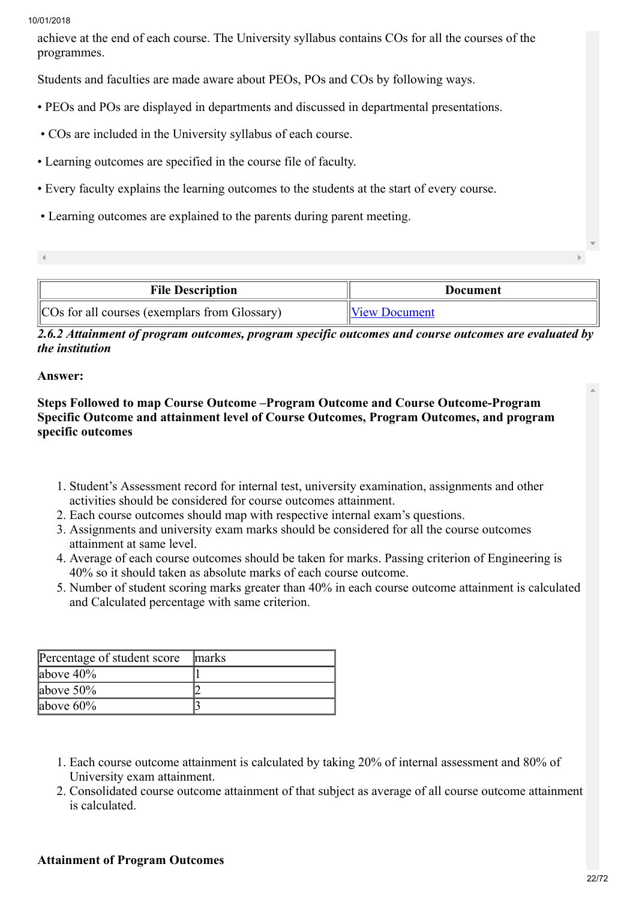achieve at the end of each course. The University syllabus contains COs for all the courses of the programmes.

Students and faculties are made aware about PEOs, POs and COs by following ways.

- PEOs and POs are displayed in departments and discussed in departmental presentations.
- COs are included in the University syllabus of each course.
- Learning outcomes are specified in the course file of faculty.
- Every faculty explains the learning outcomes to the students at the start of every course.
- Learning outcomes are explained to the parents during parent meeting.
- 

| <b>File Description</b> | Document             |
|-------------------------|----------------------|
|                         | <b>View Document</b> |

*2.6.2 Attainment of program outcomes, program specific outcomes and course outcomes are evaluated by the institution*

# Answer:

Steps Followed to map Course Outcome –Program Outcome and Course Outcome-Program Specific Outcome and attainment level of Course Outcomes, Program Outcomes, and program specific outcomes

- 1. Student's Assessment record for internal test, university examination, assignments and other activities should be considered for course outcomes attainment.
- 2. Each course outcomes should map with respective internal exam's questions.
- 3. Assignments and university exam marks should be considered for all the course outcomes attainment at same level.
- 4. Average of each course outcomes should be taken for marks. Passing criterion of Engineering is 40% so it should taken as absolute marks of each course outcome.
- 5. Number of student scoring marks greater than 40% in each course outcome attainment is calculated and Calculated percentage with same criterion.

| Percentage of student score | <b>Imarks</b> |
|-----------------------------|---------------|
| above $40\%$                |               |
| above $50\%$                |               |
| above $60\%$                |               |

- 1. Each course outcome attainment is calculated by taking 20% of internal assessment and 80% of University exam attainment.
- 2. Consolidated course outcome attainment of that subject as average of all course outcome attainment is calculated.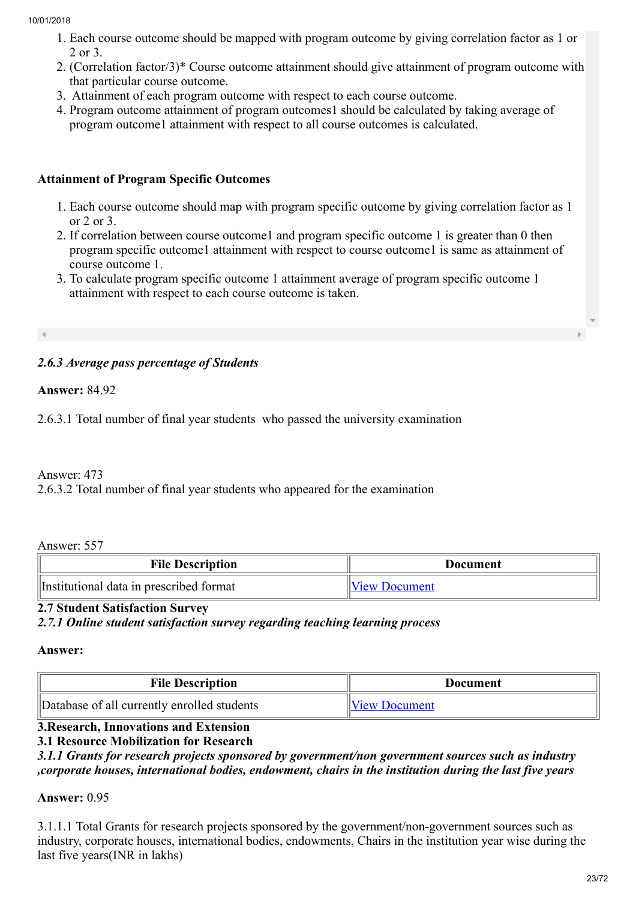- 1. Each course outcome should be mapped with program outcome by giving correlation factor as 1 or 2 or 3.
- 2. (Correlation factor/3)\* Course outcome attainment should give attainment of program outcome with that particular course outcome.
- 3. Attainment of each program outcome with respect to each course outcome.
- 4. Program outcome attainment of program outcomes1 should be calculated by taking average of program outcome1 attainment with respect to all course outcomes is calculated.

# Attainment of Program Specific Outcomes

- 1. Each course outcome should map with program specific outcome by giving correlation factor as 1 or 2 or 3.
- 2. If correlation between course outcome1 and program specific outcome 1 is greater than 0 then program specific outcome1 attainment with respect to course outcome1 is same as attainment of course outcome 1.
- 3. To calculate program specific outcome 1 attainment average of program specific outcome 1 attainment with respect to each course outcome is taken.

# *2.6.3 Average pass percentage of Students*

Answer: 84.92

2.6.3.1 Total number of final year students who passed the university examination

# Answer: 473

2.6.3.2 Total number of final year students who appeared for the examination

Answer: 557

| <b>File Description</b>                 | Document             |
|-----------------------------------------|----------------------|
| Institutional data in prescribed format | <b>View Document</b> |

# 2.7 Student Satisfaction Survey

*2.7.1 Online student satisfaction survey regarding teaching learning process*

#### Answer:

| <b>File Description</b>                     | Document             |
|---------------------------------------------|----------------------|
| Database of all currently enrolled students | <b>View Document</b> |

# 3.Research, Innovations and Extension

# 3.1 Resource Mobilization for Research

*3.1.1 Grants for research projects sponsored by government/non government sources such as industry ,corporate houses, international bodies, endowment, chairs in the institution during the last five years*

# Answer: 0.95

3.1.1.1 Total Grants for research projects sponsored by the government/non-government sources such as industry, corporate houses, international bodies, endowments, Chairs in the institution year wise during the last five years(INR in lakhs)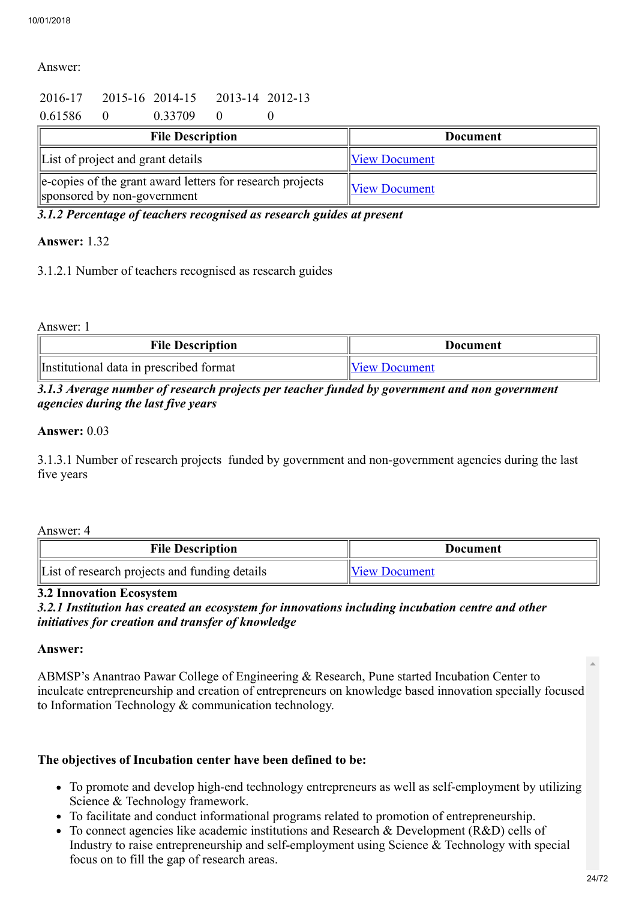#### Answer:

# 2016-17 2015-16 2014-15 2013-14 2012-13

0.61586 0 0.33709 0 0

| <b>File Description</b>                                                                  | Document             |
|------------------------------------------------------------------------------------------|----------------------|
| List of project and grant details                                                        | <b>View Document</b> |
| e-copies of the grant award letters for research projects<br>sponsored by non-government | <b>View Document</b> |

*3.1.2 Percentage of teachers recognised as research guides at present*

#### Answer: 1.32

3.1.2.1 Number of teachers recognised as research guides

Answer: 1

| <b>File Description</b>                 | Document             |
|-----------------------------------------|----------------------|
| Institutional data in prescribed format | <b>View Document</b> |

## *3.1.3 Average number of research projects per teacher funded by government and non government agencies during the last five years*

#### Answer: 0.03

3.1.3.1 Number of research projects funded by government and non-government agencies during the last five years

#### Answer: 4

| <b>File Description</b>                       | Document      |
|-----------------------------------------------|---------------|
| List of research projects and funding details | View Document |

#### 3.2 Innovation Ecosystem

*3.2.1 Institution has created an ecosystem for innovations including incubation centre and other initiatives for creation and transfer of knowledge*

#### Answer:

ABMSP's Anantrao Pawar College of Engineering & Research, Pune started Incubation Center to inculcate entrepreneurship and creation of entrepreneurs on knowledge based innovation specially focused to Information Technology & communication technology.

# The objectives of Incubation center have been defined to be:

- To promote and develop high-end technology entrepreneurs as well as self-employment by utilizing Science & Technology framework.
- To facilitate and conduct informational programs related to promotion of entrepreneurship.
- To connect agencies like academic institutions and Research & Development (R&D) cells of Industry to raise entrepreneurship and self-employment using Science & Technology with special focus on to fill the gap of research areas.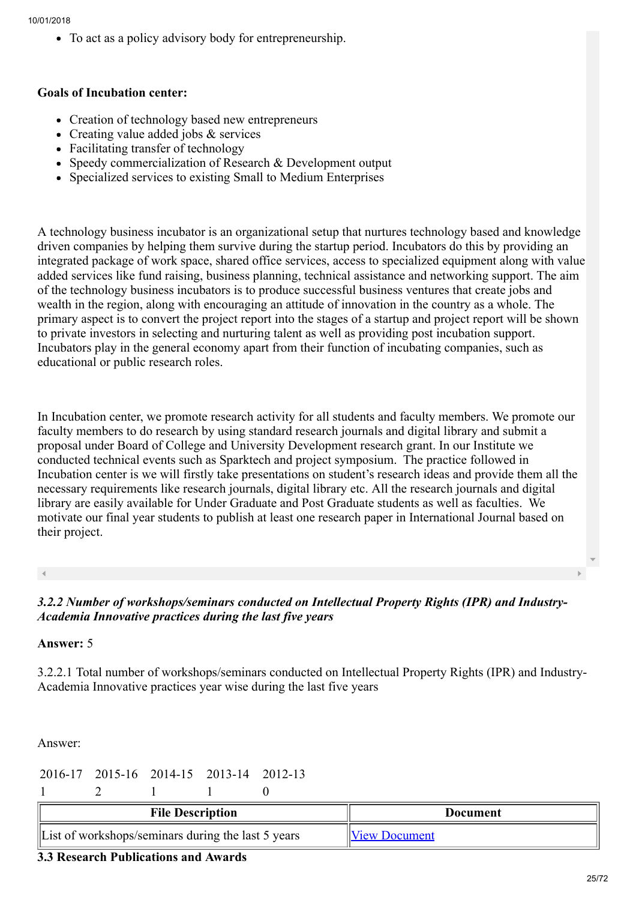To act as a policy advisory body for entrepreneurship.

#### Goals of Incubation center:

- Creation of technology based new entrepreneurs
- Creating value added jobs & services
- Facilitating transfer of technology
- Speedy commercialization of Research & Development output
- Specialized services to existing Small to Medium Enterprises

A technology business incubator is an organizational setup that nurtures technology based and knowledge driven companies by helping them survive during the startup period. Incubators do this by providing an integrated package of work space, shared office services, access to specialized equipment along with value added services like fund raising, business planning, technical assistance and networking support. The aim of the technology business incubators is to produce successful business ventures that create jobs and wealth in the region, along with encouraging an attitude of innovation in the country as a whole. The primary aspect is to convert the project report into the stages of a startup and project report will be shown to private investors in selecting and nurturing talent as well as providing post incubation support. Incubators play in the general economy apart from their function of incubating companies, such as educational or public research roles.

In Incubation center, we promote research activity for all students and faculty members. We promote our faculty members to do research by using standard research journals and digital library and submit a proposal under Board of College and University Development research grant. In our Institute we conducted technical events such as Sparktech and project symposium. The practice followed in Incubation center is we will firstly take presentations on student's research ideas and provide them all the necessary requirements like research journals, digital library etc. All the research journals and digital library are easily available for Under Graduate and Post Graduate students as well as faculties. We motivate our final year students to publish at least one research paper in International Journal based on their project.

*3.2.2 Number of workshops/seminars conducted on Intellectual Property Rights (IPR) and Industry-Academia Innovative practices during the last five years*

# Answer: 5

3.2.2.1 Total number of workshops/seminars conducted on Intellectual Property Rights (IPR) and Industry-Academia Innovative practices year wise during the last five years

Answer:

```
2016-17 2015-16 2014-15 2013-14 2012-13
```
1 2 1 1 0

| <b>File Description</b>                                    | Document             |  |
|------------------------------------------------------------|----------------------|--|
| $\vert$ List of workshops/seminars during the last 5 years | <b>View Document</b> |  |

# 3.3 Research Publications and Awards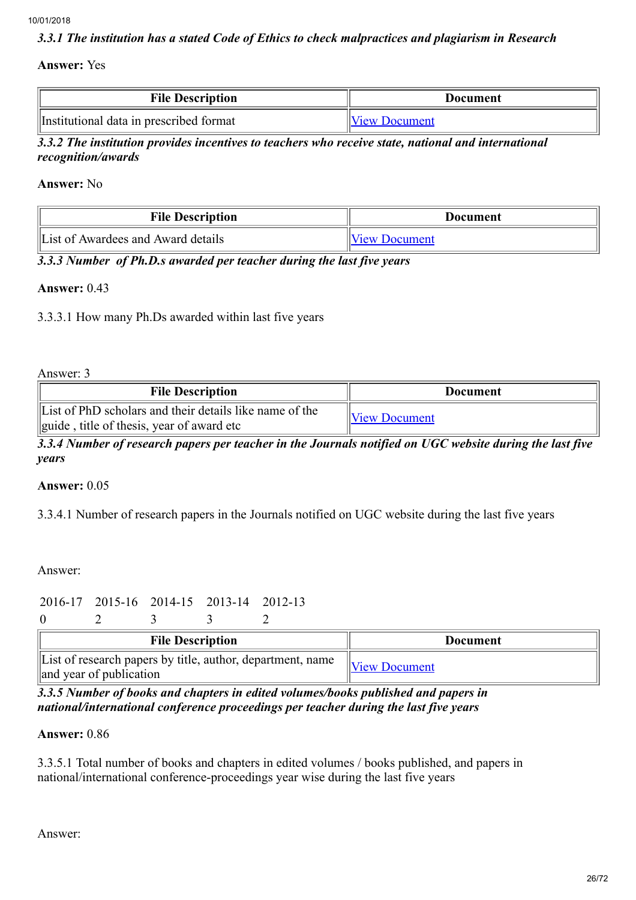#### *3.3.1 The institution has a stated Code of Ethics to check malpractices and plagiarism in Research*

#### Answer: Yes

| <b>File Description</b>                 | Document             |
|-----------------------------------------|----------------------|
| Institutional data in prescribed format | <b>View Document</b> |

*3.3.2 The institution provides incentives to teachers who receive state, national and international recognition/awards*

Answer: No

| <b>File Description</b>            | Document             |
|------------------------------------|----------------------|
| List of Awardees and Award details | <b>View Document</b> |

*3.3.3 Number of Ph.D.s awarded per teacher during the last five years*

#### Answer: 0.43

3.3.3.1 How many Ph.Ds awarded within last five years

Answer: 3

| <b>File Description</b>                                                                              | <b>Document</b>      |
|------------------------------------------------------------------------------------------------------|----------------------|
| List of PhD scholars and their details like name of the<br>guide, title of thesis, year of award etc | <b>View Document</b> |

*3.3.4 Number of research papers per teacher in the Journals notified on UGC website during the last five years*

#### Answer: 0.05

3.3.4.1 Number of research papers in the Journals notified on UGC website during the last five years

Answer:

```
2016-17 2015-16 2014-15 2013-14 2012-13
```
0 2 3 3 2

| <b>File Description</b>                                                               | Document             |
|---------------------------------------------------------------------------------------|----------------------|
| List of research papers by title, author, department, name<br>and year of publication | <b>View Document</b> |

*3.3.5 Number of books and chapters in edited volumes/books published and papers in national/international conference proceedings per teacher during the last five years*

# Answer: 0.86

3.3.5.1 Total number of books and chapters in edited volumes / books published, and papers in national/international conference-proceedings year wise during the last five years

Answer: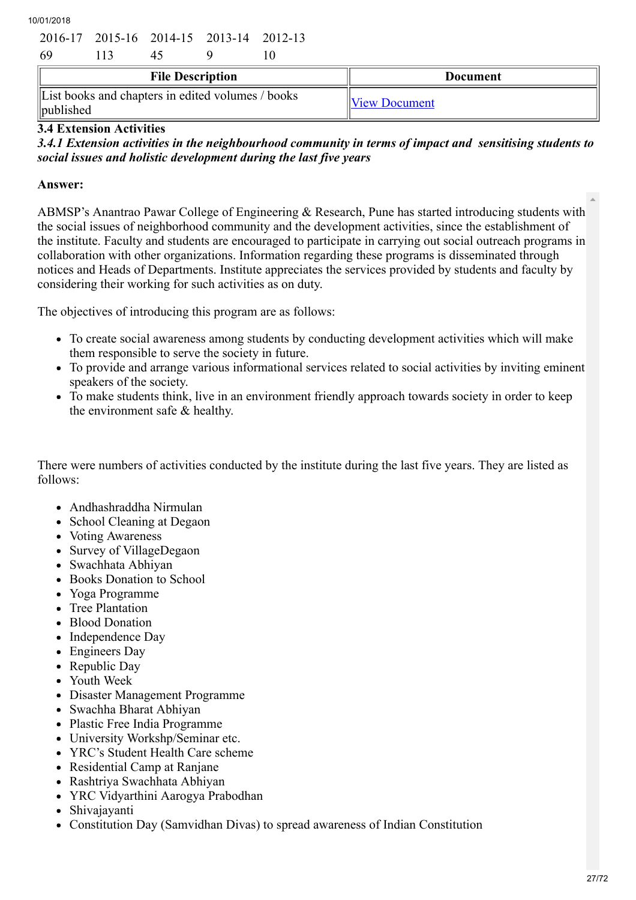| 10/01/2018 |  |
|------------|--|

|                         |     |     | 2016-17 2015-16 2014-15 2013-14 2012-13 |  |                 |
|-------------------------|-----|-----|-----------------------------------------|--|-----------------|
| -69                     | 113 | 45. |                                         |  |                 |
| <b>File Description</b> |     |     |                                         |  | <b>Document</b> |
|                         |     |     |                                         |  |                 |

# 3.4 Extension Activities

*3.4.1 Extension activities in the neighbourhood community in terms of impact and sensitising students to social issues and holistic development during the last five years*

# Answer:

ABMSP's Anantrao Pawar College of Engineering & Research, Pune has started introducing students with the social issues of neighborhood community and the development activities, since the establishment of the institute. Faculty and students are encouraged to participate in carrying out social outreach programs in collaboration with other organizations. Information regarding these programs is disseminated through notices and Heads of Departments. Institute appreciates the services provided by students and faculty by considering their working for such activities as on duty.

The objectives of introducing this program are as follows:

- To create social awareness among students by conducting development activities which will make them responsible to serve the society in future.
- To provide and arrange various informational services related to social activities by inviting eminent speakers of the society.
- To make students think, live in an environment friendly approach towards society in order to keep the environment safe & healthy.

There were numbers of activities conducted by the institute during the last five years. They are listed as follows:

- Andhashraddha Nirmulan
- School Cleaning at Degaon
- Voting Awareness
- Survey of VillageDegaon
- Swachhata Abhiyan
- Books Donation to School
- Yoga Programme
- Tree Plantation
- Blood Donation
- Independence Day
- Engineers Day
- Republic Day
- Youth Week
- Disaster Management Programme
- Swachha Bharat Abhiyan
- Plastic Free India Programme
- University Workshp/Seminar etc.
- YRC's Student Health Care scheme
- Residential Camp at Ranjane
- Rashtriya Swachhata Abhiyan
- YRC Vidyarthini Aarogya Prabodhan
- Shivajayanti
- Constitution Day (Samvidhan Divas) to spread awareness of Indian Constitution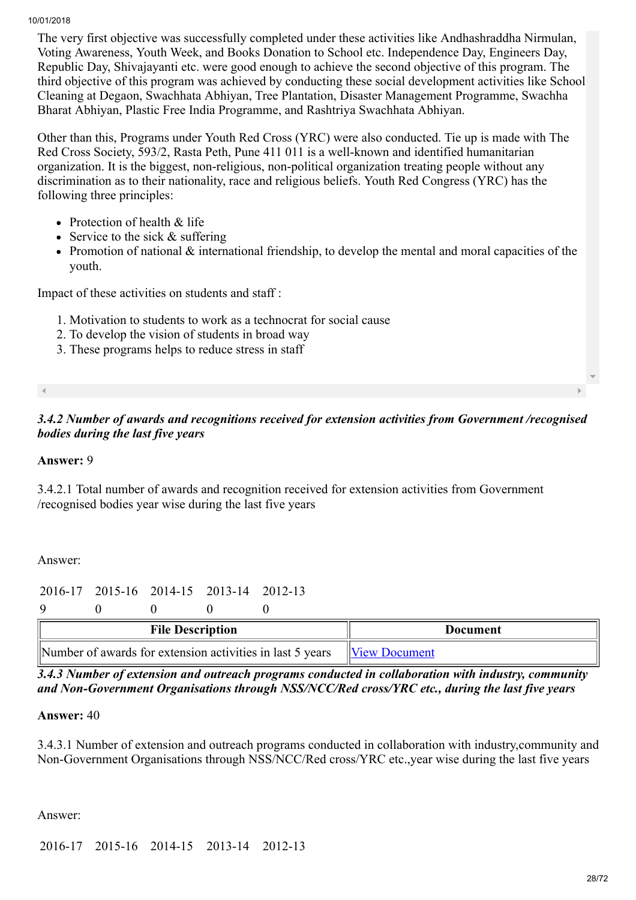The very first objective was successfully completed under these activities like Andhashraddha Nirmulan, Voting Awareness, Youth Week, and Books Donation to School etc. Independence Day, Engineers Day, Republic Day, Shivajayanti etc. were good enough to achieve the second objective of this program. The third objective of this program was achieved by conducting these social development activities like School Cleaning at Degaon, Swachhata Abhiyan, Tree Plantation, Disaster Management Programme, Swachha Bharat Abhiyan, Plastic Free India Programme, and Rashtriya Swachhata Abhiyan.

Other than this, Programs under Youth Red Cross (YRC) were also conducted. Tie up is made with The Red Cross Society, 593/2, Rasta Peth, Pune 411 011 is a well-known and identified humanitarian organization. It is the biggest, non-religious, non-political organization treating people without any discrimination as to their nationality, race and religious beliefs. Youth Red Congress (YRC) has the following three principles:

- Protection of health & life
- Service to the sick  $&$  suffering
- Promotion of national  $\&$  international friendship, to develop the mental and moral capacities of the youth.

Impact of these activities on students and staff :

- 1. Motivation to students to work as a technocrat for social cause
- 2. To develop the vision of students in broad way
- 3. These programs helps to reduce stress in staff

#### *3.4.2 Number of awards and recognitions received for extension activities from Government /recognised bodies during the last five years*

#### Answer: 9

3.4.2.1 Total number of awards and recognition received for extension activities from Government /recognised bodies year wise during the last five years

Answer:

2016-17 2015-16 2014-15 2013-14 2012-13

9 0 0 0 0

| <b>File Description</b>                                                  | Document |  |
|--------------------------------------------------------------------------|----------|--|
| Number of awards for extension activities in last 5 years  View Document |          |  |

*3.4.3 Number of extension and outreach programs conducted in collaboration with industry, community and Non-Government Organisations through NSS/NCC/Red cross/YRC etc., during the last five years*

Answer: 40

3.4.3.1 Number of extension and outreach programs conducted in collaboration with industry,community and Non-Government Organisations through NSS/NCC/Red cross/YRC etc.,year wise during the last five years

Answer:

2016-17 2015-16 2014-15 2013-14 2012-13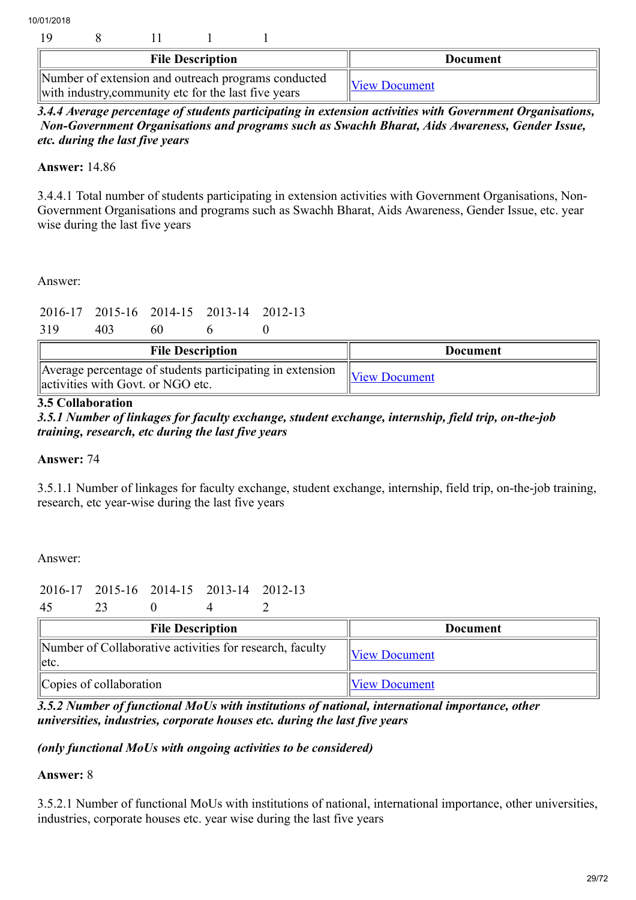|  | <b>File Description</b> |                                                                                                             | <b>Document</b>      |
|--|-------------------------|-------------------------------------------------------------------------------------------------------------|----------------------|
|  |                         | Number of extension and outreach programs conducted<br>with industry, community etc for the last five years | <b>View Document</b> |

*3.4.4 Average percentage of students participating in extension activities with Government Organisations, Non-Government Organisations and programs such as Swachh Bharat, Aids Awareness, Gender Issue, etc. during the last five years*

Answer: 14.86

3.4.4.1 Total number of students participating in extension activities with Government Organisations, Non-Government Organisations and programs such as Swachh Bharat, Aids Awareness, Gender Issue, etc. year wise during the last five years

Answer:

2016-17 2015-16 2014-15 2013-14 2012-13

319 403 60 6 0

| <b>File Description</b>                                                                        | Document             |
|------------------------------------------------------------------------------------------------|----------------------|
| Average percentage of students participating in extension<br>activities with Govt. or NGO etc. | <b>View Document</b> |

#### 3.5 Collaboration

*3.5.1 Number of linkages for faculty exchange, student exchange, internship, field trip, on-the-job training, research, etc during the last five years*

#### Answer: 74

3.5.1.1 Number of linkages for faculty exchange, student exchange, internship, field trip, on-the-job training, research, etc year-wise during the last five years

Answer:

2016-17 2015-16 2014-15 2013-14 2012-13

45 23 0 4 2

| <b>File Description</b>                                               | <b>Document</b>      |
|-----------------------------------------------------------------------|----------------------|
| Number of Collaborative activities for research, faculty<br>$  $ etc. | <b>View Document</b> |
| Copies of collaboration                                               | <b>View Document</b> |

*3.5.2 Number of functional MoUs with institutions of national, international importance, other universities, industries, corporate houses etc. during the last five years*

#### *(only functional MoUs with ongoing activities to be considered)*

#### Answer: 8

3.5.2.1 Number of functional MoUs with institutions of national, international importance, other universities, industries, corporate houses etc. year wise during the last five years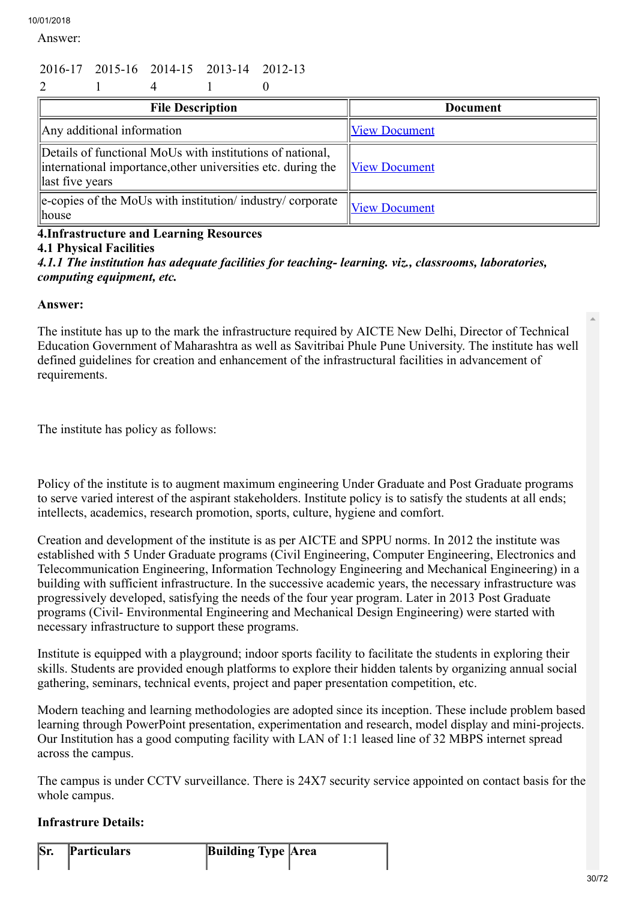Answer:

# 2016-17 2015-16 2014-15 2013-14 2012-13

| $\overline{2}$                                                                                                                               |                      |
|----------------------------------------------------------------------------------------------------------------------------------------------|----------------------|
| <b>File Description</b>                                                                                                                      | <b>Document</b>      |
| Any additional information                                                                                                                   | <b>View Document</b> |
| Details of functional MoUs with institutions of national,<br>international importance, other universities etc. during the<br>last five years | <b>View Document</b> |
| e-copies of the MoUs with institution/industry/corporate<br>house                                                                            | <b>View Document</b> |

# 4.Infrastructure and Learning Resources

# 4.1 Physical Facilities

*4.1.1 The institution has adequate facilities for teaching- learning. viz., classrooms, laboratories, computing equipment, etc.*

#### Answer:

The institute has up to the mark the infrastructure required by AICTE New Delhi, Director of Technical Education Government of Maharashtra as well as Savitribai Phule Pune University. The institute has well defined guidelines for creation and enhancement of the infrastructural facilities in advancement of requirements.

The institute has policy as follows:

Policy of the institute is to augment maximum engineering Under Graduate and Post Graduate programs to serve varied interest of the aspirant stakeholders. Institute policy is to satisfy the students at all ends; intellects, academics, research promotion, sports, culture, hygiene and comfort.

Creation and development of the institute is as per AICTE and SPPU norms. In 2012 the institute was established with 5 Under Graduate programs (Civil Engineering, Computer Engineering, Electronics and Telecommunication Engineering, Information Technology Engineering and Mechanical Engineering) in a building with sufficient infrastructure. In the successive academic years, the necessary infrastructure was progressively developed, satisfying the needs of the four year program. Later in 2013 Post Graduate programs (Civil- Environmental Engineering and Mechanical Design Engineering) were started with necessary infrastructure to support these programs.

Institute is equipped with a playground; indoor sports facility to facilitate the students in exploring their skills. Students are provided enough platforms to explore their hidden talents by organizing annual social gathering, seminars, technical events, project and paper presentation competition, etc.

Modern teaching and learning methodologies are adopted since its inception. These include problem based learning through PowerPoint presentation, experimentation and research, model display and mini-projects. Our Institution has a good computing facility with LAN of 1:1 leased line of 32 MBPS internet spread across the campus.

The campus is under CCTV surveillance. There is 24X7 security service appointed on contact basis for the whole campus.

# Infrastrure Details:

Sr. Particulars Building Type Area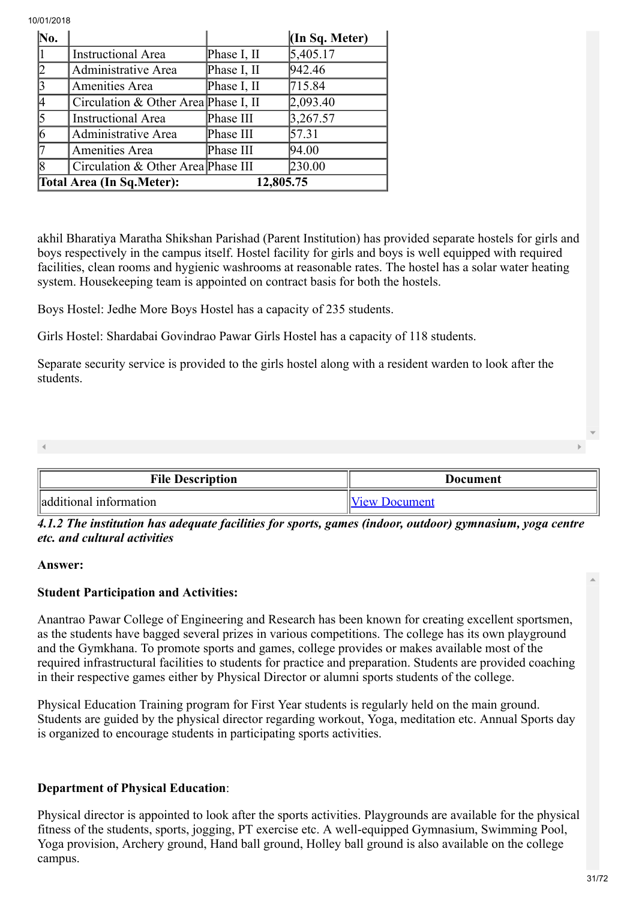| $\bf{No.}$ |                                      |             | $(\text{In }Sq$ . Meter) |
|------------|--------------------------------------|-------------|--------------------------|
|            | <b>Instructional Area</b>            | Phase I, II | 5,405.17                 |
| 2          | Administrative Area                  | Phase I, II | 942.46                   |
| 13         | Amenities Area                       | Phase I, II | 715.84                   |
|            | Circulation & Other Area Phase I, II |             | 2,093.40                 |
| 5          | <b>Instructional Area</b>            | Phase III   | 3,267.57                 |
| 6          | Administrative Area                  | Phase III   | 57.31                    |
|            | Amenities Area                       | Phase III   | 94.00                    |
| 18         | Circulation & Other Area Phase III   |             | 230.00                   |
|            | <b>Total Area (In Sq. Meter):</b>    | 12,805.75   |                          |

akhil Bharatiya Maratha Shikshan Parishad (Parent Institution) has provided separate hostels for girls and boys respectively in the campus itself. Hostel facility for girls and boys is well equipped with required facilities, clean rooms and hygienic washrooms at reasonable rates. The hostel has a solar water heating system. Housekeeping team is appointed on contract basis for both the hostels.

Boys Hostel: Jedhe More Boys Hostel has a capacity of 235 students.

Girls Hostel: Shardabai Govindrao Pawar Girls Hostel has a capacity of 118 students.

Separate security service is provided to the girls hostel along with a resident warden to look after the students.

| <b>File Description</b> | Document             |  |
|-------------------------|----------------------|--|
| additional information  | <b>View Document</b> |  |

*4.1.2 The institution has adequate facilities for sports, games (indoor, outdoor) gymnasium, yoga centre etc. and cultural activities*

#### Answer:

# Student Participation and Activities:

Anantrao Pawar College of Engineering and Research has been known for creating excellent sportsmen, as the students have bagged several prizes in various competitions. The college has its own playground and the Gymkhana. To promote sports and games, college provides or makes available most of the required infrastructural facilities to students for practice and preparation. Students are provided coaching in their respective games either by Physical Director or alumni sports students of the college.

Physical Education Training program for First Year students is regularly held on the main ground. Students are guided by the physical director regarding workout, Yoga, meditation etc. Annual Sports day is organized to encourage students in participating sports activities.

#### Department of Physical Education:

Physical director is appointed to look after the sports activities. Playgrounds are available for the physical fitness of the students, sports, jogging, PT exercise etc. A well-equipped Gymnasium, Swimming Pool, Yoga provision, Archery ground, Hand ball ground, Holley ball ground is also available on the college campus.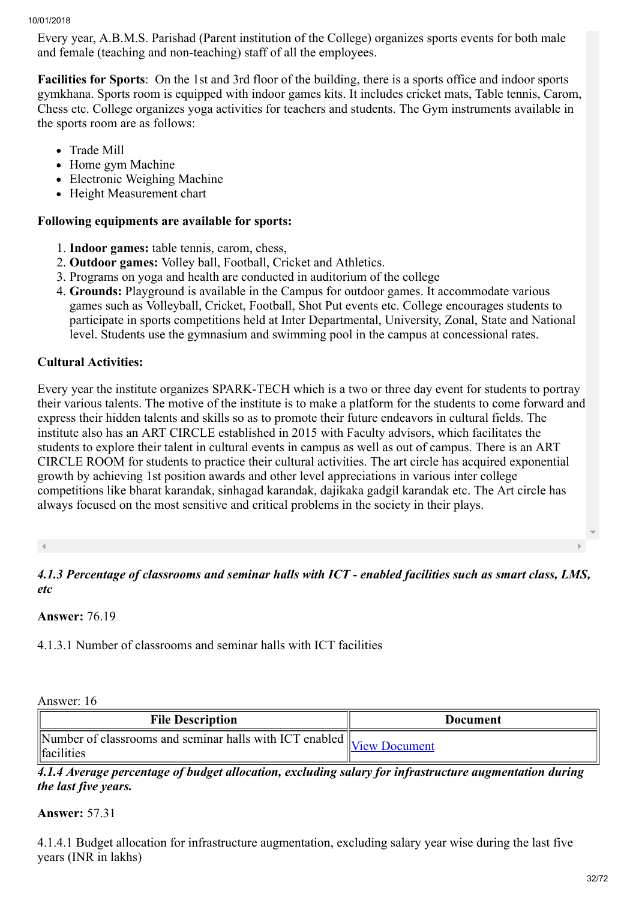Every year, A.B.M.S. Parishad (Parent institution of the College) organizes sports events for both male and female (teaching and non-teaching) staff of all the employees.

Facilities for Sports: On the 1st and 3rd floor of the building, there is a sports office and indoor sports gymkhana. Sports room is equipped with indoor games kits. It includes cricket mats, Table tennis, Carom, Chess etc. College organizes yoga activities for teachers and students. The Gym instruments available in the sports room are as follows:

- Trade Mill
- Home gym Machine
- Electronic Weighing Machine
- Height Measurement chart

## Following equipments are available for sports:

- 1. Indoor games: table tennis, carom, chess,
- 2. Outdoor games: Volley ball, Football, Cricket and Athletics.
- 3. Programs on yoga and health are conducted in auditorium of the college
- 4. Grounds: Playground is available in the Campus for outdoor games. It accommodate various games such as Volleyball, Cricket, Football, Shot Put events etc. College encourages students to participate in sports competitions held at Inter Departmental, University, Zonal, State and National level. Students use the gymnasium and swimming pool in the campus at concessional rates.

# Cultural Activities:

Every year the institute organizes SPARK-TECH which is a two or three day event for students to portray their various talents. The motive of the institute is to make a platform for the students to come forward and express their hidden talents and skills so as to promote their future endeavors in cultural fields. The institute also has an ART CIRCLE established in 2015 with Faculty advisors, which facilitates the students to explore their talent in cultural events in campus as well as out of campus. There is an ART CIRCLE ROOM for students to practice their cultural activities. The art circle has acquired exponential growth by achieving 1st position awards and other level appreciations in various inter college competitions like bharat karandak, sinhagad karandak, dajikaka gadgil karandak etc. The Art circle has always focused on the most sensitive and critical problems in the society in their plays.

*4.1.3 Percentage of classrooms and seminar halls with ICT - enabled facilities such as smart class, LMS, etc*

Answer: 76.19

4.1.3.1 Number of classrooms and seminar halls with ICT facilities

# Answer: 16

| <b>File Description</b>                                                                                                               | Document |
|---------------------------------------------------------------------------------------------------------------------------------------|----------|
| $\sqrt{\frac{1}{N}}$ Mumber of classrooms and seminar halls with ICT enabled $\left\  \underline{\text{View D}}$<br><i>learnities</i> |          |

*4.1.4 Average percentage of budget allocation, excluding salary for infrastructure augmentation during the last five years.*

#### Answer: 57.31

4.1.4.1 Budget allocation for infrastructure augmentation, excluding salary year wise during the last five years (INR in lakhs)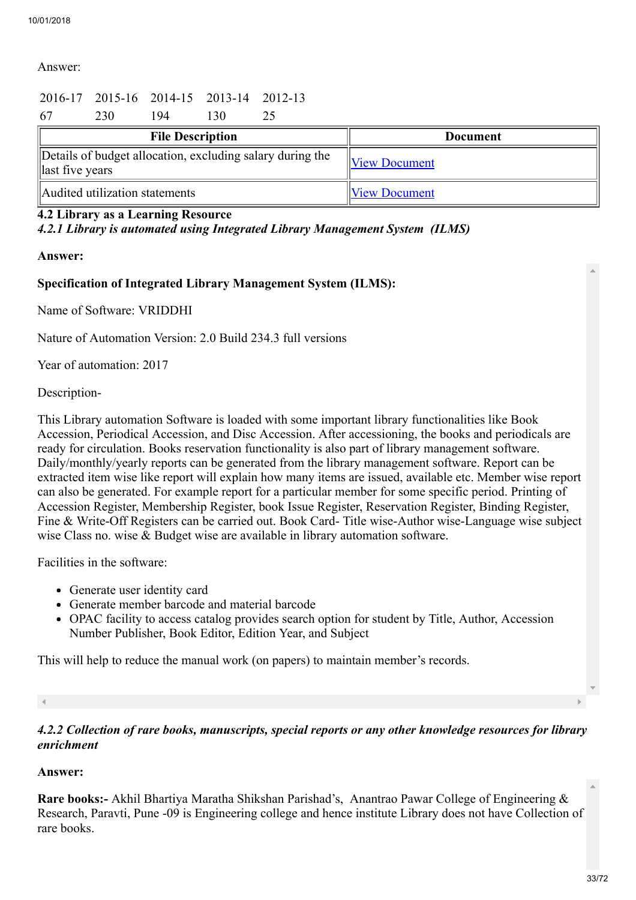## Answer:

# 2016-17 2015-16 2014-15 2013-14 2012-13

| 67 | 230                                                                          | 94 | 130                     |  |                      |
|----|------------------------------------------------------------------------------|----|-------------------------|--|----------------------|
|    |                                                                              |    | <b>File Description</b> |  | <b>Document</b>      |
|    | Details of budget allocation, excluding salary during the<br>last five years |    |                         |  | <b>View Document</b> |
|    | Audited utilization statements                                               |    |                         |  | <b>View Document</b> |

#### 4.2 Library as a Learning Resource

*4.2.1 Library is automated using Integrated Library Management System (ILMS)*

#### Answer:

#### Specification of Integrated Library Management System (ILMS):

Name of Software: VRIDDHI

Nature of Automation Version: 2.0 Build 234.3 full versions

Year of automation: 2017

#### Description-

This Library automation Software is loaded with some important library functionalities like Book Accession, Periodical Accession, and Disc Accession. After accessioning, the books and periodicals are ready for circulation. Books reservation functionality is also part of library management software. Daily/monthly/yearly reports can be generated from the library management software. Report can be extracted item wise like report will explain how many items are issued, available etc. Member wise report can also be generated. For example report for a particular member for some specific period. Printing of Accession Register, Membership Register, book Issue Register, Reservation Register, Binding Register, Fine & Write-Off Registers can be carried out. Book Card- Title wise-Author wise-Language wise subject wise Class no. wise & Budget wise are available in library automation software.

Facilities in the software:

- Generate user identity card
- Generate member barcode and material barcode
- OPAC facility to access catalog provides search option for student by Title, Author, Accession Number Publisher, Book Editor, Edition Year, and Subject

This will help to reduce the manual work (on papers) to maintain member's records.

#### *4.2.2 Collection of rare books, manuscripts, special reports or any other knowledge resources for library enrichment*

#### Answer:

Rare books:- Akhil Bhartiya Maratha Shikshan Parishad's, Anantrao Pawar College of Engineering & Research, Paravti, Pune -09 is Engineering college and hence institute Library does not have Collection of rare books.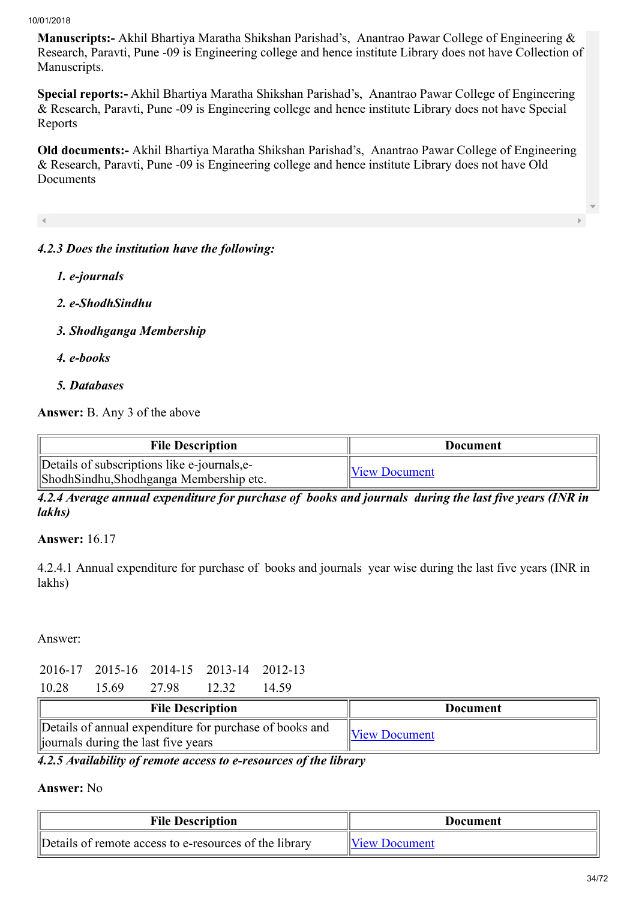Manuscripts:- Akhil Bhartiya Maratha Shikshan Parishad's, Anantrao Pawar College of Engineering & Research, Paravti, Pune -09 is Engineering college and hence institute Library does not have Collection of Manuscripts.

Special reports:- Akhil Bhartiya Maratha Shikshan Parishad's, Anantrao Pawar College of Engineering & Research, Paravti, Pune -09 is Engineering college and hence institute Library does not have Special Reports

Old documents:- Akhil Bhartiya Maratha Shikshan Parishad's, Anantrao Pawar College of Engineering & Research, Paravti, Pune -09 is Engineering college and hence institute Library does not have Old Documents

#### *4.2.3 Does the institution have the following:*

- *1. e-journals*
- *2. e-ShodhSindhu*
- *3. Shodhganga Membership*
- *4. e-books*
- *5. Databases*

Answer: B. Any 3 of the above

| <b>File Description</b>                                                                | Document             |
|----------------------------------------------------------------------------------------|----------------------|
| Details of subscriptions like e-journals, e-<br>ShodhSindhu,Shodhganga Membership etc. | <b>View Document</b> |

*4.2.4 Average annual expenditure for purchase of books and journals during the last five years (INR in lakhs)*

Answer: 16.17

4.2.4.1 Annual expenditure for purchase of books and journals year wise during the last five years (INR in lakhs)

Answer:

|       |       |       | 2016-17 2015-16 2014-15 2013-14 2012-13 |       |
|-------|-------|-------|-----------------------------------------|-------|
| 10.28 | 15.69 | 27.98 | 12 32                                   | 14.59 |

| <b>File Description</b>                                                                         | Document             |
|-------------------------------------------------------------------------------------------------|----------------------|
| Details of annual expenditure for purchase of books and<br>liournals during the last five years | <b>View Document</b> |

*4.2.5 Availability of remote access to e-resources of the library*

#### Answer: No

| <b>File Description</b>                                | Document             |
|--------------------------------------------------------|----------------------|
| Details of remote access to e-resources of the library | <b>View Document</b> |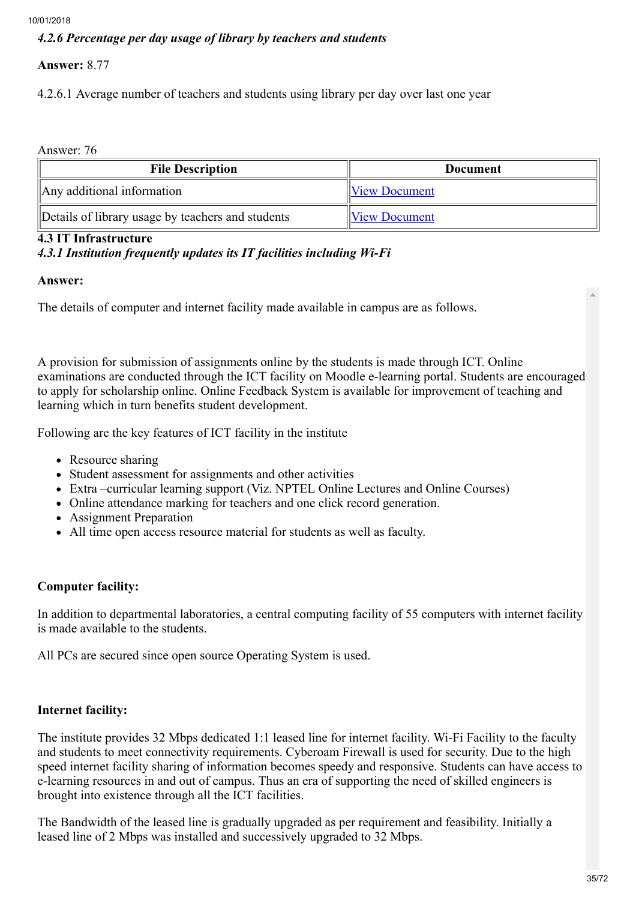# *4.2.6 Percentage per day usage of library by teachers and students*

# Answer: 8.77

4.2.6.1 Average number of teachers and students using library per day over last one year

Answer: 76

| <b>File Description</b>                           | <b>Document</b>      |
|---------------------------------------------------|----------------------|
| Any additional information                        | <b>View Document</b> |
| Details of library usage by teachers and students | <b>View Document</b> |

#### 4.3 IT Infrastructure

# *4.3.1 Institution frequently updates its IT facilities including Wi-Fi*

#### Answer:

The details of computer and internet facility made available in campus are as follows.

A provision for submission of assignments online by the students is made through ICT. Online examinations are conducted through the ICT facility on Moodle e-learning portal. Students are encouraged to apply for scholarship online. Online Feedback System is available for improvement of teaching and learning which in turn benefits student development.

Following are the key features of ICT facility in the institute

- Resource sharing
- Student assessment for assignments and other activities
- Extra –curricular learning support (Viz. NPTEL Online Lectures and Online Courses)
- Online attendance marking for teachers and one click record generation.
- Assignment Preparation
- All time open access resource material for students as well as faculty.

# Computer facility:

In addition to departmental laboratories, a central computing facility of 55 computers with internet facility is made available to the students.

All PCs are secured since open source Operating System is used.

#### Internet facility:

The institute provides 32 Mbps dedicated 1:1 leased line for internet facility. Wi-Fi Facility to the faculty and students to meet connectivity requirements. Cyberoam Firewall is used for security. Due to the high speed internet facility sharing of information becomes speedy and responsive. Students can have access to e-learning resources in and out of campus. Thus an era of supporting the need of skilled engineers is brought into existence through all the ICT facilities.

The Bandwidth of the leased line is gradually upgraded as per requirement and feasibility. Initially a leased line of 2 Mbps was installed and successively upgraded to 32 Mbps.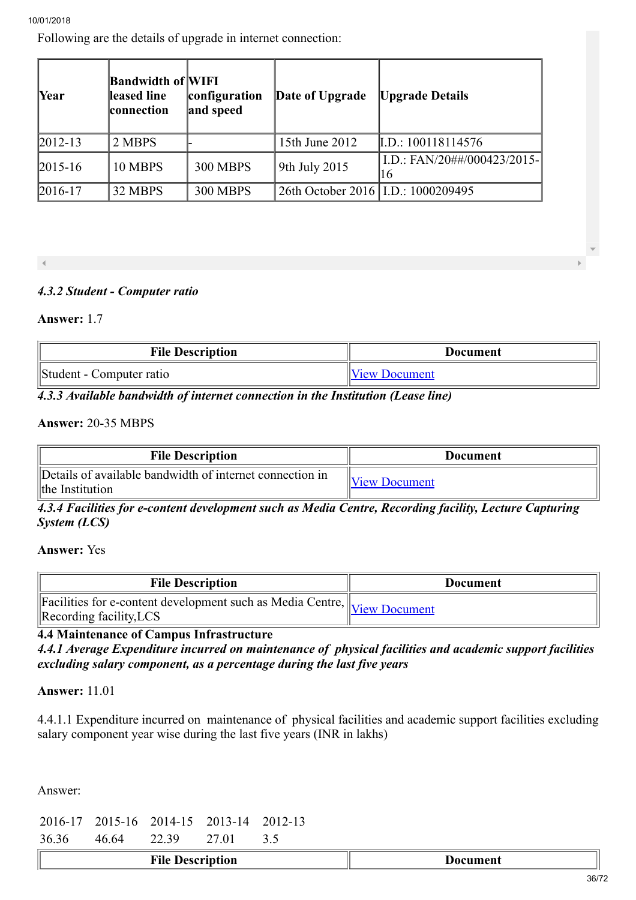Following are the details of upgrade in internet connection:

| <b>Year</b>   | <b>Bandwidth of WIFI</b><br>leased line<br>connection | configuration<br>and speed | Date of Upgrade                      | <b>Upgrade Details</b>            |
|---------------|-------------------------------------------------------|----------------------------|--------------------------------------|-----------------------------------|
| $2012 - 13$   | 2 MBPS                                                |                            | 15th June 2012                       | [L.D.: 100118114576]              |
| $ 2015 - 16 $ | 10 MBPS                                               | <b>300 MBPS</b>            | 9th July 2015                        | I.D.: FAN/20##/000423/2015-<br>16 |
| $2016 - 17$   | 32 MBPS                                               | <b>300 MBPS</b>            | 26th October 2016   I.D.: 1000209495 |                                   |

# *4.3.2 Student - Computer ratio*

#### Answer: 1.7

| <b>File Description</b>  | <b>Document</b>      |
|--------------------------|----------------------|
| Student - Computer ratio | <b>View Document</b> |

#### *4.3.3 Available bandwidth of internet connection in the Institution (Lease line)*

#### Answer: 20-35 MBPS

| <b>File Description</b>                                                     | Document             |
|-----------------------------------------------------------------------------|----------------------|
| Details of available bandwidth of internet connection in<br>the Institution | <b>View Document</b> |

*4.3.4 Facilities for e-content development such as Media Centre, Recording facility, Lecture Capturing System (LCS)*

#### Answer: Yes

| <b>File Description</b>                                                                                         | <b>Document</b> |
|-----------------------------------------------------------------------------------------------------------------|-----------------|
| Facilities for e-content development such as Media Centre, View Document<br>$\triangle$ Recording facility, LCS |                 |

# 4.4 Maintenance of Campus Infrastructure

*4.4.1 Average Expenditure incurred on maintenance of physical facilities and academic support facilities excluding salary component, as a percentage during the last five years*

#### Answer: 11.01

4.4.1.1 Expenditure incurred on maintenance of physical facilities and academic support facilities excluding salary component year wise during the last five years (INR in lakhs)

Answer:

|  | 2016-17 2015-16 2014-15 2013-14 2012-13 |  |
|--|-----------------------------------------|--|
|  | 26.26 46.64 22.30 2.7.01 2.5            |  |

| 36.36 | 46 64 | 22.39 | . |  |
|-------|-------|-------|---|--|
|       |       |       |   |  |

|  | <b>File Description</b> | Vocument |
|--|-------------------------|----------|
|--|-------------------------|----------|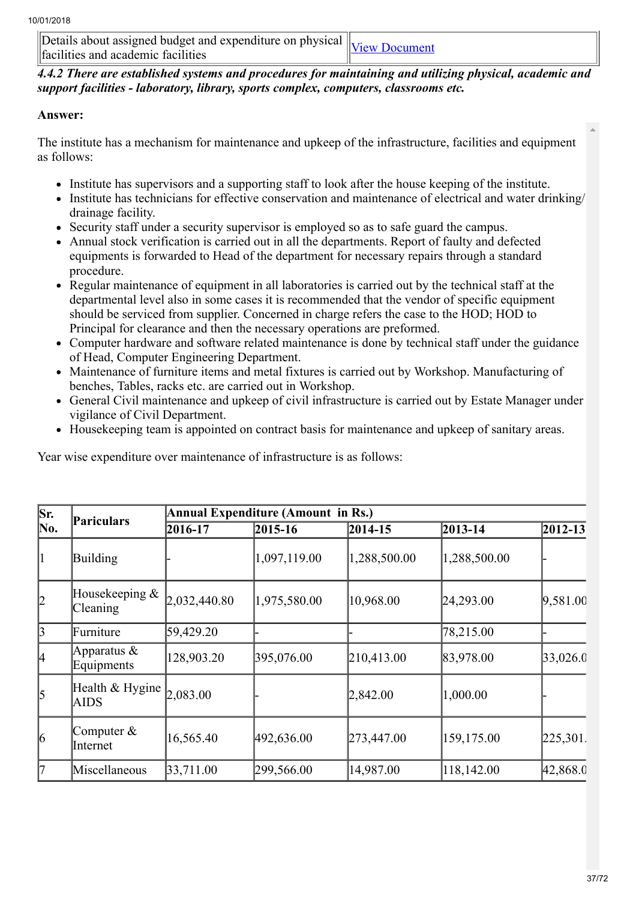Details about assigned budget and expenditure on physical  $\mu$ Ectaris about assigned budget and expenditure on physical  $\mu$  [View Document](https://assessmentonline.naac.gov.in/storage/app/hei/SSR/100944/4.4.1_1513607436_937.xlsx)

*4.4.2 There are established systems and procedures for maintaining and utilizing physical, academic and support facilities - laboratory, library, sports complex, computers, classrooms etc.*

## Answer:

The institute has a mechanism for maintenance and upkeep of the infrastructure, facilities and equipment as follows:

- Institute has supervisors and a supporting staff to look after the house keeping of the institute.
- Institute has technicians for effective conservation and maintenance of electrical and water drinking/ drainage facility.
- Security staff under a security supervisor is employed so as to safe guard the campus.
- Annual stock verification is carried out in all the departments. Report of faulty and defected equipments is forwarded to Head of the department for necessary repairs through a standard procedure.
- Regular maintenance of equipment in all laboratories is carried out by the technical staff at the departmental level also in some cases it is recommended that the vendor of specific equipment should be serviced from supplier. Concerned in charge refers the case to the HOD; HOD to Principal for clearance and then the necessary operations are preformed.
- Computer hardware and software related maintenance is done by technical staff under the guidance of Head, Computer Engineering Department.
- Maintenance of furniture items and metal fixtures is carried out by Workshop. Manufacturing of benches, Tables, racks etc. are carried out in Workshop.
- General Civil maintenance and upkeep of civil infrastructure is carried out by Estate Manager under vigilance of Civil Department.
- Housekeeping team is appointed on contract basis for maintenance and upkeep of sanitary areas.

Year wise expenditure over maintenance of infrastructure is as follows:

| Sr.             | Pariculars                           | <b>Annual Expenditure (Amount in Rs.)</b> |              |              |              |             |  |
|-----------------|--------------------------------------|-------------------------------------------|--------------|--------------|--------------|-------------|--|
| No.             |                                      | 2016-17                                   | $2015 - 16$  | 2014-15      | 2013-14      | $2012 - 13$ |  |
|                 | Building                             |                                           | 1,097,119.00 | 1,288,500.00 | 1,288,500.00 |             |  |
| 2               | Housekeeping $\&$<br><b>Cleaning</b> | 2,032,440.80                              | 1,975,580.00 | 10,968.00    | 24,293.00    | 9,581.00    |  |
| $\vert$ 3       | Furniture                            | 59,429.20                                 |              |              | 78,215.00    |             |  |
| 14              | Apparatus $\&$<br>Equipments         | 128,903.20                                | 395,076.00   | 210,413.00   | 83,978.00    | 33,026.0    |  |
| $\vert$ 5       | Health & Hygine<br><b>AIDS</b>       | 2,083.00                                  |              | 2,842.00     | 1,000.00     |             |  |
| $\vert 6 \vert$ | Computer $&$<br>Internet             | 16,565.40                                 | 492,636.00   | 273,447.00   | 159,175.00   | [225, 301]  |  |
| 17              | Miscellaneous                        | 33,711.00                                 | 299,566.00   | 14,987.00    | 118,142.00   | 42,868.0    |  |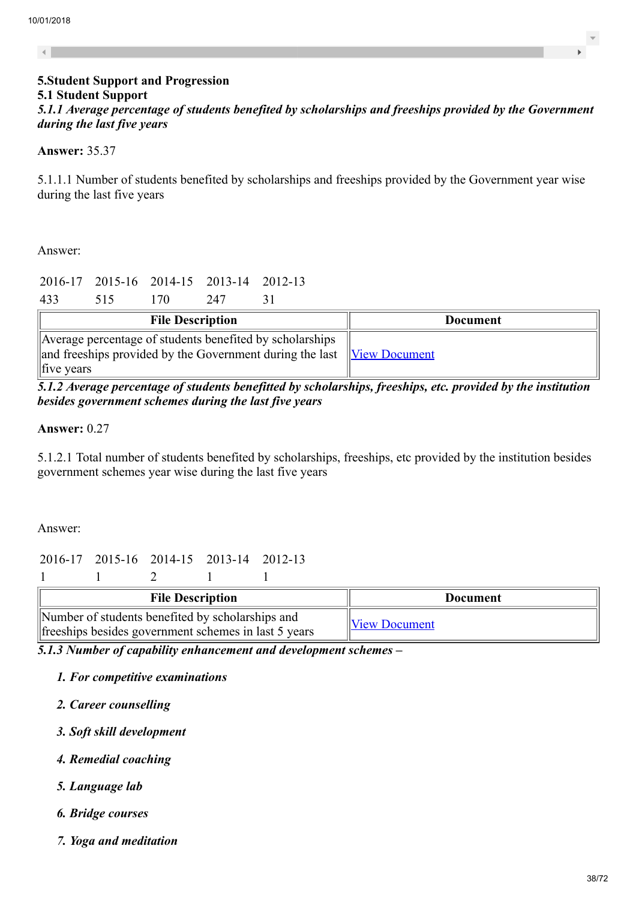$\overline{4}$ 

# 5.Student Support and Progression 5.1 Student Support

*5.1.1 Average percentage of students benefited by scholarships and freeships provided by the Government during the last five years*

#### Answer: 35.37

5.1.1.1 Number of students benefited by scholarships and freeships provided by the Government year wise during the last five years

Answer:

|  | 2016-17 2015-16 2014-15 2013-14 2012-13 |  |
|--|-----------------------------------------|--|
|  |                                         |  |

433 515 170 247 31

| <b>File Description</b>                                                                                                                                             | Document |
|---------------------------------------------------------------------------------------------------------------------------------------------------------------------|----------|
| Average percentage of students benefited by scholarships<br>and freeships provided by the Government during the last <u>View Document</u><br>$\parallel$ five years |          |

*5.1.2 Average percentage of students benefitted by scholarships, freeships, etc. provided by the institution besides government schemes during the last five years*

#### Answer: 0.27

5.1.2.1 Total number of students benefited by scholarships, freeships, etc provided by the institution besides government schemes year wise during the last five years

Answer:

## 2016-17 2015-16 2014-15 2013-14 2012-13

| <b>File Description</b>                                                                                   | Document             |
|-----------------------------------------------------------------------------------------------------------|----------------------|
| Number of students benefited by scholarships and<br>free ships besides government schemes in last 5 years | <b>View Document</b> |

*5.1.3 Number of capability enhancement and development schemes –*

- *1. For competitive examinations*
- *2. Career counselling*
- *3. Soft skill development*
- *4. Remedial coaching*
- *5. Language lab*
- *6. Bridge courses*
- *7. Yoga and meditation*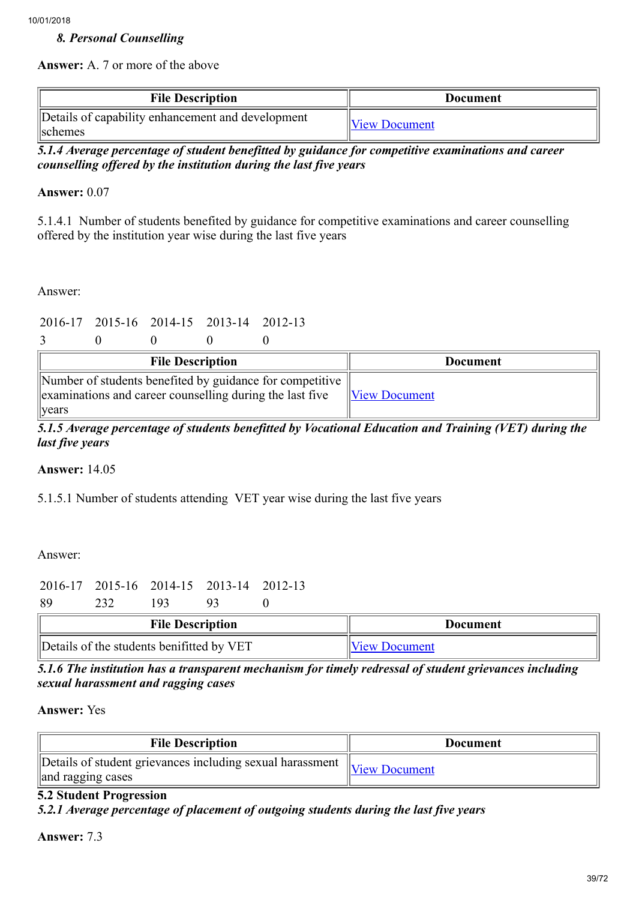## *8. Personal Counselling*

Answer: A. 7 or more of the above

| <b>File Description</b>                                             | Document             |  |
|---------------------------------------------------------------------|----------------------|--|
| Details of capability enhancement and development<br><b>Schemes</b> | <b>View Document</b> |  |

*5.1.4 Average percentage of student benefitted by guidance for competitive examinations and career counselling offered by the institution during the last five years*

#### Answer: 0.07

5.1.4.1 Number of students benefited by guidance for competitive examinations and career counselling offered by the institution year wise during the last five years

Answer:

```
2016-17 2015-16 2014-15 2013-14 2012-13
```
3 0 0 0 0

| <b>File Description</b>                                                                                                               | Document             |
|---------------------------------------------------------------------------------------------------------------------------------------|----------------------|
| Number of students benefited by guidance for competitive<br>examinations and career counselling during the last five<br>$\vert$ years | <b>View Document</b> |

*5.1.5 Average percentage of students benefitted by Vocational Education and Training (VET) during the last five years*

Answer: 14.05

5.1.5.1 Number of students attending VET year wise during the last five years

Answer:

|               |  | 2016-17 2015-16 2014-15 2013-14 2012-13 |  |
|---------------|--|-----------------------------------------|--|
| $\sim$ $\sim$ |  |                                         |  |

89 232 193 93 0

| <b>File Description</b>                   | Document             |
|-------------------------------------------|----------------------|
| Details of the students benifitted by VET | <b>View Document</b> |

*5.1.6 The institution has a transparent mechanism for timely redressal of student grievances including sexual harassment and ragging cases*

Answer: Yes

| <b>File Description</b>                                                        | Document                   |
|--------------------------------------------------------------------------------|----------------------------|
| Details of student grievances including sexual harassment<br>and ragging cases | $\mathbb{V}$ View Document |

#### 5.2 Student Progression

*5.2.1 Average percentage of placement of outgoing students during the last five years*

Answer: 7.3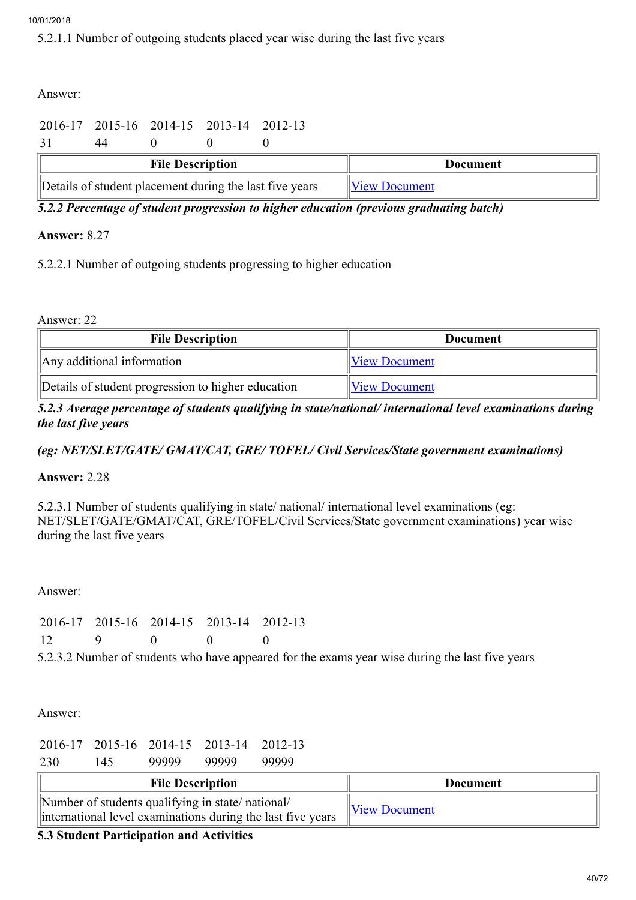5.2.1.1 Number of outgoing students placed year wise during the last five years

Answer:

# 2016-17 2015-16 2014-15 2013-14 2012-13

|  |  | 31 44 0 0 0 |  |  |
|--|--|-------------|--|--|
|--|--|-------------|--|--|

| <b>File Description</b>                                 | Document             |
|---------------------------------------------------------|----------------------|
| Details of student placement during the last five years | <b>View Document</b> |

*5.2.2 Percentage of student progression to higher education (previous graduating batch)*

## Answer: 8.27

5.2.2.1 Number of outgoing students progressing to higher education

Answer: 22

| <b>File Description</b>                            | <b>Document</b>      |
|----------------------------------------------------|----------------------|
| $\parallel$ Any additional information             | <b>View Document</b> |
| Details of student progression to higher education | <b>View Document</b> |

## *5.2.3 Average percentage of students qualifying in state/national/ international level examinations during the last five years*

# *(eg: NET/SLET/GATE/ GMAT/CAT, GRE/ TOFEL/ Civil Services/State government examinations)*

Answer: 2.28

5.2.3.1 Number of students qualifying in state/ national/ international level examinations (eg: NET/SLET/GATE/GMAT/CAT, GRE/TOFEL/Civil Services/State government examinations) year wise during the last five years

Answer:

|           |  | 2016-17 2015-16 2014-15 2013-14 2012-13 |  |
|-----------|--|-----------------------------------------|--|
| 12<br>- 9 |  |                                         |  |

5.2.3.2 Number of students who have appeared for the exams year wise during the last five years

Answer:

|     |     |       | 2016-17 2015-16 2014-15 2013-14 2012-13 |       |
|-----|-----|-------|-----------------------------------------|-------|
| 230 | 145 | 99999 | 99999                                   | 99999 |

| <b>File Description</b>                                                                                         | Document             |
|-----------------------------------------------------------------------------------------------------------------|----------------------|
| Number of students qualifying in state/national/<br>international level examinations during the last five years | <b>View Document</b> |

## 5.3 Student Participation and Activities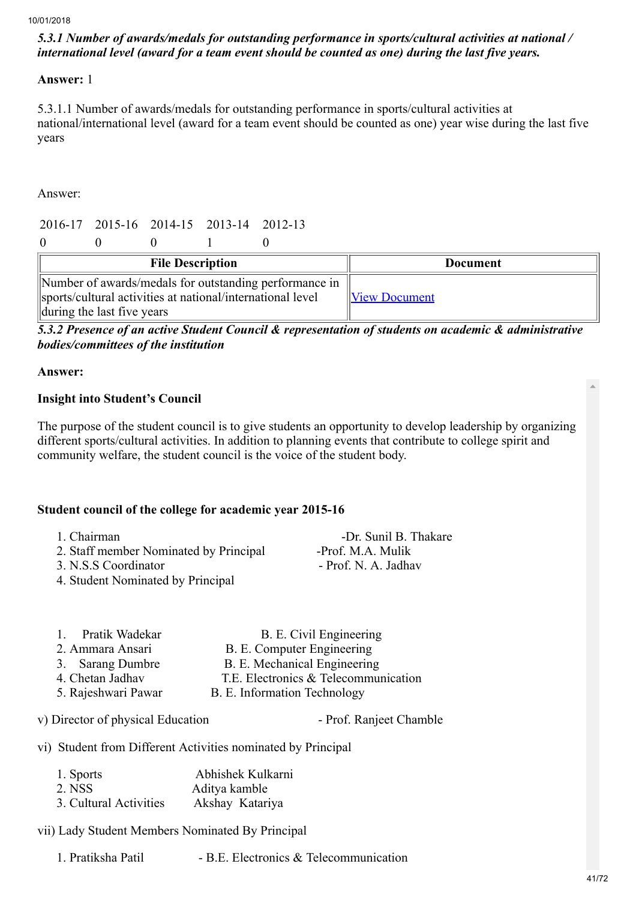## *5.3.1 Number of awards/medals for outstanding performance in sports/cultural activities at national / international level (award for a team event should be counted as one) during the last five years.*

#### Answer: 1

5.3.1.1 Number of awards/medals for outstanding performance in sports/cultural activities at national/international level (award for a team event should be counted as one) year wise during the last five years

Answer:

|          |  | 2016-17 2015-16 2014-15 2013-14 2012-13 |  |
|----------|--|-----------------------------------------|--|
| $\Omega$ |  |                                         |  |

| <b>File Description</b>                                                                                              | <b>Document</b>      |
|----------------------------------------------------------------------------------------------------------------------|----------------------|
| Number of awards/medals for outstanding performance in<br>sports/cultural activities at national/international level | <b>View Document</b> |
| during the last five years                                                                                           |                      |

*5.3.2 Presence of an active Student Council & representation of students on academic & administrative bodies/committees of the institution*

#### Answer:

#### Insight into Student's Council

The purpose of the student council is to give students an opportunity to develop leadership by organizing different sports/cultural activities. In addition to planning events that contribute to college spirit and community welfare, the student council is the voice of the student body.

## Student council of the college for academic year 2015-16

| 1. Chairman                            | -Dr. Sunil B. Thakare |
|----------------------------------------|-----------------------|
| 2. Staff member Nominated by Principal | -Prof. M.A. Mulik     |
| 3. N.S.S Coordinator                   | - Prof. N. A. Jadhav  |
| 4. Student Nominated by Principal      |                       |

| 1. Pratik Wadekar   | B. E. Civil Engineering              |
|---------------------|--------------------------------------|
| 2. Ammara Ansari    | B. E. Computer Engineering           |
| 3. Sarang Dumbre    | B. E. Mechanical Engineering         |
| 4. Chetan Jadhav    | T.E. Electronics & Telecommunication |
| 5. Rajeshwari Pawar | B. E. Information Technology         |
|                     |                                      |

v) Director of physical Education - Prof. Ranjeet Chamble

vi) Student from Different Activities nominated by Principal

| 1. Sports              | Abhishek Kulkarni |
|------------------------|-------------------|
| 2. NSS                 | Aditya kamble     |
| 3. Cultural Activities | Akshay Katariya   |

vii) Lady Student Members Nominated By Principal

| 1. Pratiksha Patil | - B.E. Electronics & Telecommunication |  |
|--------------------|----------------------------------------|--|
|--------------------|----------------------------------------|--|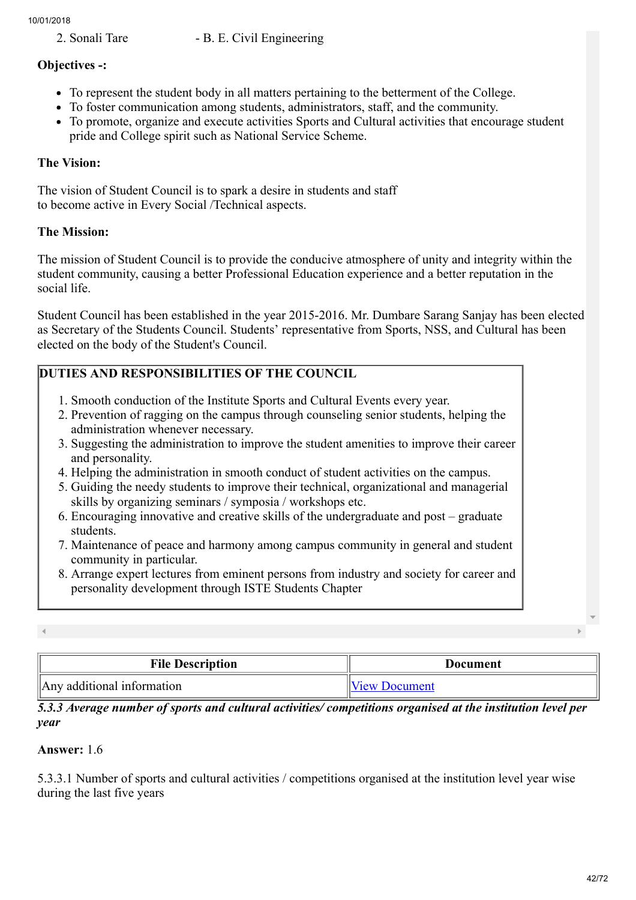2. Sonali Tare - B. E. Civil Engineering

## Objectives -:

- To represent the student body in all matters pertaining to the betterment of the College.
- To foster communication among students, administrators, staff, and the community.
- To promote, organize and execute activities Sports and Cultural activities that encourage student pride and College spirit such as National Service Scheme.

## The Vision:

The vision of Student Council is to spark a desire in students and staff to become active in Every Social /Technical aspects.

## The Mission:

The mission of Student Council is to provide the conducive atmosphere of unity and integrity within the student community, causing a better Professional Education experience and a better reputation in the social life.

Student Council has been established in the year 2015-2016. Mr. Dumbare Sarang Sanjay has been elected as Secretary of the Students Council. Students' representative from Sports, NSS, and Cultural has been elected on the body of the Student's Council.

## DUTIES AND RESPONSIBILITIES OF THE COUNCIL

- 1. Smooth conduction of the Institute Sports and Cultural Events every year.
- 2. Prevention of ragging on the campus through counseling senior students, helping the administration whenever necessary.
- 3. Suggesting the administration to improve the student amenities to improve their career and personality.
- 4. Helping the administration in smooth conduct of student activities on the campus.
- 5. Guiding the needy students to improve their technical, organizational and managerial skills by organizing seminars / symposia / workshops etc.
- 6. Encouraging innovative and creative skills of the undergraduate and post graduate students.
- 7. Maintenance of peace and harmony among campus community in general and student community in particular.
- 8. Arrange expert lectures from eminent persons from industry and society for career and personality development through ISTE Students Chapter

| <b>File Description</b>    | Document             |
|----------------------------|----------------------|
| Any additional information | <b>View Document</b> |

*5.3.3 Average number of sports and cultural activities/ competitions organised at the institution level per year*

## Answer: 1.6

5.3.3.1 Number of sports and cultural activities / competitions organised at the institution level year wise during the last five years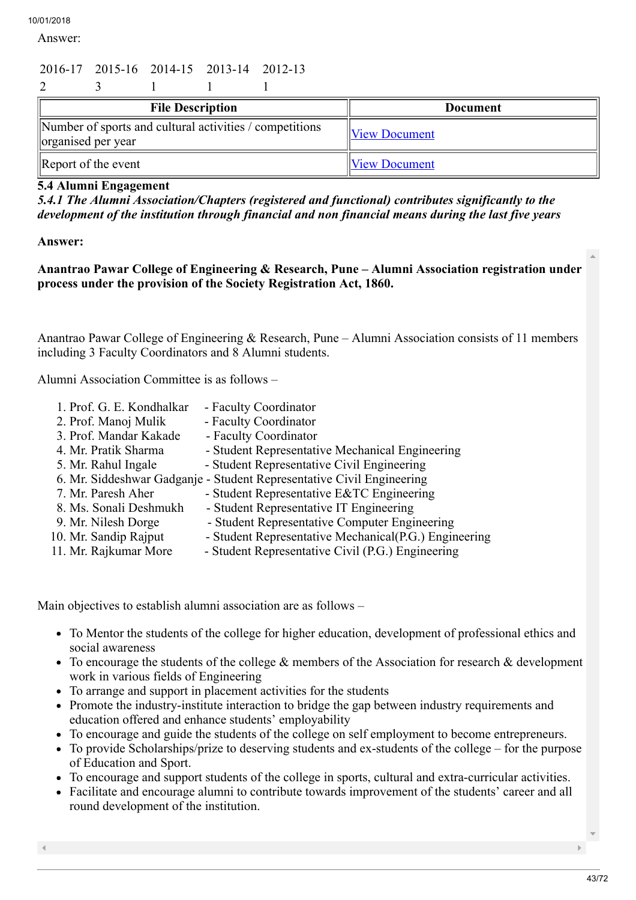Answer:

# 2016-17 2015-16 2014-15 2013-14 2012-13

| <b>File Description</b>                                                       | <b>Document</b>      |
|-------------------------------------------------------------------------------|----------------------|
| Number of sports and cultural activities / competitions<br>organised per year | <b>View Document</b> |
| Report of the event                                                           | <b>View Document</b> |

## 5.4 Alumni Engagement

*5.4.1 The Alumni Association/Chapters (registered and functional) contributes significantly to the development of the institution through financial and non financial means during the last five years*

#### Answer:

Anantrao Pawar College of Engineering & Research, Pune – Alumni Association registration under process under the provision of the Society Registration Act, 1860.

Anantrao Pawar College of Engineering & Research, Pune – Alumni Association consists of 11 members including 3 Faculty Coordinators and 8 Alumni students.

Alumni Association Committee is as follows –

- 1. Prof. G. E. Kondhalkar Faculty Coordinator 2. Prof. Manoj Mulik - Faculty Coordinator 3. Prof. Mandar Kakade - Faculty Coordinator 4. Mr. Pratik Sharma - Student Representative Mechanical Engineering 5. Mr. Rahul Ingale - Student Representative Civil Engineering 6. Mr. Siddeshwar Gadganje - Student Representative Civil Engineering<br>7. Mr. Paresh Aher - Student Representative E&TC Engineering - Student Representative E&TC Engineering
- 8. Ms. Sonali Deshmukh Student Representative IT Engineering
	-
- 9. Mr. Nilesh Dorge Student Representative Computer Engineering
- 10. Mr. Sandip Rajput Student Representative Mechanical(P.G.) Engineering 11. Mr. Rajkumar More Student Representative Civil (P.G.) Engineering
	- Student Representative Civil (P.G.) Engineering

Main objectives to establish alumni association are as follows –

- To Mentor the students of the college for higher education, development of professional ethics and social awareness
- To encourage the students of the college  $\&$  members of the Association for research  $\&$  development work in various fields of Engineering
- To arrange and support in placement activities for the students
- Promote the industry-institute interaction to bridge the gap between industry requirements and education offered and enhance students' employability
- To encourage and guide the students of the college on self employment to become entrepreneurs.
- To provide Scholarships/prize to deserving students and ex-students of the college for the purpose of Education and Sport.
- To encourage and support students of the college in sports, cultural and extra-curricular activities.
- Facilitate and encourage alumni to contribute towards improvement of the students' career and all round development of the institution.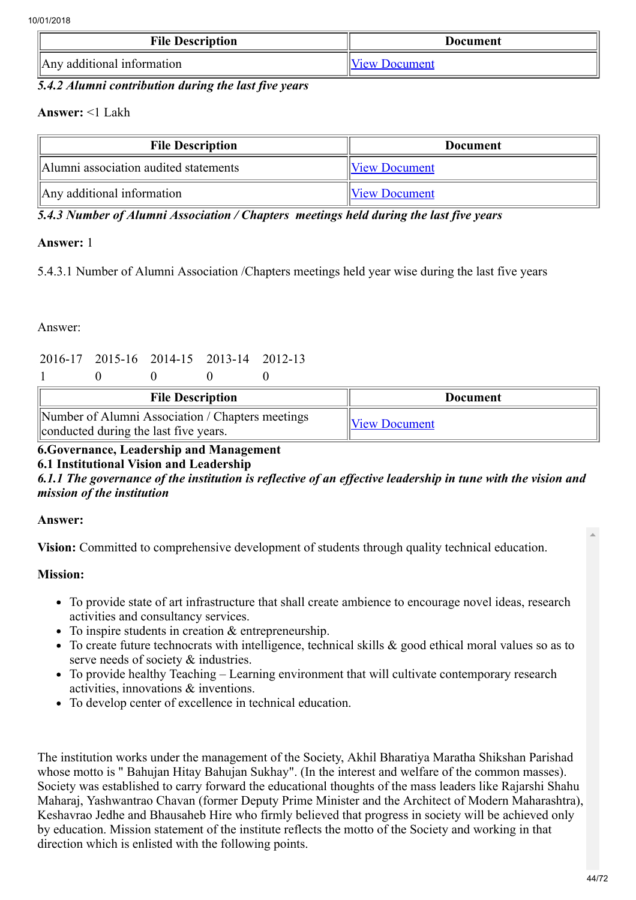| <b>File Description</b>    | Document             |
|----------------------------|----------------------|
| Any additional information | <b>View Document</b> |

#### *5.4.2 Alumni contribution during the last five years*

#### Answer: <1 Lakh

| <b>File Description</b>               | <b>Document</b>      |  |
|---------------------------------------|----------------------|--|
| Alumni association audited statements | <b>View Document</b> |  |
| Any additional information            | <b>View Document</b> |  |

*5.4.3 Number of Alumni Association / Chapters meetings held during the last five years*

#### Answer: 1

5.4.3.1 Number of Alumni Association /Chapters meetings held year wise during the last five years

#### Answer:

# 2016-17 2015-16 2014-15 2013-14 2012-13

1 0 0 0 0

| <b>File Description</b>                                                                   | Document             |
|-------------------------------------------------------------------------------------------|----------------------|
| Number of Alumni Association / Chapters meetings<br>conducted during the last five years. | <b>View Document</b> |

## 6.Governance, Leadership and Management

6.1 Institutional Vision and Leadership

*6.1.1 The governance of the institution is reflective of an effective leadership in tune with the vision and mission of the institution*

#### Answer:

Vision: Committed to comprehensive development of students through quality technical education.

#### Mission:

- To provide state of art infrastructure that shall create ambience to encourage novel ideas, research activities and consultancy services.
- To inspire students in creation & entrepreneurship.
- To create future technocrats with intelligence, technical skills & good ethical moral values so as to serve needs of society & industries.
- To provide healthy Teaching Learning environment that will cultivate contemporary research activities, innovations & inventions.
- To develop center of excellence in technical education.

The institution works under the management of the Society, Akhil Bharatiya Maratha Shikshan Parishad whose motto is " Bahujan Hitay Bahujan Sukhay". (In the interest and welfare of the common masses). Society was established to carry forward the educational thoughts of the mass leaders like Rajarshi Shahu Maharaj, Yashwantrao Chavan (former Deputy Prime Minister and the Architect of Modern Maharashtra), Keshavrao Jedhe and Bhausaheb Hire who firmly believed that progress in society will be achieved only by education. Mission statement of the institute reflects the motto of the Society and working in that direction which is enlisted with the following points.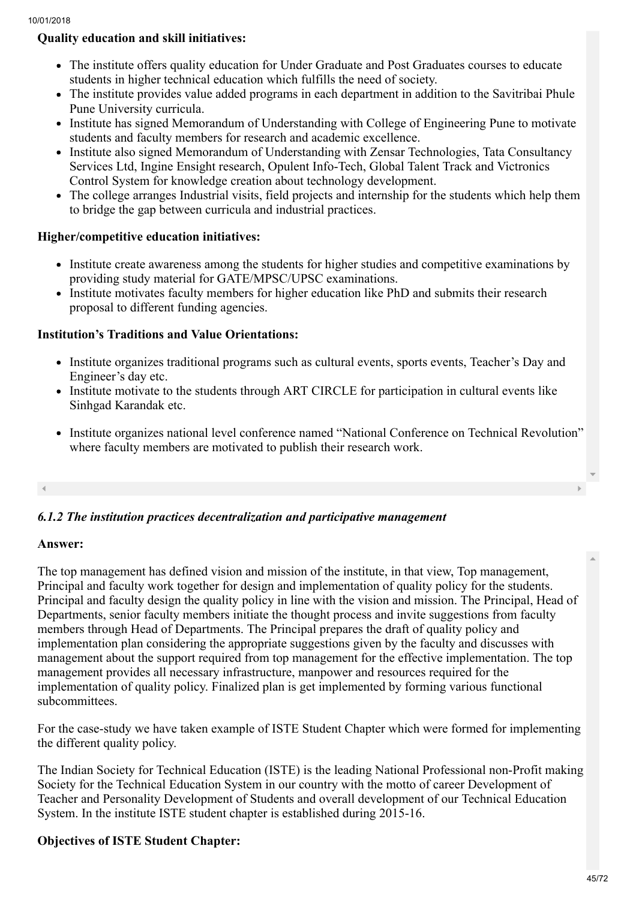## Quality education and skill initiatives:

- The institute offers quality education for Under Graduate and Post Graduates courses to educate students in higher technical education which fulfills the need of society.
- The institute provides value added programs in each department in addition to the Savitribai Phule Pune University curricula.
- Institute has signed Memorandum of Understanding with College of Engineering Pune to motivate students and faculty members for research and academic excellence.
- Institute also signed Memorandum of Understanding with Zensar Technologies, Tata Consultancy Services Ltd, Ingine Ensight research, Opulent Info-Tech, Global Talent Track and Victronics Control System for knowledge creation about technology development.
- The college arranges Industrial visits, field projects and internship for the students which help them to bridge the gap between curricula and industrial practices.

## Higher/competitive education initiatives:

- Institute create awareness among the students for higher studies and competitive examinations by providing study material for GATE/MPSC/UPSC examinations.
- Institute motivates faculty members for higher education like PhD and submits their research proposal to different funding agencies.

## Institution's Traditions and Value Orientations:

- Institute organizes traditional programs such as cultural events, sports events, Teacher's Day and Engineer's day etc.
- Institute motivate to the students through ART CIRCLE for participation in cultural events like Sinhgad Karandak etc.
- Institute organizes national level conference named "National Conference on Technical Revolution" where faculty members are motivated to publish their research work.

## *6.1.2 The institution practices decentralization and participative management*

#### Answer:

The top management has defined vision and mission of the institute, in that view, Top management, Principal and faculty work together for design and implementation of quality policy for the students. Principal and faculty design the quality policy in line with the vision and mission. The Principal, Head of Departments, senior faculty members initiate the thought process and invite suggestions from faculty members through Head of Departments. The Principal prepares the draft of quality policy and implementation plan considering the appropriate suggestions given by the faculty and discusses with management about the support required from top management for the effective implementation. The top management provides all necessary infrastructure, manpower and resources required for the implementation of quality policy. Finalized plan is get implemented by forming various functional subcommittees.

For the case-study we have taken example of ISTE Student Chapter which were formed for implementing the different quality policy.

The Indian Society for Technical Education (ISTE) is the leading National Professional non-Profit making Society for the Technical Education System in our country with the motto of career Development of Teacher and Personality Development of Students and overall development of our Technical Education System. In the institute ISTE student chapter is established during 2015-16.

## Objectives of ISTE Student Chapter: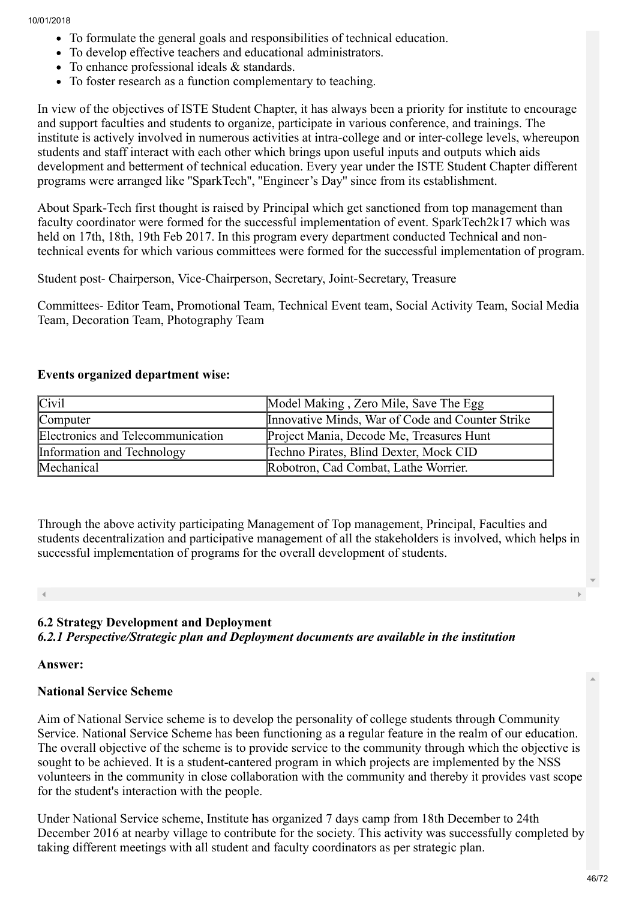- To formulate the general goals and responsibilities of technical education.
- To develop effective teachers and educational administrators.
- To enhance professional ideals & standards.
- To foster research as a function complementary to teaching.

In view of the objectives of ISTE Student Chapter, it has always been a priority for institute to encourage and support faculties and students to organize, participate in various conference, and trainings. The institute is actively involved in numerous activities at intra-college and or inter-college levels, whereupon students and staff interact with each other which brings upon useful inputs and outputs which aids development and betterment of technical education. Every year under the ISTE Student Chapter different programs were arranged like ''SparkTech'', ''Engineer's Day'' since from its establishment.

About Spark-Tech first thought is raised by Principal which get sanctioned from top management than faculty coordinator were formed for the successful implementation of event. SparkTech2k17 which was held on 17th, 18th, 19th Feb 2017. In this program every department conducted Technical and nontechnical events for which various committees were formed for the successful implementation of program.

Student post- Chairperson, Vice-Chairperson, Secretary, Joint-Secretary, Treasure

Committees- Editor Team, Promotional Team, Technical Event team, Social Activity Team, Social Media Team, Decoration Team, Photography Team

#### Events organized department wise:

| <b>Civil</b>                      | Model Making, Zero Mile, Save The Egg            |
|-----------------------------------|--------------------------------------------------|
| Computer                          | Innovative Minds, War of Code and Counter Strike |
| Electronics and Telecommunication | Project Mania, Decode Me, Treasures Hunt         |
| Information and Technology        | Techno Pirates, Blind Dexter, Mock CID           |
| Mechanical                        | Robotron, Cad Combat, Lathe Worrier.             |

Through the above activity participating Management of Top management, Principal, Faculties and students decentralization and participative management of all the stakeholders is involved, which helps in successful implementation of programs for the overall development of students.

## 6.2 Strategy Development and Deployment

*6.2.1 Perspective/Strategic plan and Deployment documents are available in the institution*

#### Answer:

## National Service Scheme

Aim of National Service scheme is to develop the personality of college students through Community Service. National Service Scheme has been functioning as a regular feature in the realm of our education. The overall objective of the scheme is to provide service to the community through which the objective is sought to be achieved. It is a student-cantered program in which projects are implemented by the NSS volunteers in the community in close collaboration with the community and thereby it provides vast scope for the student's interaction with the people.

Under National Service scheme, Institute has organized 7 days camp from 18th December to 24th December 2016 at nearby village to contribute for the society. This activity was successfully completed by taking different meetings with all student and faculty coordinators as per strategic plan.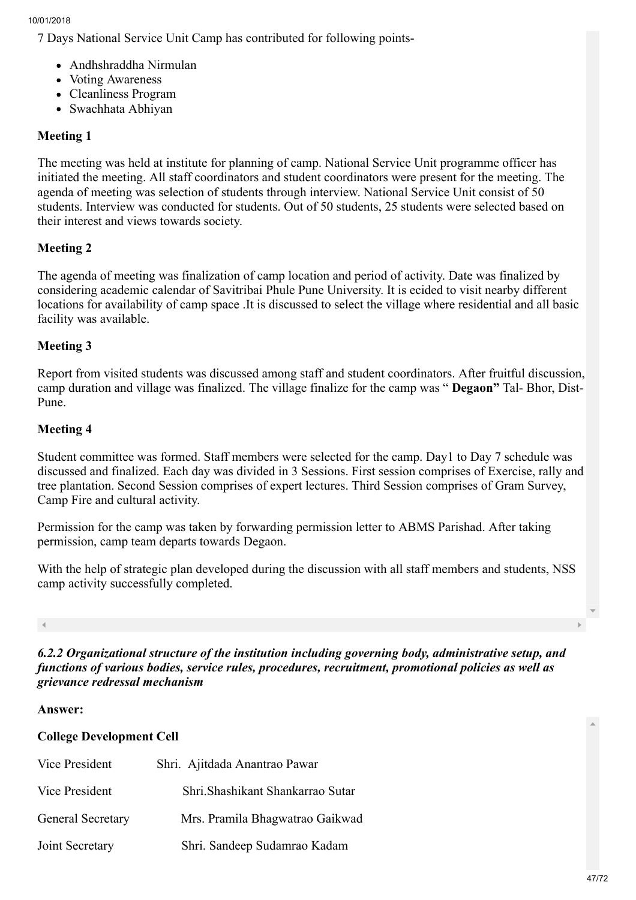7 Days National Service Unit Camp has contributed for following points-

- Andhshraddha Nirmulan
- Voting Awareness
- Cleanliness Program
- Swachhata Abhiyan

## Meeting 1

The meeting was held at institute for planning of camp. National Service Unit programme officer has initiated the meeting. All staff coordinators and student coordinators were present for the meeting. The agenda of meeting was selection of students through interview. National Service Unit consist of 50 students. Interview was conducted for students. Out of 50 students, 25 students were selected based on their interest and views towards society.

## Meeting 2

The agenda of meeting was finalization of camp location and period of activity. Date was finalized by considering academic calendar of Savitribai Phule Pune University. It is ecided to visit nearby different locations for availability of camp space .It is discussed to select the village where residential and all basic facility was available.

## Meeting 3

Report from visited students was discussed among staff and student coordinators. After fruitful discussion, camp duration and village was finalized. The village finalize for the camp was " Degaon" Tal- Bhor, Dist-Pune.

## Meeting 4

Student committee was formed. Staff members were selected for the camp. Day1 to Day 7 schedule was discussed and finalized. Each day was divided in 3 Sessions. First session comprises of Exercise, rally and tree plantation. Second Session comprises of expert lectures. Third Session comprises of Gram Survey, Camp Fire and cultural activity.

Permission for the camp was taken by forwarding permission letter to ABMS Parishad. After taking permission, camp team departs towards Degaon.

With the help of strategic plan developed during the discussion with all staff members and students, NSS camp activity successfully completed.

*6.2.2 Organizational structure of the institution including governing body, administrative setup, and functions of various bodies, service rules, procedures, recruitment, promotional policies as well as grievance redressal mechanism*

#### Answer:

## College Development Cell

| <b>Vice President</b> | Shri. Ajitdada Anantrao Pawar     |  |
|-----------------------|-----------------------------------|--|
| <b>Vice President</b> | Shri. Shashikant Shankarrao Sutar |  |
| General Secretary     | Mrs. Pramila Bhagwatrao Gaikwad   |  |
| Joint Secretary       | Shri. Sandeep Sudamrao Kadam      |  |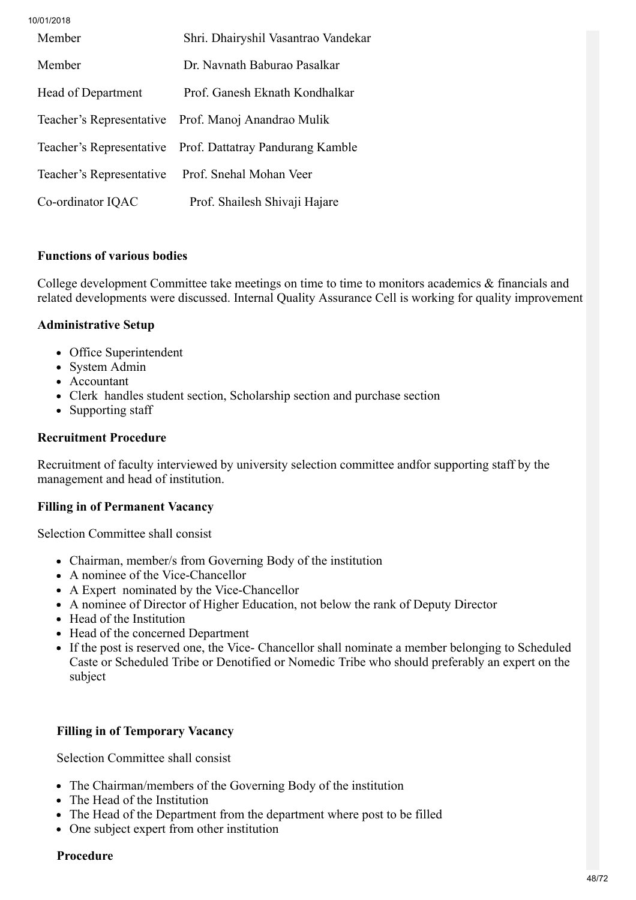10/01/2018 Member Shri. Dhairyshil Vasantrao Vandekar Member Dr. Navnath Baburao Pasalkar Head of Department Prof. Ganesh Eknath Kondhalkar Teacher's Representative Prof. Manoj Anandrao Mulik Teacher's Representative Prof. Dattatray Pandurang Kamble Teacher's Representative Prof. Snehal Mohan Veer Co-ordinator IQAC Prof. Shailesh Shivaji Hajare

## Functions of various bodies

College development Committee take meetings on time to time to monitors academics & financials and related developments were discussed. Internal Quality Assurance Cell is working for quality improvement

## Administrative Setup

- Office Superintendent
- System Admin
- Accountant
- Clerk handles student section, Scholarship section and purchase section
- Supporting staff

#### Recruitment Procedure

Recruitment of faculty interviewed by university selection committee andfor supporting staff by the management and head of institution.

## Filling in of Permanent Vacancy

Selection Committee shall consist

- Chairman, member/s from Governing Body of the institution
- A nominee of the Vice-Chancellor
- A Expert nominated by the Vice-Chancellor
- A nominee of Director of Higher Education, not below the rank of Deputy Director
- Head of the Institution
- Head of the concerned Department
- If the post is reserved one, the Vice- Chancellor shall nominate a member belonging to Scheduled Caste or Scheduled Tribe or Denotified or Nomedic Tribe who should preferably an expert on the subject

## Filling in of Temporary Vacancy

Selection Committee shall consist

- The Chairman/members of the Governing Body of the institution
- The Head of the Institution
- The Head of the Department from the department where post to be filled
- One subject expert from other institution

#### Procedure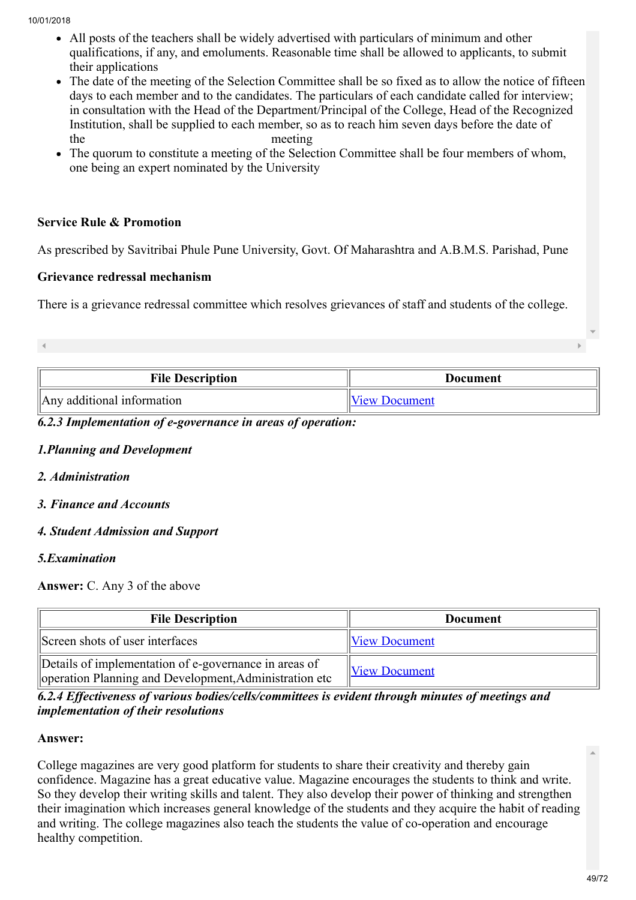- All posts of the teachers shall be widely advertised with particulars of minimum and other qualifications, if any, and emoluments. Reasonable time shall be allowed to applicants, to submit their applications
- The date of the meeting of the Selection Committee shall be so fixed as to allow the notice of fifteen days to each member and to the candidates. The particulars of each candidate called for interview; in consultation with the Head of the Department/Principal of the College, Head of the Recognized Institution, shall be supplied to each member, so as to reach him seven days before the date of the meeting
- The quorum to constitute a meeting of the Selection Committee shall be four members of whom, one being an expert nominated by the University

## Service Rule & Promotion

As prescribed by Savitribai Phule Pune University, Govt. Of Maharashtra and A.B.M.S. Parishad, Pune

## Grievance redressal mechanism

There is a grievance redressal committee which resolves grievances of staff and students of the college.

| <b>File Description</b>                | Document             |  |
|----------------------------------------|----------------------|--|
| $\parallel$ Any additional information | <b>View Document</b> |  |

## *6.2.3 Implementation of e-governance in areas of operation:*

#### *1.Planning and Development*

- *2. Administration*
- *3. Finance and Accounts*

## *4. Student Admission and Support*

## *5.Examination*

Answer: C. Any 3 of the above

| <b>File Description</b>                                                                                         | <b>Document</b>      |  |
|-----------------------------------------------------------------------------------------------------------------|----------------------|--|
| Screen shots of user interfaces                                                                                 | <b>View Document</b> |  |
| Details of implementation of e-governance in areas of<br>operation Planning and Development, Administration etc | <b>View Document</b> |  |

## *6.2.4 Effectiveness of various bodies/cells/committees is evident through minutes of meetings and implementation of their resolutions*

#### Answer:

College magazines are very good platform for students to share their creativity and thereby gain confidence. Magazine has a great educative value. Magazine encourages the students to think and write. So they develop their writing skills and talent. They also develop their power of thinking and strengthen their imagination which increases general knowledge of the students and they acquire the habit of reading and writing. The college magazines also teach the students the value of co-operation and encourage healthy competition.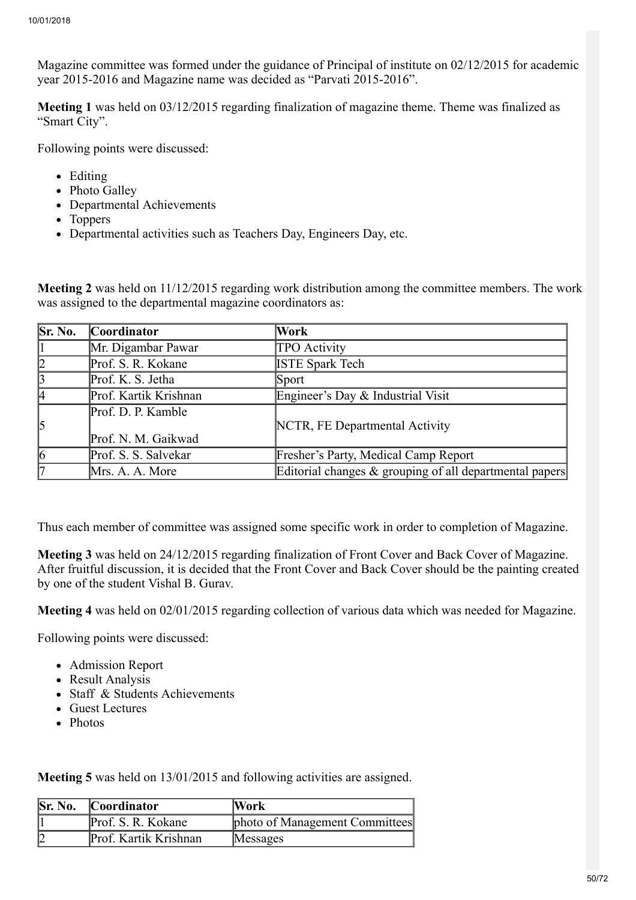Magazine committee was formed under the guidance of Principal of institute on 02/12/2015 for academic year 2015-2016 and Magazine name was decided as "Parvati 2015-2016".

Meeting 1 was held on 03/12/2015 regarding finalization of magazine theme. Theme was finalized as "Smart City".

Following points were discussed:

- Editing
- Photo Galley
- Departmental Achievements
- Toppers
- Departmental activities such as Teachers Day, Engineers Day, etc.

Meeting 2 was held on 11/12/2015 regarding work distribution among the committee members. The work was assigned to the departmental magazine coordinators as:

| Sr. No.         | <b>Coordinator</b>                        | Work                                                       |
|-----------------|-------------------------------------------|------------------------------------------------------------|
|                 | Mr. Digambar Pawar                        | TPO Activity                                               |
| $\overline{2}$  | Prof. S. R. Kokane                        | <b>ISTE Spark Tech</b>                                     |
| $\vert$ 3       | Prof. K. S. Jetha                         | Sport                                                      |
| l4              | Prof. Kartik Krishnan                     | Engineer's Day & Industrial Visit                          |
| 5               | Prof. D. P. Kamble<br>Prof. N. M. Gaikwad | NCTR, FE Departmental Activity                             |
| $\vert 6 \vert$ | Prof. S. S. Salvekar                      | Fresher's Party, Medical Camp Report                       |
| 17              | Mrs. A. A. More                           | Editorial changes $\&$ grouping of all departmental papers |

Thus each member of committee was assigned some specific work in order to completion of Magazine.

Meeting 3 was held on 24/12/2015 regarding finalization of Front Cover and Back Cover of Magazine. After fruitful discussion, it is decided that the Front Cover and Back Cover should be the painting created by one of the student Vishal B. Gurav.

Meeting 4 was held on 02/01/2015 regarding collection of various data which was needed for Magazine.

Following points were discussed:

- Admission Report
- Result Analysis
- Staff & Students Achievements
- Guest Lectures
- Photos

Meeting 5 was held on 13/01/2015 and following activities are assigned.

| Sr. No. | <b>Coordinator</b>    | Work                           |
|---------|-----------------------|--------------------------------|
|         | Prof. S. R. Kokane    | photo of Management Committees |
|         | Prof. Kartik Krishnan | Messages                       |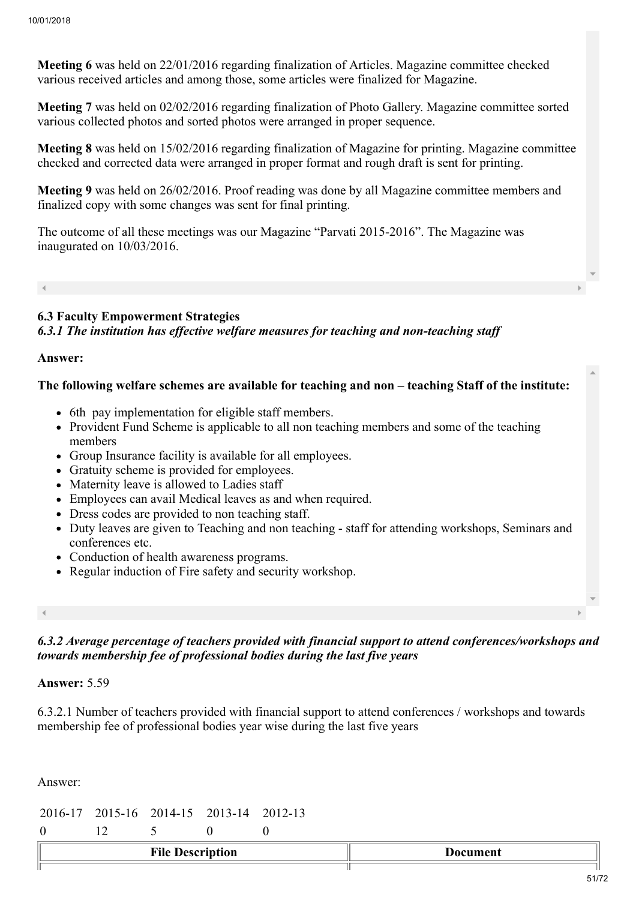Meeting 6 was held on 22/01/2016 regarding finalization of Articles. Magazine committee checked various received articles and among those, some articles were finalized for Magazine.

Meeting 7 was held on 02/02/2016 regarding finalization of Photo Gallery. Magazine committee sorted various collected photos and sorted photos were arranged in proper sequence.

Meeting 8 was held on 15/02/2016 regarding finalization of Magazine for printing. Magazine committee checked and corrected data were arranged in proper format and rough draft is sent for printing.

Meeting 9 was held on 26/02/2016. Proof reading was done by all Magazine committee members and finalized copy with some changes was sent for final printing.

The outcome of all these meetings was our Magazine "Parvati 2015-2016". The Magazine was inaugurated on 10/03/2016.

6.3 Faculty Empowerment Strategies *6.3.1 The institution has effective welfare measures for teaching and non-teaching staff*

#### Answer:

#### The following welfare schemes are available for teaching and non – teaching Staff of the institute:

- 6th pay implementation for eligible staff members.
- Provident Fund Scheme is applicable to all non teaching members and some of the teaching members
- Group Insurance facility is available for all employees.
- Gratuity scheme is provided for employees.
- Maternity leave is allowed to Ladies staff
- Employees can avail Medical leaves as and when required.
- Dress codes are provided to non teaching staff.
- Duty leaves are given to Teaching and non teaching staff for attending workshops, Seminars and conferences etc.
- Conduction of health awareness programs.
- Regular induction of Fire safety and security workshop.

*6.3.2 Average percentage of teachers provided with financial support to attend conferences/workshops and towards membership fee of professional bodies during the last five years*

#### Answer: 5.59

6.3.2.1 Number of teachers provided with financial support to attend conferences / workshops and towards membership fee of professional bodies year wise during the last five years

Answer:

|  | 2016-17 2015-16 2014-15 2013-14 2012-13 |  |
|--|-----------------------------------------|--|

0 12 5 0 0

| ⊷             | --- --- |
|---------------|---------|
| $\sim$ $\sim$ |         |
| uvn           | ≂пւ     |
|               | .       |
|               |         |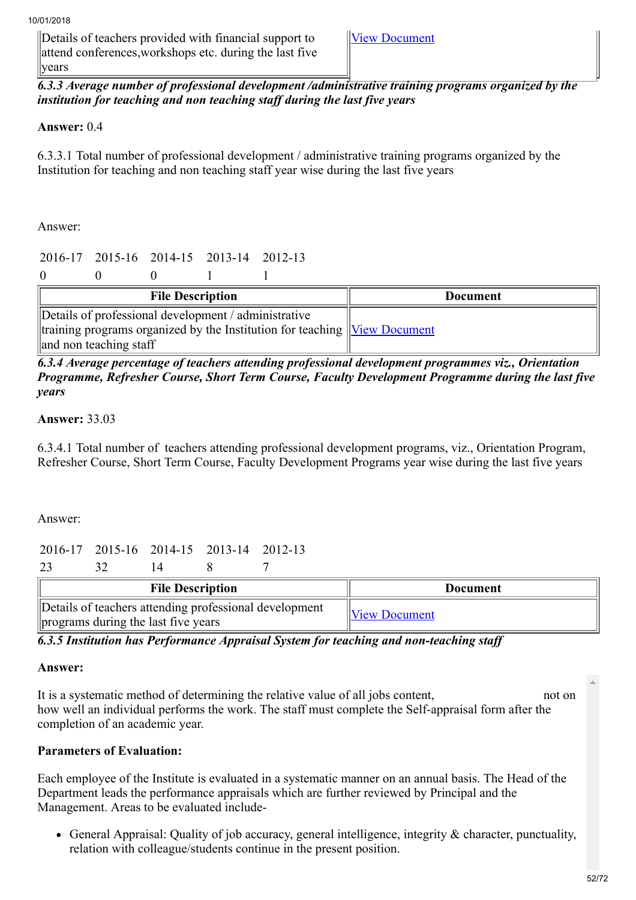Details of teachers provided with financial support to attend conferences,workshops etc. during the last five years

[View Document](https://assessmentonline.naac.gov.in/storage/app/hei/SSR/100944/6.3.2_1513929212_937.xlsx)

*6.3.3 Average number of professional development /administrative training programs organized by the institution for teaching and non teaching staff during the last five years*

## Answer: 0.4

6.3.3.1 Total number of professional development / administrative training programs organized by the Institution for teaching and non teaching staff year wise during the last five years

Answer:

|                                                                                     |                         |  | 2016-17 2015-16 2014-15 2013-14 2012-13 |                 |  |
|-------------------------------------------------------------------------------------|-------------------------|--|-----------------------------------------|-----------------|--|
|                                                                                     |                         |  |                                         |                 |  |
|                                                                                     | <b>File Description</b> |  |                                         | <b>Document</b> |  |
| Details of professional development / administrative                                |                         |  |                                         |                 |  |
| $\ $ training programs organized by the Institution for teaching $\ $ View Document |                         |  |                                         |                 |  |
| and non teaching staff                                                              |                         |  |                                         |                 |  |

## *6.3.4 Average percentage of teachers attending professional development programmes viz., Orientation Programme, Refresher Course, Short Term Course, Faculty Development Programme during the last five years*

## Answer: 33.03

6.3.4.1 Total number of teachers attending professional development programs, viz., Orientation Program, Refresher Course, Short Term Course, Faculty Development Programs year wise during the last five years

Answer:

2016-17 2015-16 2014-15 2013-14 2012-13

23 32 14 8 7 File Description  $\|\qquad\qquad\qquad\qquad\qquad\qquad$ Details of teachers attending professional development

programs during the last five years  $\mathbb{V}_{new}$  Document

*6.3.5 Institution has Performance Appraisal System for teaching and non-teaching staff*

## Answer:

It is a systematic method of determining the relative value of all jobs content, not on how well an individual performs the work. The staff must complete the Self-appraisal form after the completion of an academic year.

## Parameters of Evaluation:

Each employee of the Institute is evaluated in a systematic manner on an annual basis. The Head of the Department leads the performance appraisals which are further reviewed by Principal and the Management. Areas to be evaluated include-

General Appraisal: Quality of job accuracy, general intelligence, integrity & character, punctuality, relation with colleague/students continue in the present position.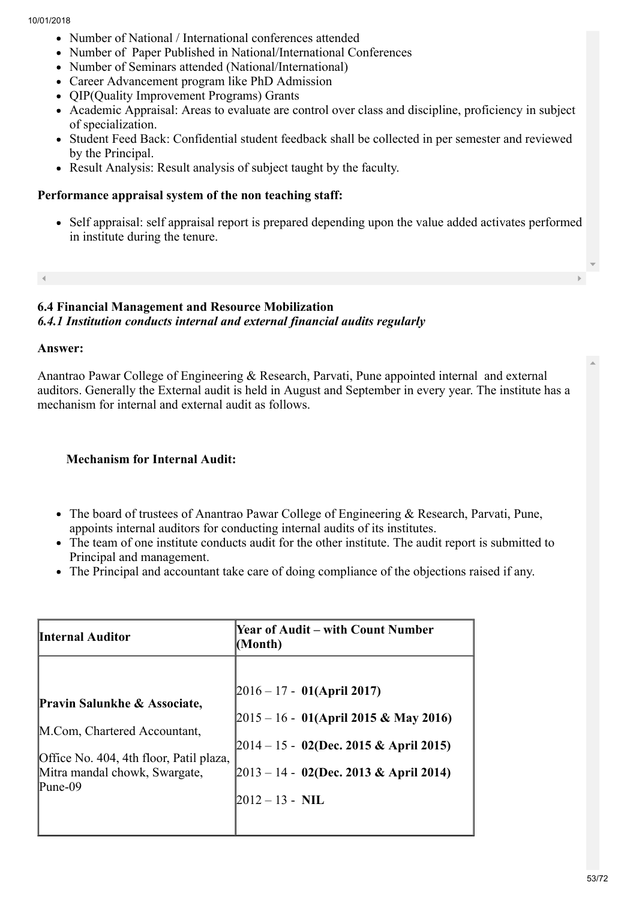- Number of National / International conferences attended
- Number of Paper Published in National/International Conferences
- Number of Seminars attended (National/International)
- Career Advancement program like PhD Admission
- QIP(Quality Improvement Programs) Grants
- Academic Appraisal: Areas to evaluate are control over class and discipline, proficiency in subject of specialization.
- Student Feed Back: Confidential student feedback shall be collected in per semester and reviewed by the Principal.
- Result Analysis: Result analysis of subject taught by the faculty.

#### Performance appraisal system of the non teaching staff:

Self appraisal: self appraisal report is prepared depending upon the value added activates performed in institute during the tenure.

#### 6.4 Financial Management and Resource Mobilization *6.4.1 Institution conducts internal and external financial audits regularly*

#### Answer:

Anantrao Pawar College of Engineering & Research, Parvati, Pune appointed internal and external auditors. Generally the External audit is held in August and September in every year. The institute has a mechanism for internal and external audit as follows.

## Mechanism for Internal Audit:

- The board of trustees of Anantrao Pawar College of Engineering & Research, Parvati, Pune, appoints internal auditors for conducting internal audits of its institutes.
- The team of one institute conducts audit for the other institute. The audit report is submitted to Principal and management.
- The Principal and accountant take care of doing compliance of the objections raised if any.

| <b>Internal Auditor</b>                 | <b>Year of Audit – with Count Number</b><br>(Month) |
|-----------------------------------------|-----------------------------------------------------|
| Pravin Salunkhe & Associate,            | $ 2016 - 17 - 01(Apri1 2017) $                      |
| M.Com, Chartered Accountant,            | $[2015 - 16 - 01(April 2015 & May 2016)]$           |
| Office No. 404, 4th floor, Patil plaza, | $[2014 - 15 - 02$ (Dec. 2015 & April 2015)          |
| Mitra mandal chowk, Swargate,           | $[2013 - 14 - 02$ (Dec. 2013 & April 2014)          |
| Pune-09                                 | $2012 - 13 - \text{NIL}$                            |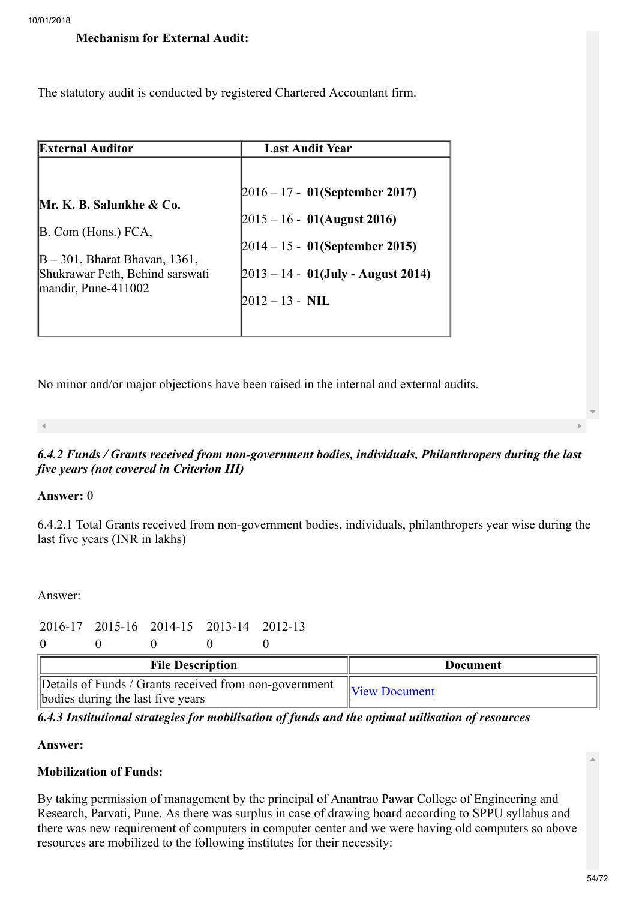## Mechanism for External Audit:

The statutory audit is conducted by registered Chartered Accountant firm.

| <b>External Auditor</b>           | <b>Last Audit Year</b>                 |
|-----------------------------------|----------------------------------------|
| Mr. K. B. Salunkhe & Co.          | $ 2016 - 17 - 01$ (September 2017)     |
| B. Com (Hons.) FCA,               | $ 2015 - 16 - 01$ (August 2016)        |
| $ B - 301$ , Bharat Bhavan, 1361, | $ 2014 - 15 - 01$ (September 2015)     |
| Shukrawar Peth, Behind sarswati   | $[2013 - 14 - 01$ (July - August 2014) |
| $\mu$ mandir, Pune-411002         | $2012 - 13 - \text{NIL}$               |

No minor and/or major objections have been raised in the internal and external audits.

#### *6.4.2 Funds / Grants received from non-government bodies, individuals, Philanthropers during the last five years (not covered in Criterion III)*

#### Answer: 0

6.4.2.1 Total Grants received from non-government bodies, individuals, philanthropers year wise during the last five years (INR in lakhs)

Answer:

## 2016-17 2015-16 2014-15 2013-14 2012-13

 $0 \qquad 0 \qquad 0 \qquad 0$ 

| <b>File Description</b>                                                                     | Document      |
|---------------------------------------------------------------------------------------------|---------------|
| Details of Funds / Grants received from non-government<br>bodies during the last five years | View Document |

*6.4.3 Institutional strategies for mobilisation of funds and the optimal utilisation of resources*

## Answer:

# Mobilization of Funds:

By taking permission of management by the principal of Anantrao Pawar College of Engineering and Research, Parvati, Pune. As there was surplus in case of drawing board according to SPPU syllabus and there was new requirement of computers in computer center and we were having old computers so above resources are mobilized to the following institutes for their necessity: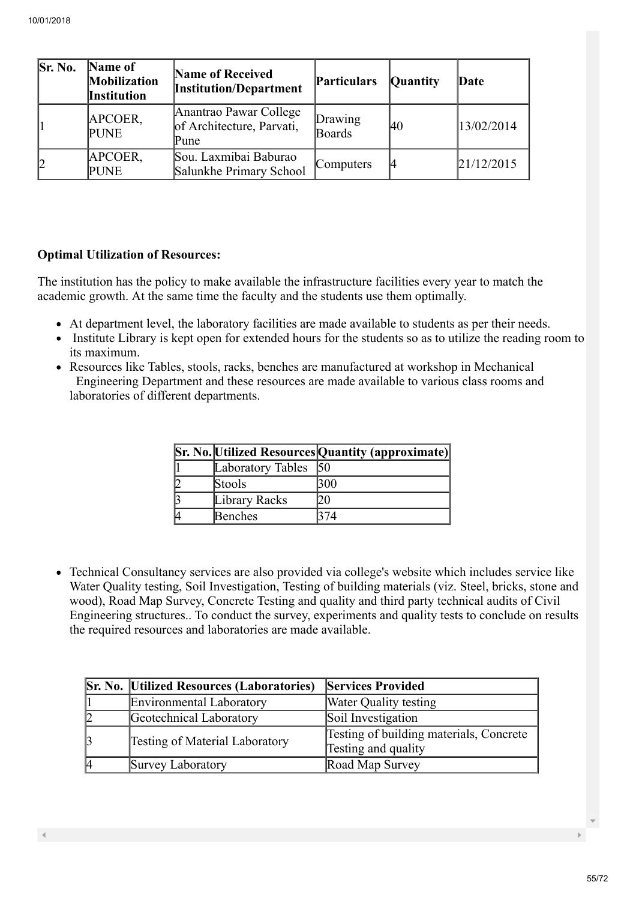| Sr. No. | Name of<br><b>Mobilization</b><br><b>Institution</b> | <b>Name of Received</b><br><b>Institution/Department</b>    | Particulars       | <b>Quantity</b> | Date       |
|---------|------------------------------------------------------|-------------------------------------------------------------|-------------------|-----------------|------------|
|         | APCOER,<br><b>PUNE</b>                               | Anantrao Pawar College<br>of Architecture, Parvati,<br>Pune | Drawing<br>Boards | 40              | 13/02/2014 |
| 12      | APCOER,<br>PUNE                                      | Sou. Laxmibai Baburao<br>Salunkhe Primary School            | <b>Computers</b>  | 14              | 21/12/2015 |

## Optimal Utilization of Resources:

The institution has the policy to make available the infrastructure facilities every year to match the academic growth. At the same time the faculty and the students use them optimally.

- At department level, the laboratory facilities are made available to students as per their needs.
- Institute Library is kept open for extended hours for the students so as to utilize the reading room to its maximum.
- Resources like Tables, stools, racks, benches are manufactured at workshop in Mechanical Engineering Department and these resources are made available to various class rooms and laboratories of different departments.

|                      | Sr. No. Utilized Resources Quantity (approximate) |
|----------------------|---------------------------------------------------|
| Laboratory Tables 50 |                                                   |
| Stools               | $00^{\circ}$                                      |
| Library Racks        |                                                   |
| Benches              |                                                   |

Technical Consultancy services are also provided via college's website which includes service like Water Quality testing, Soil Investigation, Testing of building materials (viz. Steel, bricks, stone and wood), Road Map Survey, Concrete Testing and quality and third party technical audits of Civil Engineering structures.. To conduct the survey, experiments and quality tests to conclude on results the required resources and laboratories are made available.

| <b>Sr. No. Utilized Resources (Laboratories)</b> | <b>Services Provided</b>                                       |
|--------------------------------------------------|----------------------------------------------------------------|
| Environmental Laboratory                         | <b>Water Quality testing</b>                                   |
| Geotechnical Laboratory                          | Soil Investigation                                             |
| <b>Testing of Material Laboratory</b>            | Testing of building materials, Concrete<br>Testing and quality |
| Survey Laboratory                                | Road Map Survey                                                |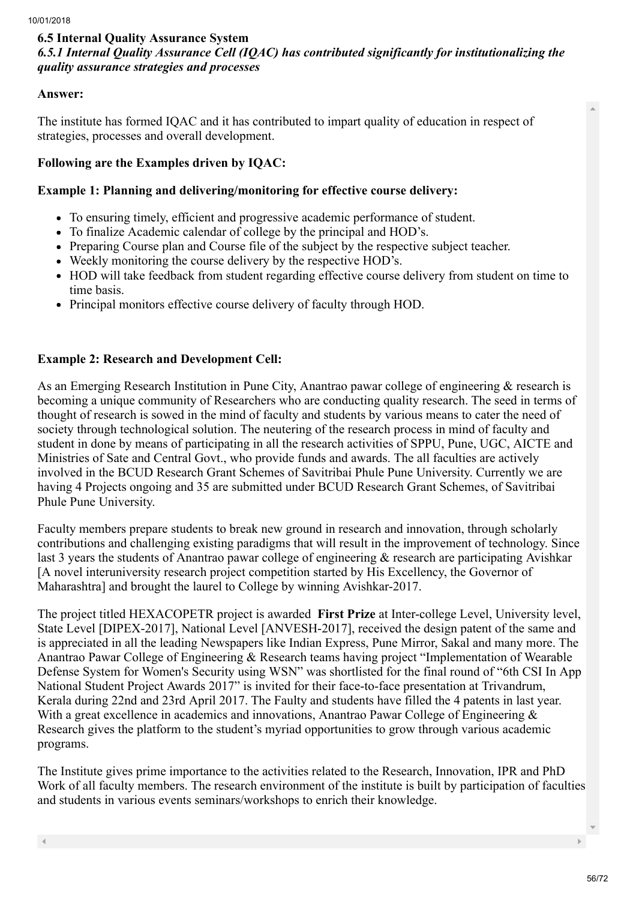## 6.5 Internal Quality Assurance System *6.5.1 Internal Quality Assurance Cell (IQAC) has contributed significantly for institutionalizing the quality assurance strategies and processes*

## Answer:

The institute has formed IQAC and it has contributed to impart quality of education in respect of strategies, processes and overall development.

## Following are the Examples driven by IQAC:

## Example 1: Planning and delivering/monitoring for effective course delivery:

- To ensuring timely, efficient and progressive academic performance of student.
- To finalize Academic calendar of college by the principal and HOD's.
- Preparing Course plan and Course file of the subject by the respective subject teacher.
- Weekly monitoring the course delivery by the respective HOD's.
- HOD will take feedback from student regarding effective course delivery from student on time to time basis.
- Principal monitors effective course delivery of faculty through HOD.

## Example 2: Research and Development Cell:

As an Emerging Research Institution in Pune City, Anantrao pawar college of engineering & research is becoming a unique community of Researchers who are conducting quality research. The seed in terms of thought of research is sowed in the mind of faculty and students by various means to cater the need of society through technological solution. The neutering of the research process in mind of faculty and student in done by means of participating in all the research activities of SPPU, Pune, UGC, AICTE and Ministries of Sate and Central Govt., who provide funds and awards. The all faculties are actively involved in the BCUD Research Grant Schemes of Savitribai Phule Pune University. Currently we are having 4 Projects ongoing and 35 are submitted under BCUD Research Grant Schemes, of Savitribai Phule Pune University.

Faculty members prepare students to break new ground in research and innovation, through scholarly contributions and challenging existing paradigms that will result in the improvement of technology. Since last 3 years the students of Anantrao pawar college of engineering & research are participating Avishkar [A novel interuniversity research project competition started by His Excellency, the Governor of Maharashtra] and brought the laurel to College by winning Avishkar-2017.

The project titled HEXACOPETR project is awarded First Prize at Inter-college Level, University level, State Level [DIPEX-2017], National Level [ANVESH-2017], received the design patent of the same and is appreciated in all the leading Newspapers like Indian Express, Pune Mirror, Sakal and many more. The Anantrao Pawar College of Engineering & Research teams having project "Implementation of Wearable Defense System for Women's Security using WSN" was shortlisted for the final round of "6th CSI In App National Student Project Awards 2017" is invited for their face-to-face presentation at Trivandrum, Kerala during 22nd and 23rd April 2017. The Faulty and students have filled the 4 patents in last year. With a great excellence in academics and innovations, Anantrao Pawar College of Engineering  $\&$ Research gives the platform to the student's myriad opportunities to grow through various academic programs.

The Institute gives prime importance to the activities related to the Research, Innovation, IPR and PhD Work of all faculty members. The research environment of the institute is built by participation of faculties and students in various events seminars/workshops to enrich their knowledge.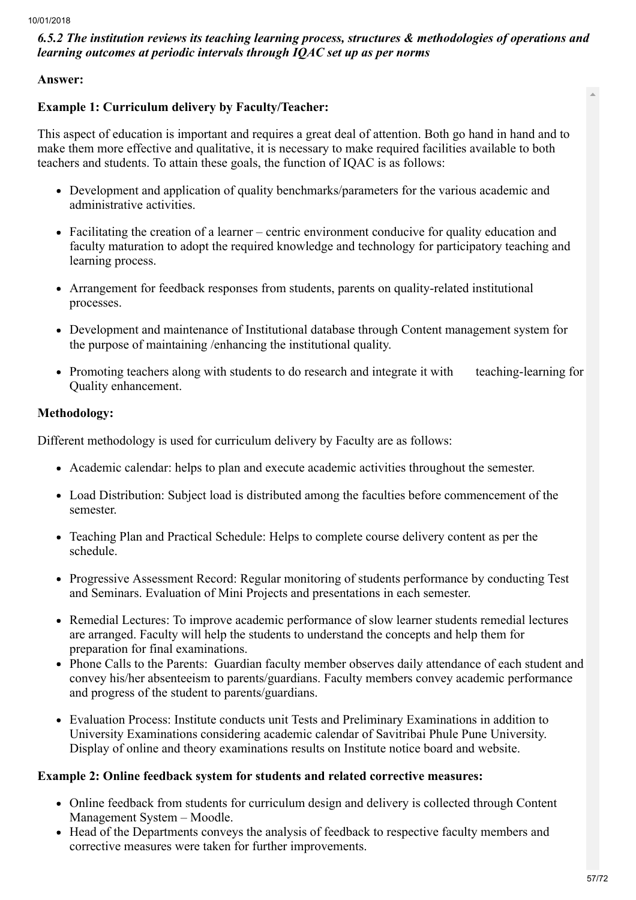## *6.5.2 The institution reviews its teaching learning process, structures & methodologies of operations and learning outcomes at periodic intervals through IQAC set up as per norms*

## Answer:

## Example 1: Curriculum delivery by Faculty/Teacher:

This aspect of education is important and requires a great deal of attention. Both go hand in hand and to make them more effective and qualitative, it is necessary to make required facilities available to both teachers and students. To attain these goals, the function of IQAC is as follows:

- Development and application of quality benchmarks/parameters for the various academic and administrative activities.
- Facilitating the creation of a learner centric environment conducive for quality education and faculty maturation to adopt the required knowledge and technology for participatory teaching and learning process.
- Arrangement for feedback responses from students, parents on quality-related institutional processes.
- Development and maintenance of Institutional database through Content management system for the purpose of maintaining /enhancing the institutional quality.
- Promoting teachers along with students to do research and integrate it with teaching-learning for Quality enhancement.

## Methodology:

Different methodology is used for curriculum delivery by Faculty are as follows:

- Academic calendar: helps to plan and execute academic activities throughout the semester.
- Load Distribution: Subject load is distributed among the faculties before commencement of the semester.
- Teaching Plan and Practical Schedule: Helps to complete course delivery content as per the schedule.
- Progressive Assessment Record: Regular monitoring of students performance by conducting Test and Seminars. Evaluation of Mini Projects and presentations in each semester.
- Remedial Lectures: To improve academic performance of slow learner students remedial lectures are arranged. Faculty will help the students to understand the concepts and help them for preparation for final examinations.
- Phone Calls to the Parents: Guardian faculty member observes daily attendance of each student and convey his/her absenteeism to parents/guardians. Faculty members convey academic performance and progress of the student to parents/guardians.
- Evaluation Process: Institute conducts unit Tests and Preliminary Examinations in addition to University Examinations considering academic calendar of Savitribai Phule Pune University. Display of online and theory examinations results on Institute notice board and website.

## Example 2: Online feedback system for students and related corrective measures:

- Online feedback from students for curriculum design and delivery is collected through Content Management System – Moodle.
- Head of the Departments conveys the analysis of feedback to respective faculty members and corrective measures were taken for further improvements.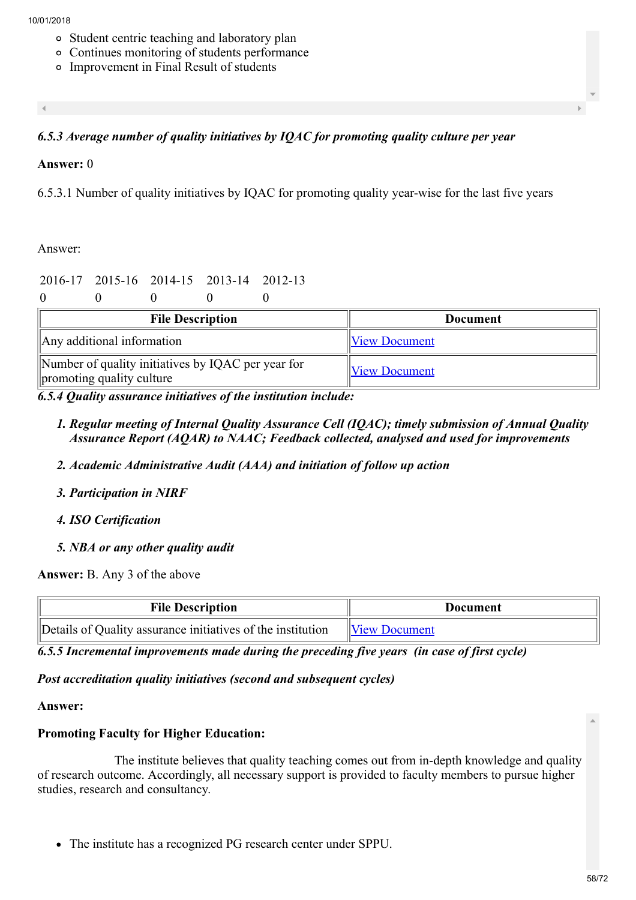- Student centric teaching and laboratory plan
- Continues monitoring of students performance
- Improvement in Final Result of students

## *6.5.3 Average number of quality initiatives by IQAC for promoting quality culture per year*

#### Answer: 0

6.5.3.1 Number of quality initiatives by IQAC for promoting quality year-wise for the last five years

Answer:

## 2016-17 2015-16 2014-15 2013-14 2012-13

 $0 \qquad 0 \qquad 0 \qquad 0$ 

| <b>File Description</b>                                                         | <b>Document</b>      |
|---------------------------------------------------------------------------------|----------------------|
| $\parallel$ Any additional information                                          | <b>View Document</b> |
| Number of quality initiatives by IQAC per year for<br>promoting quality culture | <b>View Document</b> |

*6.5.4 Quality assurance initiatives of the institution include:*

- *1. Regular meeting of Internal Quality Assurance Cell (IQAC); timely submission of Annual Quality Assurance Report (AQAR) to NAAC; Feedback collected, analysed and used for improvements*
- *2. Academic Administrative Audit (AAA) and initiation of follow up action*
- *3. Participation in NIRF*
- *4. ISO Certification*
- *5. NBA or any other quality audit*

Answer: B. Any 3 of the above

| <b>File Description</b>                                     | Document             |
|-------------------------------------------------------------|----------------------|
| Details of Quality assurance initiatives of the institution | <b>View Document</b> |

*6.5.5 Incremental improvements made during the preceding five years (in case of first cycle)*

#### *Post accreditation quality initiatives (second and subsequent cycles)*

#### Answer:

## Promoting Faculty for Higher Education:

 The institute believes that quality teaching comes out from in-depth knowledge and quality of research outcome. Accordingly, all necessary support is provided to faculty members to pursue higher studies, research and consultancy.

The institute has a recognized PG research center under SPPU.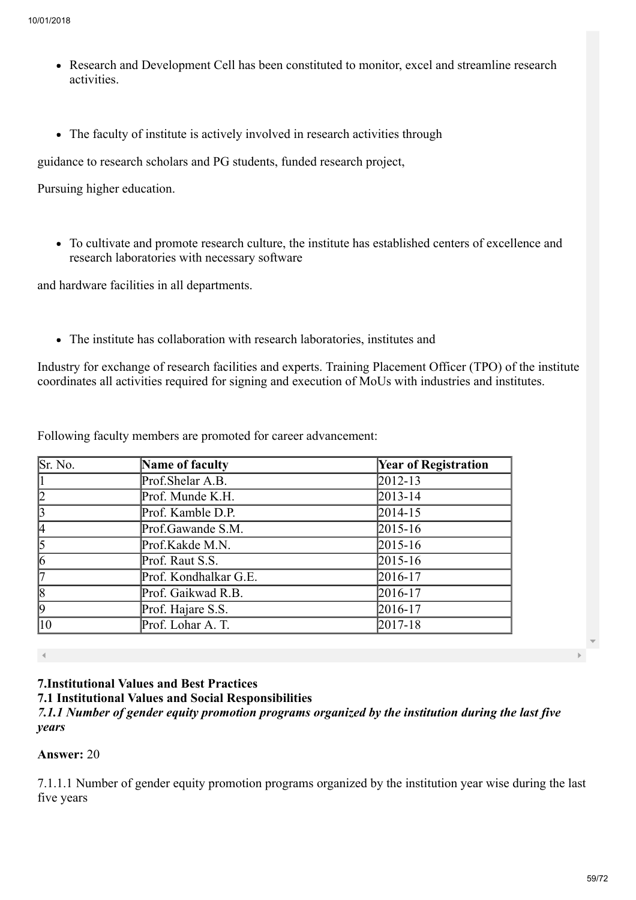- Research and Development Cell has been constituted to monitor, excel and streamline research activities.
- The faculty of institute is actively involved in research activities through

guidance to research scholars and PG students, funded research project,

Pursuing higher education.

To cultivate and promote research culture, the institute has established centers of excellence and research laboratories with necessary software

and hardware facilities in all departments.

The institute has collaboration with research laboratories, institutes and

Industry for exchange of research facilities and experts. Training Placement Officer (TPO) of the institute coordinates all activities required for signing and execution of MoUs with industries and institutes.

Following faculty members are promoted for career advancement:

| Sr. No.      | Name of faculty       | <b>Year of Registration</b> |
|--------------|-----------------------|-----------------------------|
|              | Prof.Shelar A.B.      | 2012-13                     |
| 2            | Prof. Munde K.H.      | $2013 - 14$                 |
| 3            | Prof. Kamble D.P.     | $2014 - 15$                 |
|              | Prof.Gawande S.M.     | $2015 - 16$                 |
| 5            | Prof.Kakde M.N.       | $2015 - 16$                 |
| $\vert 6$    | Prof. Raut S.S.       | $2015 - 16$                 |
|              | Prof. Kondhalkar G.E. | 2016-17                     |
| $\vert$ 8    | Prof. Gaikwad R.B.    | 2016-17                     |
| $ 9\rangle$  | Prof. Hajare S.S.     | 2016-17                     |
| $ 10\rangle$ | Prof. Lohar A. T.     | 2017-18                     |

## 7.Institutional Values and Best Practices

7.1 Institutional Values and Social Responsibilities

*7.1.1 Number of gender equity promotion programs organized by the institution during the last five years* 

## Answer: 20

7.1.1.1 Number of gender equity promotion programs organized by the institution year wise during the last five years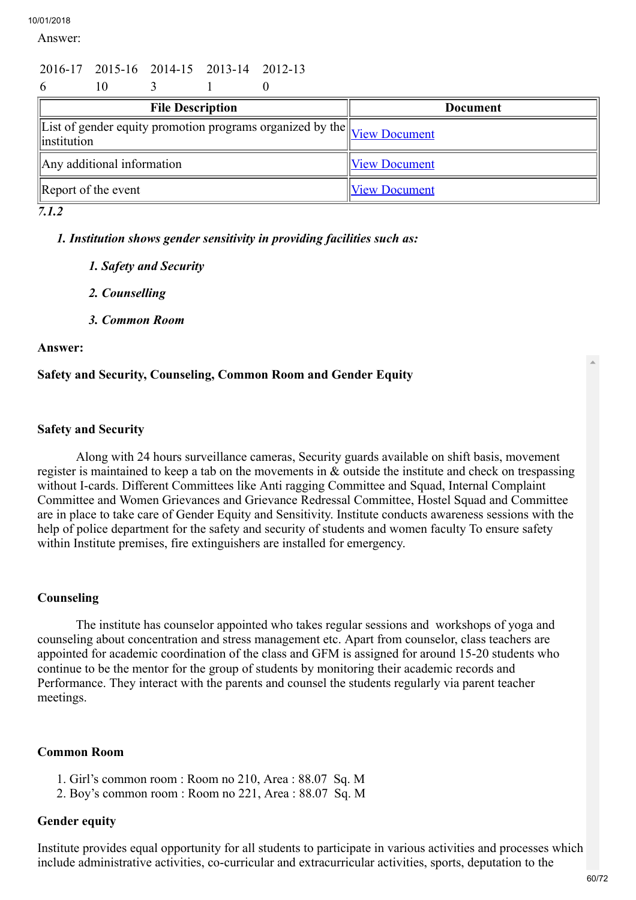Answer:

# 2016-17 2015-16 2014-15 2013-14 2012-13

| 6            |                                  |  |  |  |  |                                                                                 |  |
|--------------|----------------------------------|--|--|--|--|---------------------------------------------------------------------------------|--|
|              | <b>File Description</b>          |  |  |  |  | <b>Document</b>                                                                 |  |
| linstitution |                                  |  |  |  |  | <i>Exist of gender equity promotion programs organized by the</i> View Document |  |
|              | Any additional information       |  |  |  |  | <b>View Document</b>                                                            |  |
|              | $\mathbb{R}$ Report of the event |  |  |  |  | <b>View Document</b>                                                            |  |

*7.1.2*

*1. Institution shows gender sensitivity in providing facilities such as:*

- *1. Safety and Security*
- *2. Counselling*
- *3. Common Room*

#### Answer:

## Safety and Security, Counseling, Common Room and Gender Equity

#### Safety and Security

 Along with 24 hours surveillance cameras, Security guards available on shift basis, movement register is maintained to keep a tab on the movements in  $\&$  outside the institute and check on trespassing without I-cards. Different Committees like Anti ragging Committee and Squad, Internal Complaint Committee and Women Grievances and Grievance Redressal Committee, Hostel Squad and Committee are in place to take care of Gender Equity and Sensitivity. Institute conducts awareness sessions with the help of police department for the safety and security of students and women faculty To ensure safety within Institute premises, fire extinguishers are installed for emergency.

## Counseling

 The institute has counselor appointed who takes regular sessions and workshops of yoga and counseling about concentration and stress management etc. Apart from counselor, class teachers are appointed for academic coordination of the class and GFM is assigned for around 15-20 students who continue to be the mentor for the group of students by monitoring their academic records and Performance. They interact with the parents and counsel the students regularly via parent teacher meetings.

#### Common Room

- 1. Girl's common room : Room no 210, Area : 88.07 Sq. M
- 2. Boy's common room : Room no 221, Area : 88.07 Sq. M

## Gender equity

Institute provides equal opportunity for all students to participate in various activities and processes which include administrative activities, co-curricular and extracurricular activities, sports, deputation to the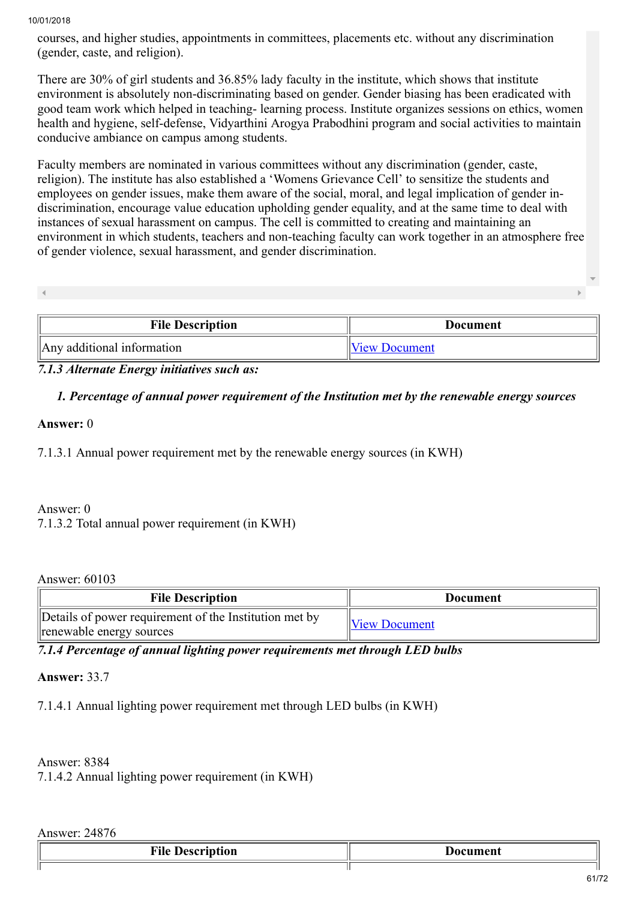courses, and higher studies, appointments in committees, placements etc. without any discrimination (gender, caste, and religion).

There are 30% of girl students and 36.85% lady faculty in the institute, which shows that institute environment is absolutely non-discriminating based on gender. Gender biasing has been eradicated with good team work which helped in teaching- learning process. Institute organizes sessions on ethics, women health and hygiene, self-defense, Vidyarthini Arogya Prabodhini program and social activities to maintain conducive ambiance on campus among students.

Faculty members are nominated in various committees without any discrimination (gender, caste, religion). The institute has also established a 'Womens Grievance Cell' to sensitize the students and employees on gender issues, make them aware of the social, moral, and legal implication of gender indiscrimination, encourage value education upholding gender equality, and at the same time to deal with instances of sexual harassment on campus. The cell is committed to creating and maintaining an environment in which students, teachers and non-teaching faculty can work together in an atmosphere free of gender violence, sexual harassment, and gender discrimination.

| <b>File Description</b> | <b>Document</b> |
|-------------------------|-----------------|
|                         |                 |
|                         |                 |

## *7.1.3 Alternate Energy initiatives such as:*

#### *1. Percentage of annual power requirement of the Institution met by the renewable energy sources*

#### Answer: 0

7.1.3.1 Annual power requirement met by the renewable energy sources (in KWH)

 $\parallel$ Any additional information  $\parallel$ [View Document](https://assessmentonline.naac.gov.in/storage/app/hei/SSR/100944/7.1.2_1513944246_937.pdf)

#### Answer: 0

7.1.3.2 Total annual power requirement (in KWH)

#### Answer: 60103

| <b>File Description</b>                                                            | Document             |  |
|------------------------------------------------------------------------------------|----------------------|--|
| Details of power requirement of the Institution met by<br>renewable energy sources | <b>View Document</b> |  |

*7.1.4 Percentage of annual lighting power requirements met through LED bulbs*

#### Answer: 33.7

7.1.4.1 Annual lighting power requirement met through LED bulbs (in KWH)

## Answer: 8384

7.1.4.2 Annual lighting power requirement (in KWH)

## Answer: 24876

| -<br>--<br>$\sim$ $\sim$ $\sim$<br>wu<br>.<br>$\sim$ $\sim$ $\sim$ | ∽<br>. maant<br>. |
|--------------------------------------------------------------------|-------------------|
|                                                                    |                   |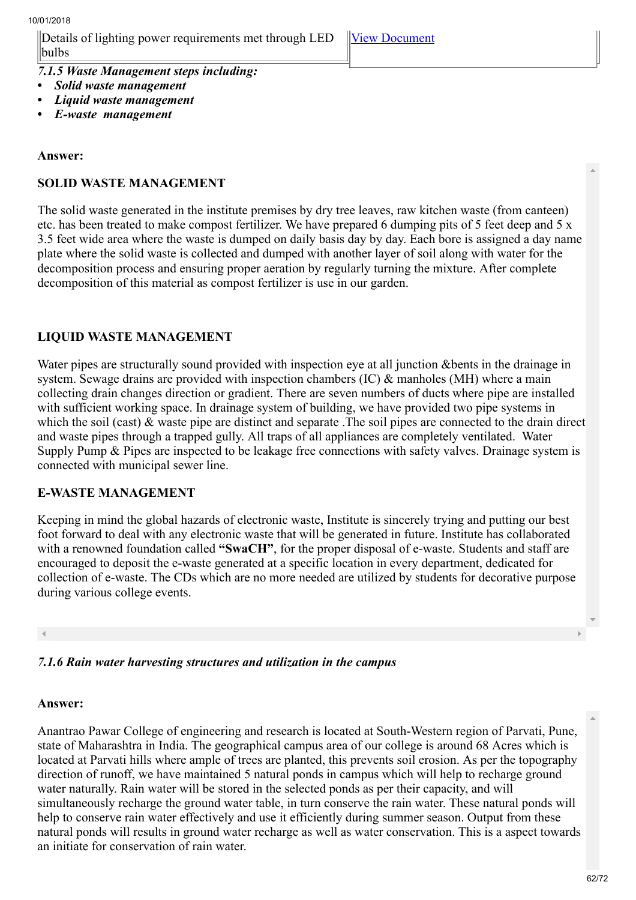Details of lighting power requirements met through LED bulbs

*7.1.5 Waste Management steps including:*

- *Solid waste management*
- *Liquid waste management*
- *E-waste management*

#### Answer:

## SOLID WASTE MANAGEMENT

The solid waste generated in the institute premises by dry tree leaves, raw kitchen waste (from canteen) etc. has been treated to make compost fertilizer. We have prepared 6 dumping pits of 5 feet deep and 5 x 3.5 feet wide area where the waste is dumped on daily basis day by day. Each bore is assigned a day name plate where the solid waste is collected and dumped with another layer of soil along with water for the decomposition process and ensuring proper aeration by regularly turning the mixture. After complete decomposition of this material as compost fertilizer is use in our garden.

#### LIQUID WASTE MANAGEMENT

Water pipes are structurally sound provided with inspection eye at all junction &bents in the drainage in system. Sewage drains are provided with inspection chambers (IC) & manholes (MH) where a main collecting drain changes direction or gradient. There are seven numbers of ducts where pipe are installed with sufficient working space. In drainage system of building, we have provided two pipe systems in which the soil (cast)  $\&$  waste pipe are distinct and separate. The soil pipes are connected to the drain direct and waste pipes through a trapped gully. All traps of all appliances are completely ventilated. Water Supply Pump & Pipes are inspected to be leakage free connections with safety valves. Drainage system is connected with municipal sewer line.

#### E-WASTE MANAGEMENT

Keeping in mind the global hazards of electronic waste, Institute is sincerely trying and putting our best foot forward to deal with any electronic waste that will be generated in future. Institute has collaborated with a renowned foundation called "SwaCH", for the proper disposal of e-waste. Students and staff are encouraged to deposit the e-waste generated at a specific location in every department, dedicated for collection of e-waste. The CDs which are no more needed are utilized by students for decorative purpose during various college events.

## *7.1.6 Rain water harvesting structures and utilization in the campus*

#### Answer:

Anantrao Pawar College of engineering and research is located at South-Western region of Parvati, Pune, state of Maharashtra in India. The geographical campus area of our college is around 68 Acres which is located at Parvati hills where ample of trees are planted, this prevents soil erosion. As per the topography direction of runoff, we have maintained 5 natural ponds in campus which will help to recharge ground water naturally. Rain water will be stored in the selected ponds as per their capacity, and will simultaneously recharge the ground water table, in turn conserve the rain water. These natural ponds will help to conserve rain water effectively and use it efficiently during summer season. Output from these natural ponds will results in ground water recharge as well as water conservation. This is a aspect towards an initiate for conservation of rain water.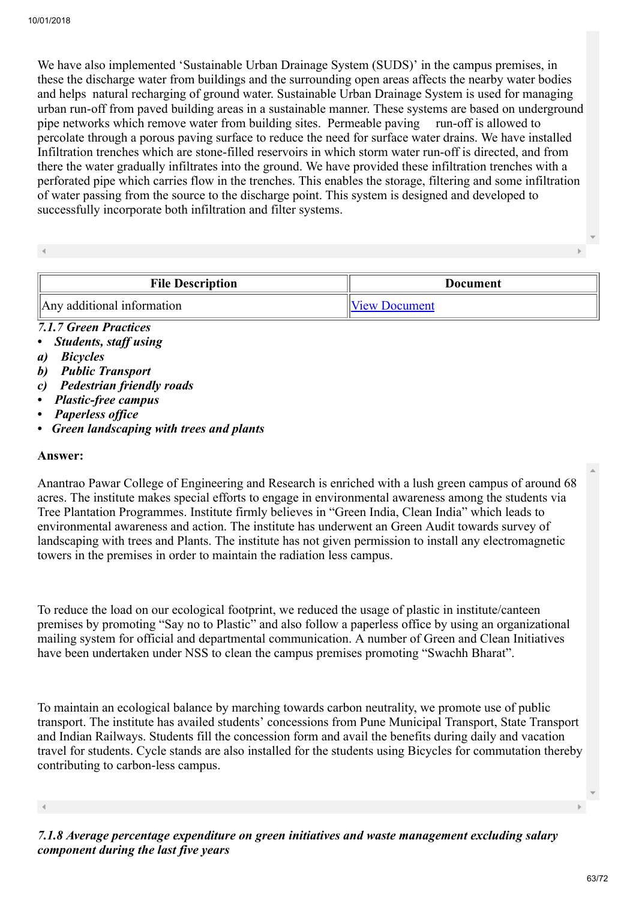We have also implemented 'Sustainable Urban Drainage System (SUDS)' in the campus premises, in these the discharge water from buildings and the surrounding open areas affects the nearby water bodies and helps natural recharging of ground water. Sustainable Urban Drainage System is used for managing urban run-off from paved building areas in a sustainable manner. These systems are based on underground pipe networks which remove water from building sites. Permeable paving run-off is allowed to percolate through a porous paving surface to reduce the need for surface water drains. We have installed Infiltration trenches which are stone-filled reservoirs in which storm water run-off is directed, and from there the water gradually infiltrates into the ground. We have provided these infiltration trenches with a perforated pipe which carries flow in the trenches. This enables the storage, filtering and some infiltration of water passing from the source to the discharge point. This system is designed and developed to successfully incorporate both infiltration and filter systems.

| <b>File Description</b>    | Document        |
|----------------------------|-----------------|
| Any additional information | IIView Document |

## *7.1.7 Green Practices*

- *Students, staff using*
- *a) Bicycles*
- *b) Public Transport*
- *c) Pedestrian friendly roads*
- *Plastic-free campus*
- *Paperless office*
- *Green landscaping with trees and plants*

#### Answer:

Anantrao Pawar College of Engineering and Research is enriched with a lush green campus of around 68 acres. The institute makes special efforts to engage in environmental awareness among the students via Tree Plantation Programmes. Institute firmly believes in "Green India, Clean India" which leads to environmental awareness and action. The institute has underwent an Green Audit towards survey of landscaping with trees and Plants. The institute has not given permission to install any electromagnetic towers in the premises in order to maintain the radiation less campus.

To reduce the load on our ecological footprint, we reduced the usage of plastic in institute/canteen premises by promoting "Say no to Plastic" and also follow a paperless office by using an organizational mailing system for official and departmental communication. A number of Green and Clean Initiatives have been undertaken under NSS to clean the campus premises promoting "Swachh Bharat".

To maintain an ecological balance by marching towards carbon neutrality, we promote use of public transport. The institute has availed students' concessions from Pune Municipal Transport, State Transport and Indian Railways. Students fill the concession form and avail the benefits during daily and vacation travel for students. Cycle stands are also installed for the students using Bicycles for commutation thereby contributing to carbon-less campus.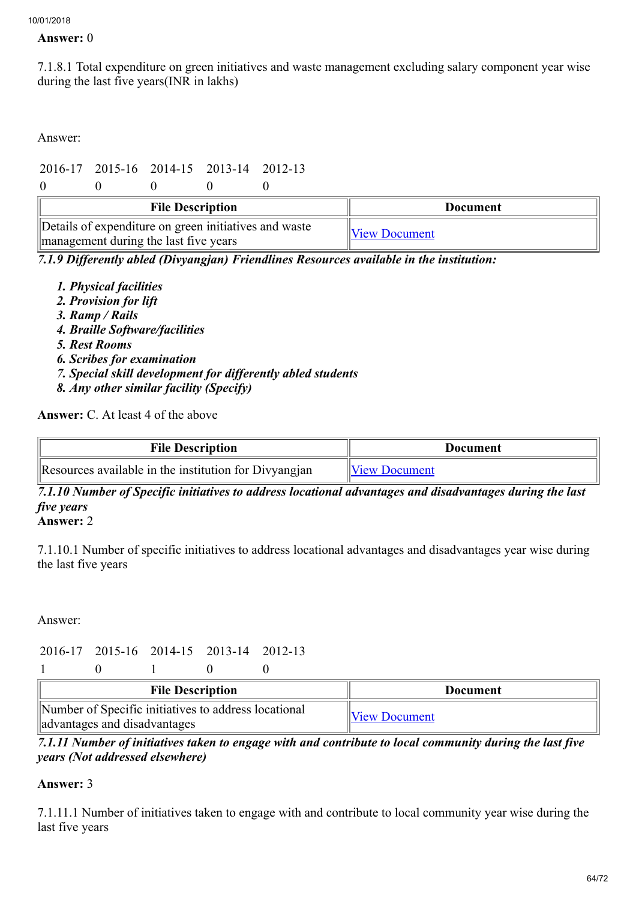#### Answer: 0

7.1.8.1 Total expenditure on green initiatives and waste management excluding salary component year wise during the last five years(INR in lakhs)

Answer:

# 2016-17 2015-16 2014-15 2013-14 2012-13

 $0 \qquad 0 \qquad 0 \qquad 0$ 

| <b>File Description</b>                                                                        | Document             |
|------------------------------------------------------------------------------------------------|----------------------|
| Details of expenditure on green initiatives and waste<br>management during the last five years | <b>View Document</b> |

*7.1.9 Differently abled (Divyangjan) Friendlines Resources available in the institution:*

- *1. Physical facilities*
- *2. Provision for lift*
- *3. Ramp / Rails*
- *4. Braille Software/facilities*
- *5. Rest Rooms*
- *6. Scribes for examination*
- *7. Special skill development for differently abled students*
- *8. Any other similar facility (Specify)*

Answer: C. At least 4 of the above

| <b>File Description</b>                               | Document             |
|-------------------------------------------------------|----------------------|
| Resources available in the institution for Divyangian | <b>View Document</b> |

*7.1.10 Number of Specific initiatives to address locational advantages and disadvantages during the last five years*

## Answer: 2

7.1.10.1 Number of specific initiatives to address locational advantages and disadvantages year wise during the last five years

Answer:

## 2016-17 2015-16 2014-15 2013-14 2012-13

| $\overline{0}$ | $\overline{0}$ | $\overline{\phantom{0}}$ |
|----------------|----------------|--------------------------|
|                |                |                          |

| <b>File Description</b>                                                              | Document             |
|--------------------------------------------------------------------------------------|----------------------|
| Number of Specific initiatives to address locational<br>advantages and disadvantages | <b>View Document</b> |

*7.1.11 Number of initiatives taken to engage with and contribute to local community during the last five years (Not addressed elsewhere)*

## Answer: 3

7.1.11.1 Number of initiatives taken to engage with and contribute to local community year wise during the last five years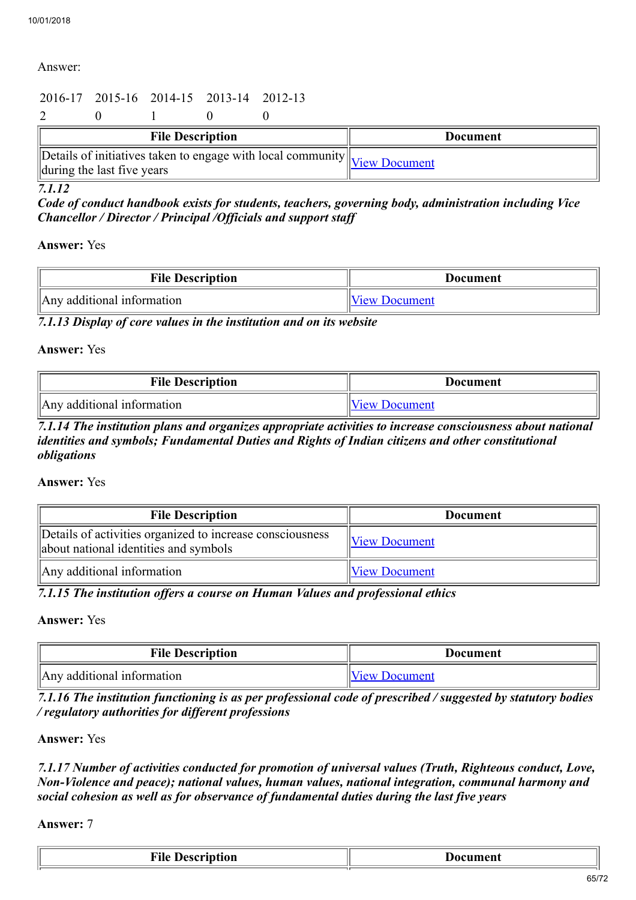#### Answer:

## 2016-17 2015-16 2014-15 2013-14 2012-13

2 0 1 0 0

| <b>File Description</b>                                                                                                                          | <b>Document</b> |
|--------------------------------------------------------------------------------------------------------------------------------------------------|-----------------|
| $\sqrt{\text{Details of initiatives}}$ taken to engage with local community $\sqrt{\text{View Document}}$<br>$\Delta$ during the last five years |                 |

*7.1.12* 

*Code of conduct handbook exists for students, teachers, governing body, administration including Vice Chancellor / Director / Principal /Officials and support staff*

#### Answer: Yes

| <b>File Description</b>    | <b>Document</b>      |
|----------------------------|----------------------|
| Any additional information | <b>View Document</b> |

*7.1.13 Display of core values in the institution and on its website*

#### Answer: Yes

| <b>File Description</b>    | <b>Document</b>      |
|----------------------------|----------------------|
| Any additional information | <b>View Document</b> |

*7.1.14 The institution plans and organizes appropriate activities to increase consciousness about national identities and symbols; Fundamental Duties and Rights of Indian citizens and other constitutional obligations*

#### Answer: Yes

| <b>File Description</b>                                                                            | <b>Document</b>        |
|----------------------------------------------------------------------------------------------------|------------------------|
| Details of activities organized to increase consciousness<br>about national identities and symbols | $\forall$ iew Document |
| Any additional information                                                                         | <b>View Document</b>   |

*7.1.15 The institution offers a course on Human Values and professional ethics*

#### Answer: Yes

| <b>File Description</b>    | Document             |
|----------------------------|----------------------|
| Any additional information | <i>View Document</i> |

*7.1.16 The institution functioning is as per professional code of prescribed / suggested by statutory bodies / regulatory authorities for different professions*

#### Answer: Yes

*7.1.17 Number of activities conducted for promotion of universal values (Truth, Righteous conduct, Love, Non-Violence and peace); national values, human values, national integration, communal harmony and social cohesion as well as for observance of fundamental duties during the last five years*

Answer: 7

| . . | . |
|-----|---|
|     |   |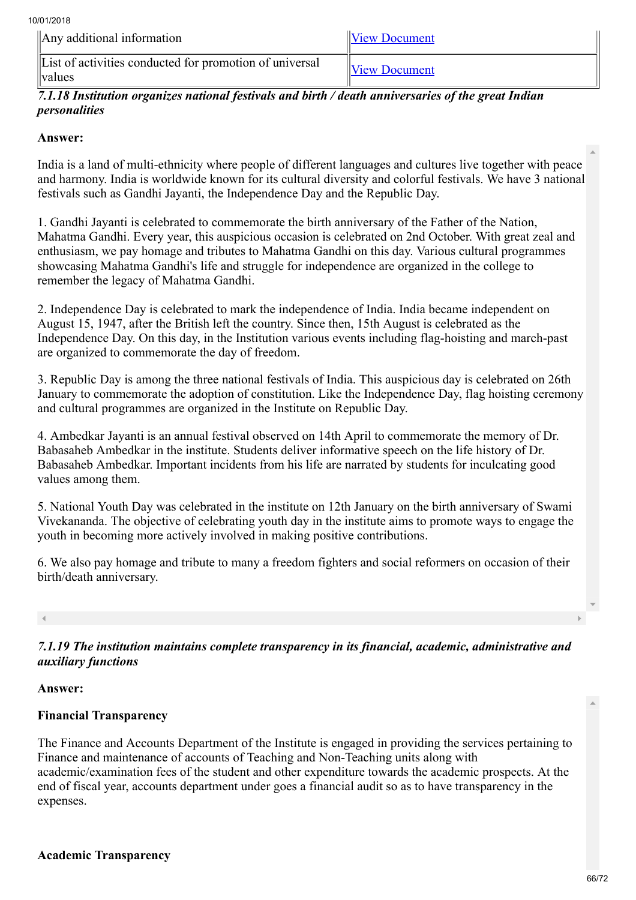| $\parallel$ Any additional information                                 | <b>View Document</b> |
|------------------------------------------------------------------------|----------------------|
| List of activities conducted for promotion of universal<br>$\langle$ . | <b>View Document</b> |

## *7.1.18 Institution organizes national festivals and birth / death anniversaries of the great Indian personalities*

## Answer:

India is a land of multi-ethnicity where people of different languages and cultures live together with peace and harmony. India is worldwide known for its cultural diversity and colorful festivals. We have 3 national festivals such as Gandhi Jayanti, the Independence Day and the Republic Day.

1. Gandhi Jayanti is celebrated to commemorate the birth anniversary of the Father of the Nation, Mahatma Gandhi. Every year, this auspicious occasion is celebrated on 2nd October. With great zeal and enthusiasm, we pay homage and tributes to Mahatma Gandhi on this day. Various cultural programmes showcasing Mahatma Gandhi's life and struggle for independence are organized in the college to remember the legacy of Mahatma Gandhi.

2. Independence Day is celebrated to mark the independence of India. India became independent on August 15, 1947, after the British left the country. Since then, 15th August is celebrated as the Independence Day. On this day, in the Institution various events including flag-hoisting and march-past are organized to commemorate the day of freedom.

3. Republic Day is among the three national festivals of India. This auspicious day is celebrated on 26th January to commemorate the adoption of constitution. Like the Independence Day, flag hoisting ceremony and cultural programmes are organized in the Institute on Republic Day.

4. Ambedkar Jayanti is an annual festival observed on 14th April to commemorate the memory of Dr. Babasaheb Ambedkar in the institute. Students deliver informative speech on the life history of Dr. Babasaheb Ambedkar. Important incidents from his life are narrated by students for inculcating good values among them.

5. National Youth Day was celebrated in the institute on 12th January on the birth anniversary of Swami Vivekananda. The objective of celebrating youth day in the institute aims to promote ways to engage the youth in becoming more actively involved in making positive contributions.

6. We also pay homage and tribute to many a freedom fighters and social reformers on occasion of their birth/death anniversary.

*7.1.19 The institution maintains complete transparency in its financial, academic, administrative and auxiliary functions*

## Answer:

## Financial Transparency

The Finance and Accounts Department of the Institute is engaged in providing the services pertaining to Finance and maintenance of accounts of Teaching and Non-Teaching units along with academic/examination fees of the student and other expenditure towards the academic prospects. At the end of fiscal year, accounts department under goes a financial audit so as to have transparency in the expenses.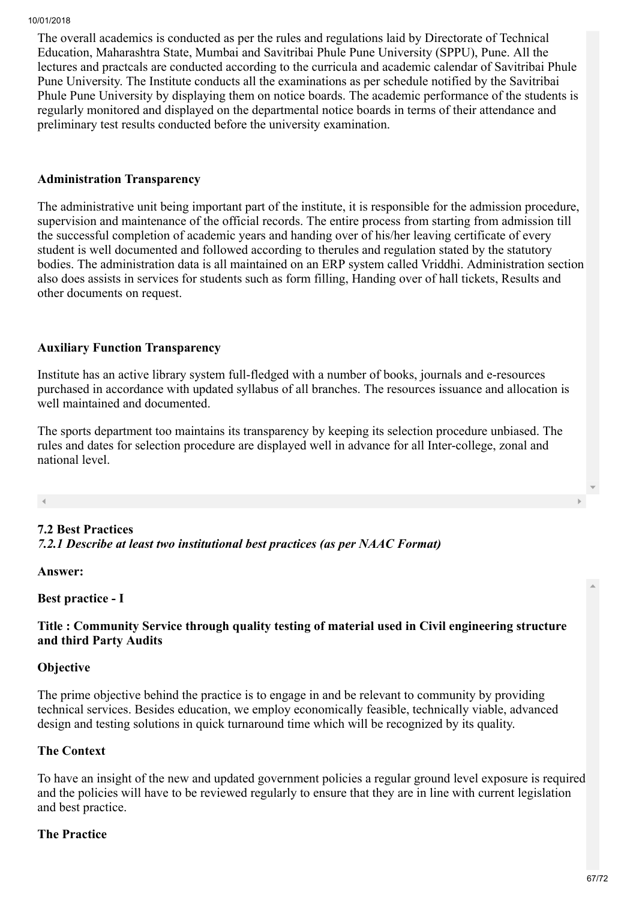The overall academics is conducted as per the rules and regulations laid by Directorate of Technical Education, Maharashtra State, Mumbai and Savitribai Phule Pune University (SPPU), Pune. All the lectures and practcals are conducted according to the curricula and academic calendar of Savitribai Phule Pune University. The Institute conducts all the examinations as per schedule notified by the Savitribai Phule Pune University by displaying them on notice boards. The academic performance of the students is regularly monitored and displayed on the departmental notice boards in terms of their attendance and preliminary test results conducted before the university examination.

#### Administration Transparency

The administrative unit being important part of the institute, it is responsible for the admission procedure, supervision and maintenance of the official records. The entire process from starting from admission till the successful completion of academic years and handing over of his/her leaving certificate of every student is well documented and followed according to therules and regulation stated by the statutory bodies. The administration data is all maintained on an ERP system called Vriddhi. Administration section also does assists in services for students such as form filling, Handing over of hall tickets, Results and other documents on request.

#### Auxiliary Function Transparency

Institute has an active library system full-fledged with a number of books, journals and e-resources purchased in accordance with updated syllabus of all branches. The resources issuance and allocation is well maintained and documented.

The sports department too maintains its transparency by keeping its selection procedure unbiased. The rules and dates for selection procedure are displayed well in advance for all Inter-college, zonal and national level.

## 7.2 Best Practices

*7.2.1 Describe at least two institutional best practices (as per NAAC Format)*

Answer:

Best practice - I

#### Title : Community Service through quality testing of material used in Civil engineering structure and third Party Audits

#### **Objective**

The prime objective behind the practice is to engage in and be relevant to community by providing technical services. Besides education, we employ economically feasible, technically viable, advanced design and testing solutions in quick turnaround time which will be recognized by its quality.

#### The Context

To have an insight of the new and updated government policies a regular ground level exposure is required and the policies will have to be reviewed regularly to ensure that they are in line with current legislation and best practice.

#### The Practice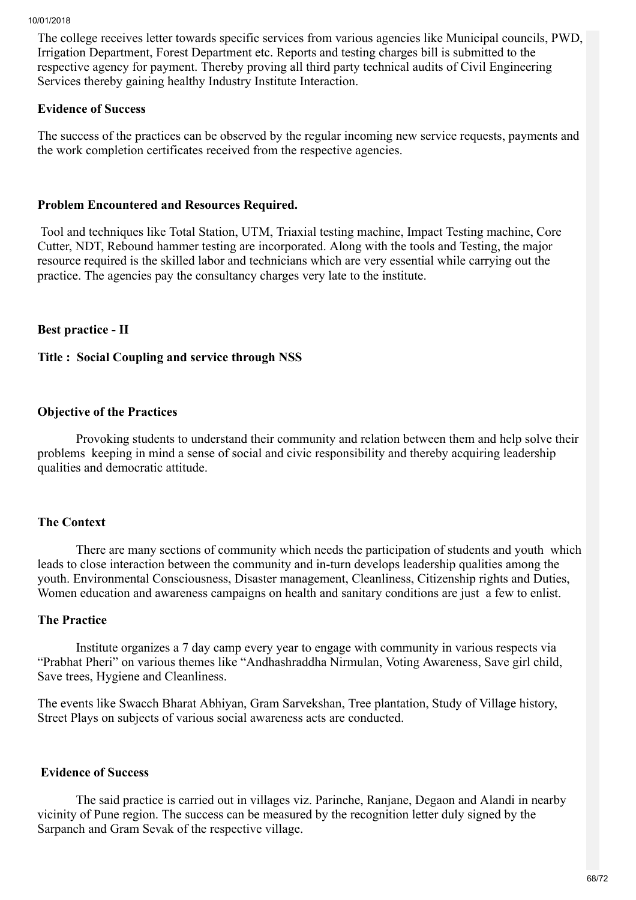The college receives letter towards specific services from various agencies like Municipal councils, PWD, Irrigation Department, Forest Department etc. Reports and testing charges bill is submitted to the respective agency for payment. Thereby proving all third party technical audits of Civil Engineering Services thereby gaining healthy Industry Institute Interaction.

## Evidence of Success

The success of the practices can be observed by the regular incoming new service requests, payments and the work completion certificates received from the respective agencies.

#### Problem Encountered and Resources Required.

Tool and techniques like Total Station, UTM, Triaxial testing machine, Impact Testing machine, Core Cutter, NDT, Rebound hammer testing are incorporated. Along with the tools and Testing, the major resource required is the skilled labor and technicians which are very essential while carrying out the practice. The agencies pay the consultancy charges very late to the institute.

## Best practice - II

#### Title : Social Coupling and service through NSS

#### Objective of the Practices

 Provoking students to understand their community and relation between them and help solve their problems keeping in mind a sense of social and civic responsibility and thereby acquiring leadership qualities and democratic attitude.

#### The Context

 There are many sections of community which needs the participation of students and youth which leads to close interaction between the community and in-turn develops leadership qualities among the youth. Environmental Consciousness, Disaster management, Cleanliness, Citizenship rights and Duties, Women education and awareness campaigns on health and sanitary conditions are just a few to enlist.

#### The Practice

 Institute organizes a 7 day camp every year to engage with community in various respects via "Prabhat Pheri" on various themes like "Andhashraddha Nirmulan, Voting Awareness, Save girl child, Save trees, Hygiene and Cleanliness.

The events like Swacch Bharat Abhiyan, Gram Sarvekshan, Tree plantation, Study of Village history, Street Plays on subjects of various social awareness acts are conducted.

#### Evidence of Success

 The said practice is carried out in villages viz. Parinche, Ranjane, Degaon and Alandi in nearby vicinity of Pune region. The success can be measured by the recognition letter duly signed by the Sarpanch and Gram Sevak of the respective village.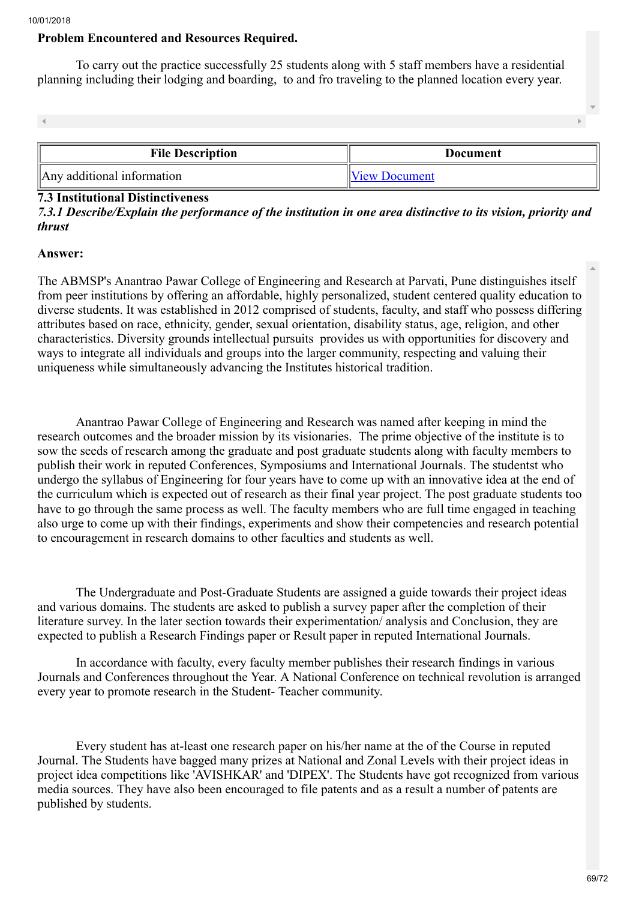#### Problem Encountered and Resources Required.

 To carry out the practice successfully 25 students along with 5 staff members have a residential planning including their lodging and boarding, to and fro traveling to the planned location every year.

| <b>File Description</b>    | Document      |  |
|----------------------------|---------------|--|
| Any additional information | View Document |  |

#### 7.3 Institutional Distinctiveness

## *7.3.1 Describe/Explain the performance of the institution in one area distinctive to its vision, priority and thrust*

#### Answer:

The ABMSP's Anantrao Pawar College of Engineering and Research at Parvati, Pune distinguishes itself from peer institutions by offering an affordable, highly personalized, student centered quality education to diverse students. It was established in 2012 comprised of students, faculty, and staff who possess differing attributes based on race, ethnicity, gender, sexual orientation, disability status, age, religion, and other characteristics. Diversity grounds intellectual pursuits provides us with opportunities for discovery and ways to integrate all individuals and groups into the larger community, respecting and valuing their uniqueness while simultaneously advancing the Institutes historical tradition.

 Anantrao Pawar College of Engineering and Research was named after keeping in mind the research outcomes and the broader mission by its visionaries. The prime objective of the institute is to sow the seeds of research among the graduate and post graduate students along with faculty members to publish their work in reputed Conferences, Symposiums and International Journals. The studentst who undergo the syllabus of Engineering for four years have to come up with an innovative idea at the end of the curriculum which is expected out of research as their final year project. The post graduate students too have to go through the same process as well. The faculty members who are full time engaged in teaching also urge to come up with their findings, experiments and show their competencies and research potential to encouragement in research domains to other faculties and students as well.

 The Undergraduate and Post-Graduate Students are assigned a guide towards their project ideas and various domains. The students are asked to publish a survey paper after the completion of their literature survey. In the later section towards their experimentation/ analysis and Conclusion, they are expected to publish a Research Findings paper or Result paper in reputed International Journals.

 In accordance with faculty, every faculty member publishes their research findings in various Journals and Conferences throughout the Year. A National Conference on technical revolution is arranged every year to promote research in the Student- Teacher community.

 Every student has at-least one research paper on his/her name at the of the Course in reputed Journal. The Students have bagged many prizes at National and Zonal Levels with their project ideas in project idea competitions like 'AVISHKAR' and 'DIPEX'. The Students have got recognized from various media sources. They have also been encouraged to file patents and as a result a number of patents are published by students.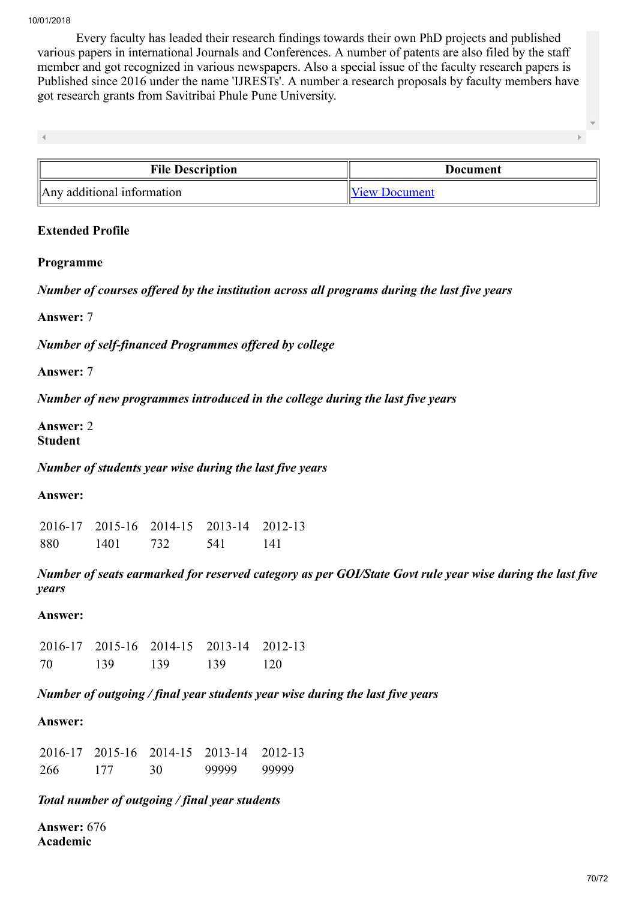Every faculty has leaded their research findings towards their own PhD projects and published various papers in international Journals and Conferences. A number of patents are also filed by the staff member and got recognized in various newspapers. Also a special issue of the faculty research papers is Published since 2016 under the name 'IJRESTs'. A number a research proposals by faculty members have got research grants from Savitribai Phule Pune University.

 $\overline{4}$ 

| <b>File Description</b>    | Document             |
|----------------------------|----------------------|
| Any additional information | <b>View Document</b> |

#### Extended Profile

#### Programme

*Number of courses offered by the institution across all programs during the last five years*

Answer: 7

*Number of self-financed Programmes offered by college*

Answer: 7

*Number of new programmes introduced in the college during the last five years*

Answer: 2 Student

*Number of students year wise during the last five years*

Answer:

2016-17 2015-16 2014-15 2013-14 2012-13 880 1401 732 541 141

*Number of seats earmarked for reserved category as per GOI/State Govt rule year wise during the last five years*

#### Answer:

2016-17 2015-16 2014-15 2013-14 2012-13 70 139 139 139 120

*Number of outgoing / final year students year wise during the last five years*

#### Answer:

|     |     |    | 2016-17 2015-16 2014-15 2013-14 2012-13 |       |
|-----|-----|----|-----------------------------------------|-------|
| 266 | 177 | 30 | 99999                                   | 99999 |

#### *Total number of outgoing / final year students*

Answer: 676 Academic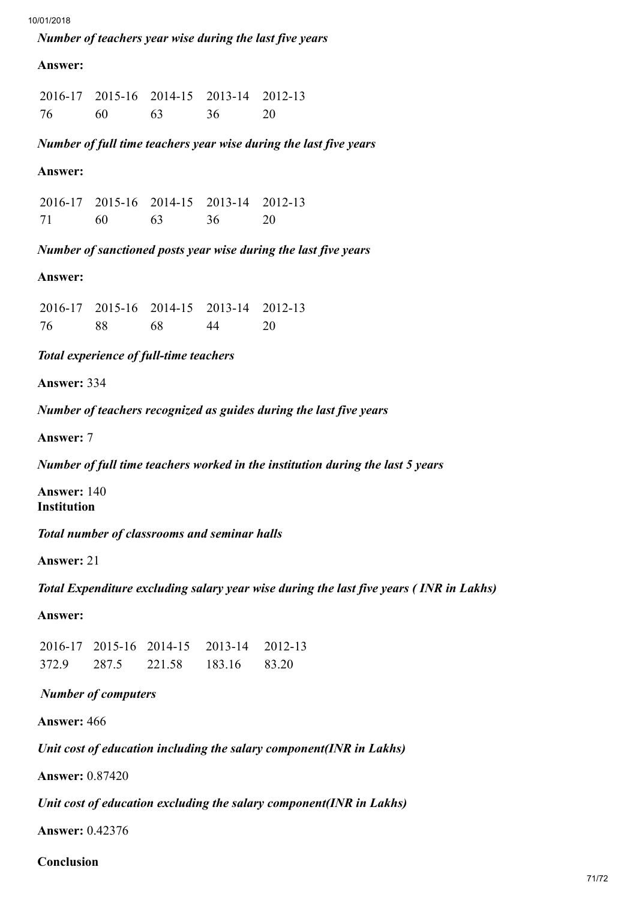#### *Number of teachers year wise during the last five years*

#### Answer:

2016-17 2015-16 2014-15 2013-14 2012-13 76 60 63 36 20

*Number of full time teachers year wise during the last five years*

#### Answer:

|    |     |     | 2016-17 2015-16 2014-15 2013-14 2012-13 |      |
|----|-----|-----|-----------------------------------------|------|
| 71 | -60 | -63 | 36                                      | - 20 |

*Number of sanctioned posts year wise during the last five years*

## Answer:

|    |    |    | 2016-17 2015-16 2014-15 2013-14 2012-13 |    |
|----|----|----|-----------------------------------------|----|
| 76 | 88 | 68 | 44                                      | 20 |

#### *Total experience of full-time teachers*

Answer: 334

*Number of teachers recognized as guides during the last five years*

Answer: 7

*Number of full time teachers worked in the institution during the last 5 years*

Answer: 140 Institution

*Total number of classrooms and seminar halls*

Answer: 21

*Total Expenditure excluding salary year wise during the last five years ( INR in Lakhs)*

Answer:

2016-17 2015-16 2014-15 2013-14 2012-13 372.9 287.5 221.58 183.16 83.20

## *Number of computers*

Answer: 466

*Unit cost of education including the salary component(INR in Lakhs)*

Answer: 0.87420

*Unit cost of education excluding the salary component(INR in Lakhs)*

Answer: 0.42376

Conclusion